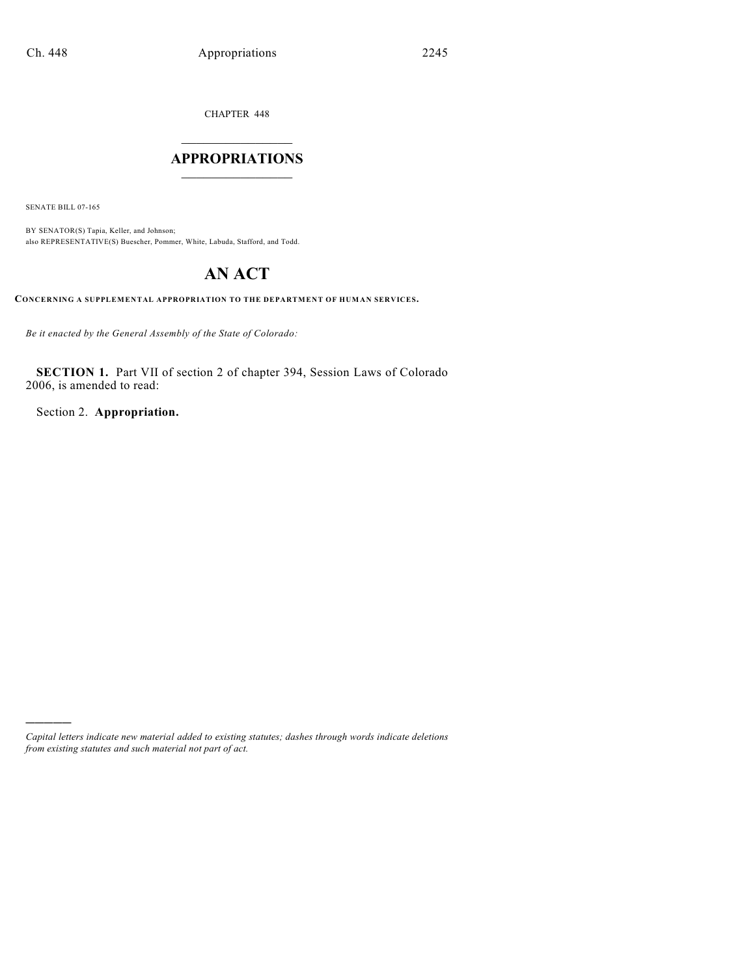CHAPTER 448

## $\mathcal{L}_\text{max}$  . The set of the set of the set of the set of the set of the set of the set of the set of the set of the set of the set of the set of the set of the set of the set of the set of the set of the set of the set **APPROPRIATIONS**  $\_$   $\_$   $\_$   $\_$   $\_$   $\_$   $\_$   $\_$

SENATE BILL 07-165

)))))

BY SENATOR(S) Tapia, Keller, and Johnson; also REPRESENTATIVE(S) Buescher, Pommer, White, Labuda, Stafford, and Todd.

# **AN ACT**

**CONCERNING A SUPPLEMENTAL APPROPRIATION TO THE DEPARTMENT OF HUMAN SERVICES.**

*Be it enacted by the General Assembly of the State of Colorado:*

**SECTION 1.** Part VII of section 2 of chapter 394, Session Laws of Colorado 2006, is amended to read:

Section 2. **Appropriation.**

*Capital letters indicate new material added to existing statutes; dashes through words indicate deletions from existing statutes and such material not part of act.*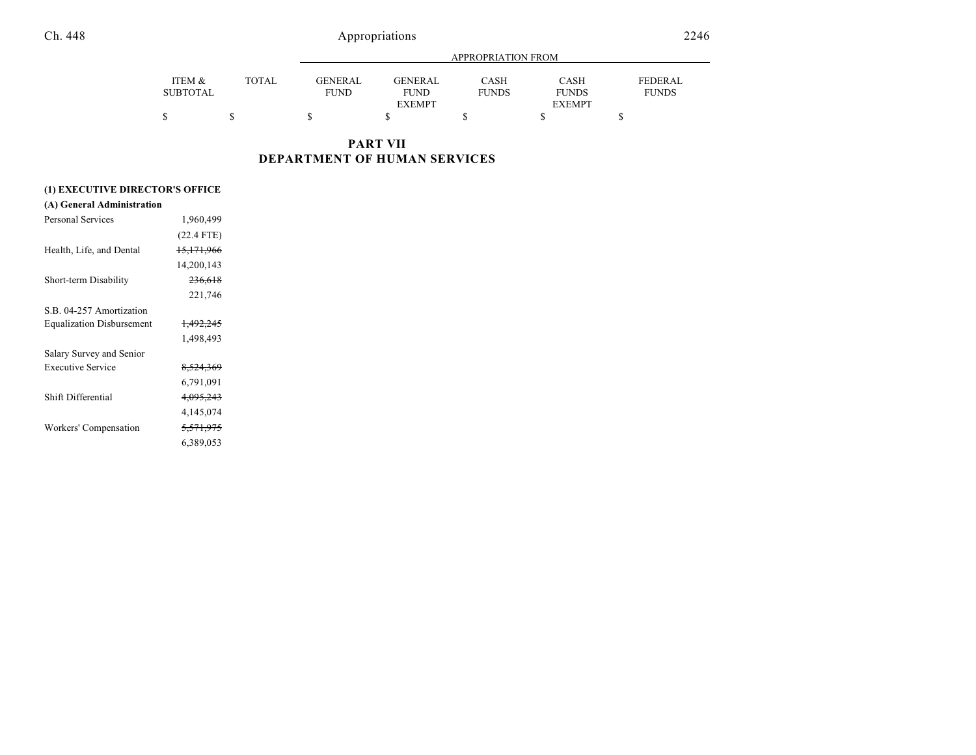|          |              |                |                | APPROPRIATION FROM |               |                |
|----------|--------------|----------------|----------------|--------------------|---------------|----------------|
|          |              |                |                |                    |               |                |
| ITEM &   | <b>TOTAL</b> | <b>GENERAL</b> | <b>GENERAL</b> | CASH               | CASH          | <b>FEDERAL</b> |
| SUBTOTAL |              | <b>FUND</b>    | <b>FUND</b>    | <b>FUNDS</b>       | <b>FUNDS</b>  | <b>FUNDS</b>   |
|          |              |                | <b>EXEMPT</b>  |                    | <b>EXEMPT</b> |                |
|          |              |                |                |                    |               |                |

**PART VII DEPARTMENT OF HUMAN SERVICES**

## **(A) General Administration**

| Personal Services                | 1,960,499            |  |
|----------------------------------|----------------------|--|
|                                  | $(22.4$ FTE)         |  |
| Health, Life, and Dental         | 15,171,966           |  |
|                                  | 14,200,143           |  |
| Short-term Disability            | 236,618              |  |
|                                  | 221,746              |  |
| S.B. 04-257 Amortization         |                      |  |
| <b>Equalization Disbursement</b> | 1,492,245            |  |
|                                  | 1,498,493            |  |
| Salary Survey and Senior         |                      |  |
| <b>Executive Service</b>         | 8,524,369            |  |
|                                  | 6,791,091            |  |
| Shift Differential               | 4,095,243            |  |
|                                  | 4,145,074            |  |
| Workers' Compensation            | <del>5,571,975</del> |  |
|                                  | 6,389,053            |  |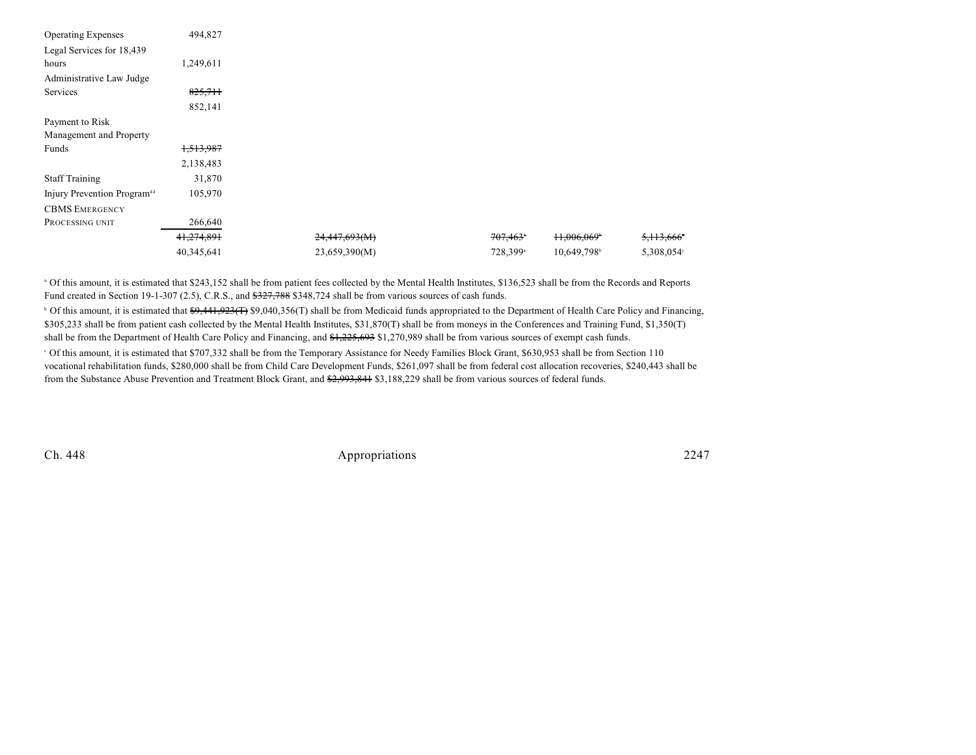| <b>Operating Expenses</b>               | 494,827    |               |                        |              |            |
|-----------------------------------------|------------|---------------|------------------------|--------------|------------|
| Legal Services for 18,439               |            |               |                        |              |            |
| hours                                   | 1,249,611  |               |                        |              |            |
| Administrative Law Judge                |            |               |                        |              |            |
| Services                                | 825,711    |               |                        |              |            |
|                                         | 852,141    |               |                        |              |            |
| Payment to Risk                         |            |               |                        |              |            |
| Management and Property                 |            |               |                        |              |            |
| Funds                                   | 1,513,987  |               |                        |              |            |
|                                         | 2,138,483  |               |                        |              |            |
| <b>Staff Training</b>                   | 31,870     |               |                        |              |            |
| Injury Prevention Program <sup>44</sup> | 105,970    |               |                        |              |            |
| <b>CBMS EMERGENCY</b>                   |            |               |                        |              |            |
| PROCESSING UNIT                         | 266,640    |               |                        |              |            |
|                                         | 41,274,891 | 24,447,693(M) | $707,463$ <sup>*</sup> | $+1,006,069$ | 5,113,666  |
|                                         | 40,345,641 | 23,659,390(M) | 728,399 <sup>a</sup>   | 10,649,798   | 5,308,054° |

<sup>a</sup> Of this amount, it is estimated that \$243,152 shall be from patient fees collected by the Mental Health Institutes, \$136,523 shall be from the Records and Reports Fund created in Section 19-1-307 (2.5), C.R.S., and  $\frac{227,788}{348,724}$  shall be from various sources of cash funds.

<sup>b</sup> Of this amount, it is estimated that  $\frac{69,441,923(T)}{99,040,356(T)}$  shall be from Medicaid funds appropriated to the Department of Health Care Policy and Financing, \$305,233 shall be from patient cash collected by the Mental Health Institutes, \$31,870(T) shall be from moneys in the Conferences and Training Fund, \$1,350(T) shall be from the Department of Health Care Policy and Financing, and  $\frac{1}{225,693}$  \$1,270,989 shall be from various sources of exempt cash funds. Of this amount, it is estimated that \$707,332 shall be from the Temporary Assistance for Needy Families Block Grant, \$630,953 shall be from Section 110 c vocational rehabilitation funds, \$280,000 shall be from Child Care Development Funds, \$261,097 shall be from federal cost allocation recoveries, \$240,443 shall be from the Substance Abuse Prevention and Treatment Block Grant, and \$2,993,841 \$3,188,229 shall be from various sources of federal funds.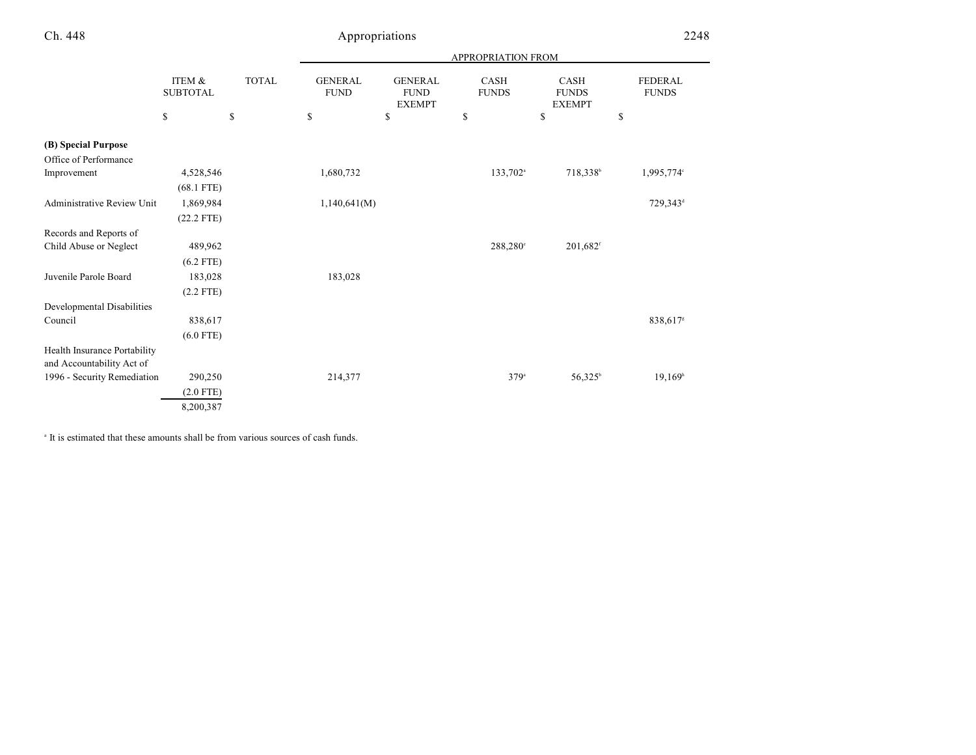|                                   |                                 |                    |                                     |                                                      | <b>APPROPRIATION FROM</b>         |                                             |                                      |
|-----------------------------------|---------------------------------|--------------------|-------------------------------------|------------------------------------------------------|-----------------------------------|---------------------------------------------|--------------------------------------|
|                                   | ITEM &<br><b>SUBTOTAL</b><br>\$ | <b>TOTAL</b><br>\$ | <b>GENERAL</b><br><b>FUND</b><br>\$ | <b>GENERAL</b><br><b>FUND</b><br><b>EXEMPT</b><br>\$ | <b>CASH</b><br><b>FUNDS</b><br>\$ | CASH<br><b>FUNDS</b><br><b>EXEMPT</b><br>\$ | <b>FEDERAL</b><br><b>FUNDS</b><br>\$ |
|                                   |                                 |                    |                                     |                                                      |                                   |                                             |                                      |
| (B) Special Purpose               |                                 |                    |                                     |                                                      |                                   |                                             |                                      |
| Office of Performance             |                                 |                    |                                     |                                                      |                                   |                                             |                                      |
| Improvement                       | 4,528,546                       |                    | 1,680,732                           |                                                      | 133,702 <sup>a</sup>              | 718,338 <sup>b</sup>                        | 1,995,774°                           |
|                                   | $(68.1$ FTE)                    |                    |                                     |                                                      |                                   |                                             |                                      |
| <b>Administrative Review Unit</b> | 1,869,984                       |                    | 1,140,641(M)                        |                                                      |                                   |                                             | 729,343 <sup>d</sup>                 |
|                                   | $(22.2$ FTE)                    |                    |                                     |                                                      |                                   |                                             |                                      |
| Records and Reports of            |                                 |                    |                                     |                                                      |                                   |                                             |                                      |
| Child Abuse or Neglect            | 489,962                         |                    |                                     |                                                      | 288,280°                          | 201,682 <sup>f</sup>                        |                                      |
|                                   | $(6.2$ FTE)                     |                    |                                     |                                                      |                                   |                                             |                                      |
| Juvenile Parole Board             | 183,028                         |                    | 183,028                             |                                                      |                                   |                                             |                                      |
|                                   | $(2.2$ FTE)                     |                    |                                     |                                                      |                                   |                                             |                                      |
| Developmental Disabilities        |                                 |                    |                                     |                                                      |                                   |                                             |                                      |
| Council                           | 838,617                         |                    |                                     |                                                      |                                   |                                             | 838,617 <sup>s</sup>                 |
|                                   | $(6.0$ FTE)                     |                    |                                     |                                                      |                                   |                                             |                                      |
| Health Insurance Portability      |                                 |                    |                                     |                                                      |                                   |                                             |                                      |
| and Accountability Act of         |                                 |                    |                                     |                                                      |                                   |                                             |                                      |
| 1996 - Security Remediation       | 290,250                         |                    | 214,377                             |                                                      | $379^{\circ}$                     | $56,325^{\circ}$                            | 19,169 <sup>h</sup>                  |
|                                   | $(2.0$ FTE)                     |                    |                                     |                                                      |                                   |                                             |                                      |
|                                   | 8,200,387                       |                    |                                     |                                                      |                                   |                                             |                                      |

<sup>a</sup> It is estimated that these amounts shall be from various sources of cash funds.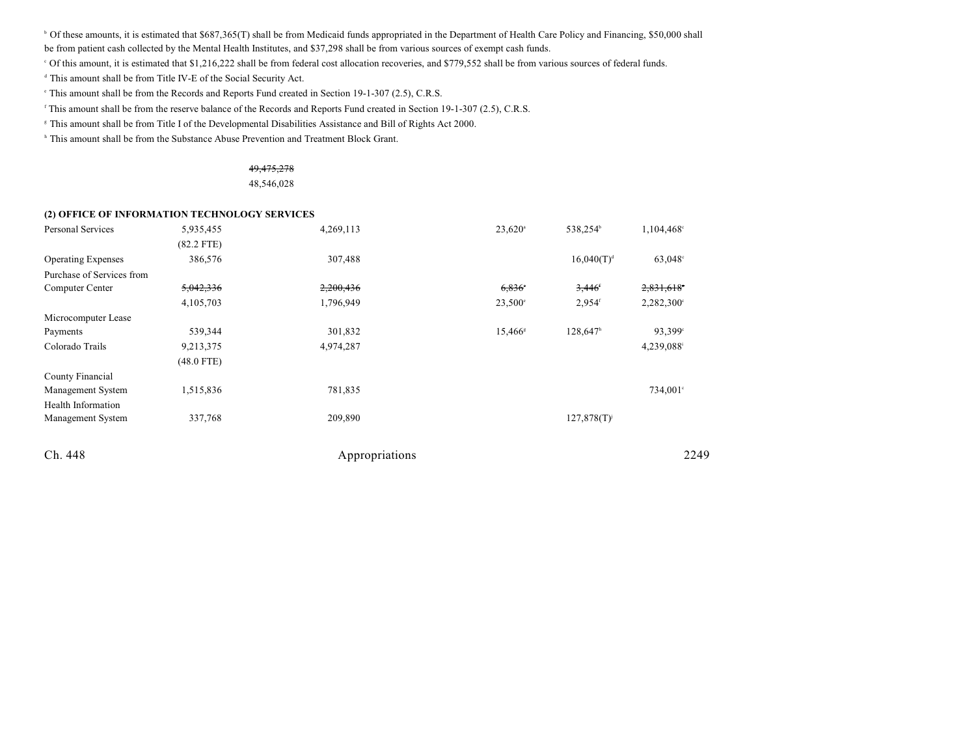<sup>b</sup> Of these amounts, it is estimated that \$687,365(T) shall be from Medicaid funds appropriated in the Department of Health Care Policy and Financing, \$50,000 shall

be from patient cash collected by the Mental Health Institutes, and \$37,298 shall be from various sources of exempt cash funds.

Of this amount, it is estimated that \$1,216,222 shall be from federal cost allocation recoveries, and \$779,552 shall be from various sources of federal funds. <sup>c</sup>

<sup>d</sup> This amount shall be from Title IV-E of the Social Security Act.

This amount shall be from the Records and Reports Fund created in Section 19-1-307 (2.5), C.R.S.

This amount shall be from the reserve balance of the Records and Reports Fund created in Section 19-1-307 (2.5), C.R.S.

This amount shall be from Title I of the Developmental Disabilities Assistance and Bill of Rights Act 2000. <sup>g</sup>

<sup>h</sup> This amount shall be from the Substance Abuse Prevention and Treatment Block Grant.

## 49,475,278

48,546,028

#### **(2) OFFICE OF INFORMATION TECHNOLOGY SERVICES**

| <b>Personal Services</b>  | 5,935,455    | 4,269,113      | $23,620$ <sup>a</sup> | 538,254 <sup>b</sup> | 1,104,468°          |
|---------------------------|--------------|----------------|-----------------------|----------------------|---------------------|
|                           | $(82.2$ FTE) |                |                       |                      |                     |
| <b>Operating Expenses</b> | 386,576      | 307,488        |                       | $16,040(T)^{d}$      | 63,048°             |
| Purchase of Services from |              |                |                       |                      |                     |
| Computer Center           | 5,042,336    | 2,200,436      | 6,836                 | 3,446'               | $2,831,618$ °       |
|                           | 4,105,703    | 1,796,949      | $23,500^{\circ}$      | $2,954$ <sup>f</sup> | $2,282,300^{\circ}$ |
| Microcomputer Lease       |              |                |                       |                      |                     |
| Payments                  | 539,344      | 301,832        | 15,466 <sup>s</sup>   | 128,647h             | 93,399°             |
| Colorado Trails           | 9,213,375    | 4,974,287      |                       |                      | 4,239,088           |
|                           | $(48.0$ FTE) |                |                       |                      |                     |
| County Financial          |              |                |                       |                      |                     |
| Management System         | 1,515,836    | 781,835        |                       |                      | 734,001°            |
| Health Information        |              |                |                       |                      |                     |
| Management System         | 337,768      | 209,890        |                       | $127,878(T)^{j}$     |                     |
| Ch. 448                   |              | Appropriations |                       |                      | 2249                |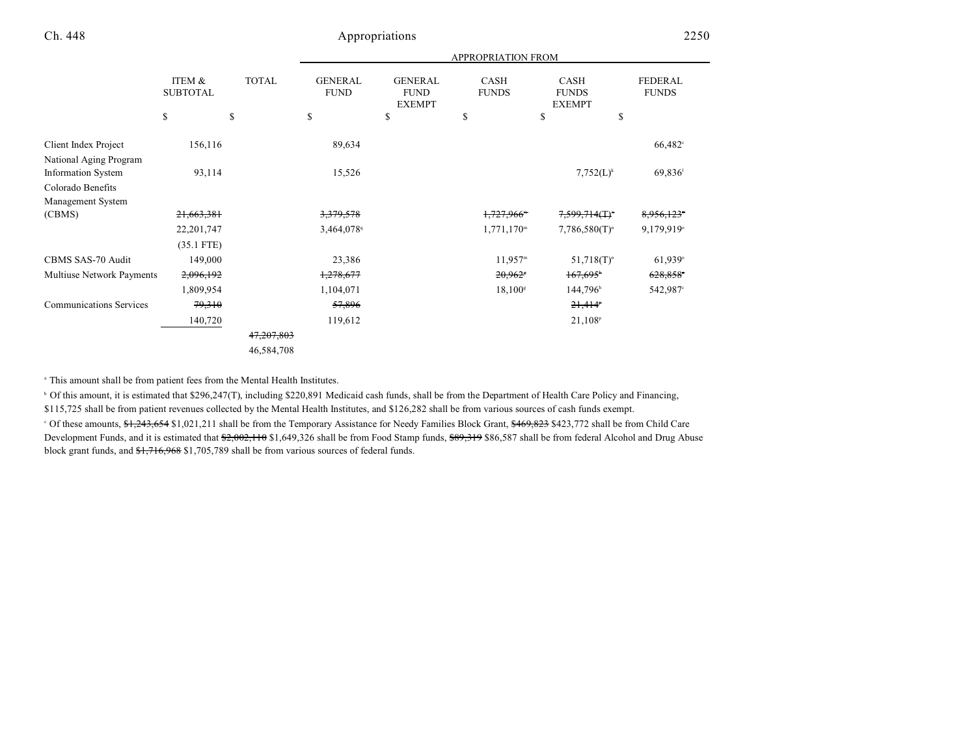| ITEM &       | <b>TOTAL</b>          | <b>GENERAL</b><br><b>FUND</b> | <b>GENERAL</b><br><b>FUND</b><br><b>EXEMPT</b> | CASH<br><b>FUNDS</b> | <b>CASH</b><br><b>FUNDS</b><br><b>EXEMPT</b> | <b>FEDERAL</b><br><b>FUNDS</b> |
|--------------|-----------------------|-------------------------------|------------------------------------------------|----------------------|----------------------------------------------|--------------------------------|
|              | \$                    | \$                            | S                                              | \$                   | \$<br>\$                                     |                                |
| 156,116      |                       | 89,634                        |                                                |                      |                                              | 66,482°                        |
|              |                       |                               |                                                |                      |                                              |                                |
| 93,114       |                       | 15,526                        |                                                |                      | $7,752(L)^k$                                 | 69,836                         |
|              |                       |                               |                                                |                      |                                              |                                |
|              |                       |                               |                                                |                      |                                              |                                |
| 21,663,381   |                       | 3,379,578                     |                                                | 1,727,966            | $7,599,714($ T)"                             | 8,956,123°                     |
| 22, 201, 747 |                       | 3,464,078                     |                                                | $1,771,170^{\rm m}$  | $7,786,580(T)^n$                             | 9,179,919°                     |
| $(35.1$ FTE) |                       |                               |                                                |                      |                                              |                                |
| 149,000      |                       | 23,386                        |                                                | $11,957^m$           | $51,718(T)^n$                                | $61,939^\circ$                 |
| 2,096,192    |                       | <del>1,278,677</del>          |                                                | 20,962               | $167,695$ <sup>*</sup>                       | $628,858$ <sup>*</sup>         |
| 1,809,954    |                       | 1,104,071                     |                                                | $18,100^{\rm s}$     | $144,796$ <sup>h</sup>                       | 542,987°                       |
| 79,310       |                       | 57,896                        |                                                |                      | $21,414^p$                                   |                                |
| 140,720      |                       | 119,612                       |                                                |                      | $21,108^p$                                   |                                |
|              | 47,207,803            |                               |                                                |                      |                                              |                                |
|              | 46,584,708            |                               |                                                |                      |                                              |                                |
|              | <b>SUBTOTAL</b><br>\$ |                               |                                                |                      |                                              | <b>APPROPRIATION FROM</b>      |

<sup>a</sup> This amount shall be from patient fees from the Mental Health Institutes.

<sup>b</sup> Of this amount, it is estimated that \$296,247(T), including \$220,891 Medicaid cash funds, shall be from the Department of Health Care Policy and Financing, \$115,725 shall be from patient revenues collected by the Mental Health Institutes, and \$126,282 shall be from various sources of cash funds exempt. <sup>c</sup> Of these amounts, \$1,243,654 \$1,021,211 shall be from the Temporary Assistance for Needy Families Block Grant, \$469,823 \$423,772 shall be from Child Care Development Funds, and it is estimated that \$2,002,110 \$1,649,326 shall be from Food Stamp funds, \$89,319 \$86,587 shall be from federal Alcohol and Drug Abuse block grant funds, and \$1,716,968 \$1,705,789 shall be from various sources of federal funds.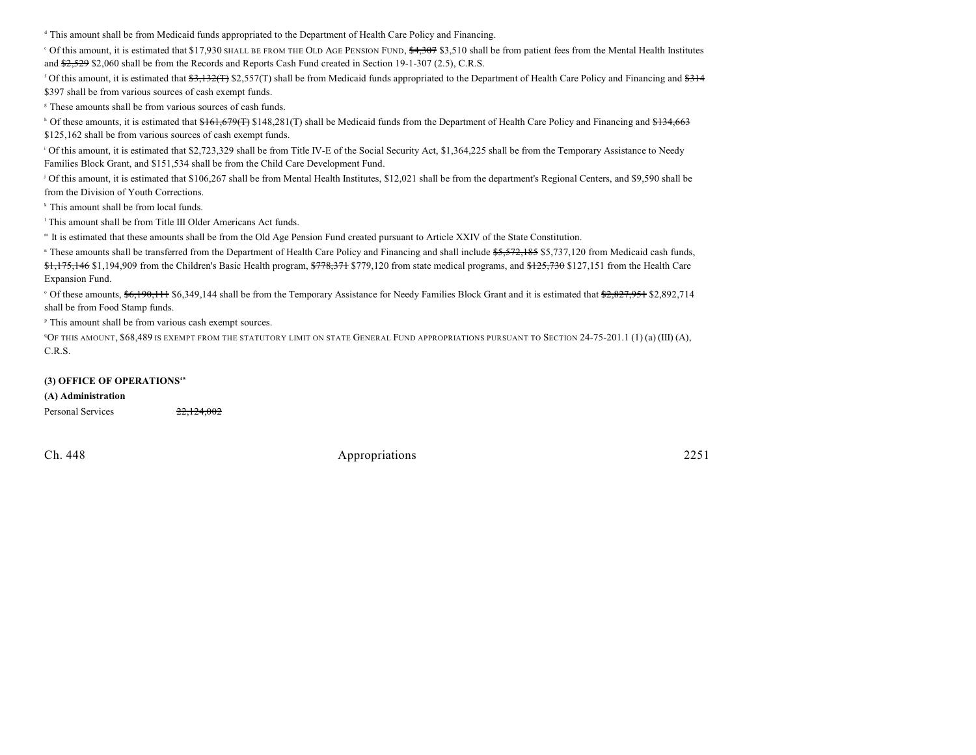<sup>d</sup> This amount shall be from Medicaid funds appropriated to the Department of Health Care Policy and Financing.

 $\degree$  Of this amount, it is estimated that \$17,930 SHALL BE FROM THE OLD AGE PENSION FUND,  $\frac{4,307}{4,307}$  \$3,510 shall be from patient fees from the Mental Health Institutes and \$2,529 \$2,060 shall be from the Records and Reports Cash Fund created in Section 19-1-307 (2.5), C.R.S.

<sup>f</sup> Of this amount, it is estimated that  $\frac{43,132}{11}$  \$2,557(T) shall be from Medicaid funds appropriated to the Department of Health Care Policy and Financing and  $\frac{4314}{11}$ \$397 shall be from various sources of cash exempt funds.

<sup>8</sup> These amounts shall be from various sources of cash funds.

<sup>h</sup> Of these amounts, it is estimated that  $$161,679$ (T) \$148,281(T) shall be Medicaid funds from the Department of Health Care Policy and Financing and \$134,663 \$125,162 shall be from various sources of cash exempt funds.

<sup>1</sup> Of this amount, it is estimated that \$2,723,329 shall be from Title IV-E of the Social Security Act, \$1,364,225 shall be from the Temporary Assistance to Needy Families Block Grant, and \$151,534 shall be from the Child Care Development Fund.

<sup>1</sup> Of this amount, it is estimated that \$106,267 shall be from Mental Health Institutes, \$12,021 shall be from the department's Regional Centers, and \$9,590 shall be from the Division of Youth Corrections.

<sup>k</sup> This amount shall be from local funds.

<sup>1</sup> This amount shall be from Title III Older Americans Act funds.

It is estimated that these amounts shall be from the Old Age Pension Fund created pursuant to Article XXIV of the State Constitution. <sup>m</sup>

" These amounts shall be transferred from the Department of Health Care Policy and Financing and shall include \$5,572,185 \$5,737,120 from Medicaid cash funds, \$1,175,146 \$1,194,909 from the Children's Basic Health program, \$778,371 \$779,120 from state medical programs, and \$125,730 \$127,151 from the Health Care Expansion Fund.

Of these amounts,  $\frac{6,190,111}{6,349,144}$  shall be from the Temporary Assistance for Needy Families Block Grant and it is estimated that  $\frac{2,827,951}{2,892,714}$ shall be from Food Stamp funds.

<sup>P</sup> This amount shall be from various cash exempt sources.

<sup>4</sup>OF THIS AMOUNT, \$68,489 IS EXEMPT FROM THE STATUTORY LIMIT ON STATE GENERAL FUND APPROPRIATIONS PURSUANT TO SECTION 24-75-201.1 (1) (a) (III) (A), C.R.S.

#### **(3) OFFICE OF OPERATIONS<sup>45</sup>**

#### **(A) Administration**

Personal Services 22,124,002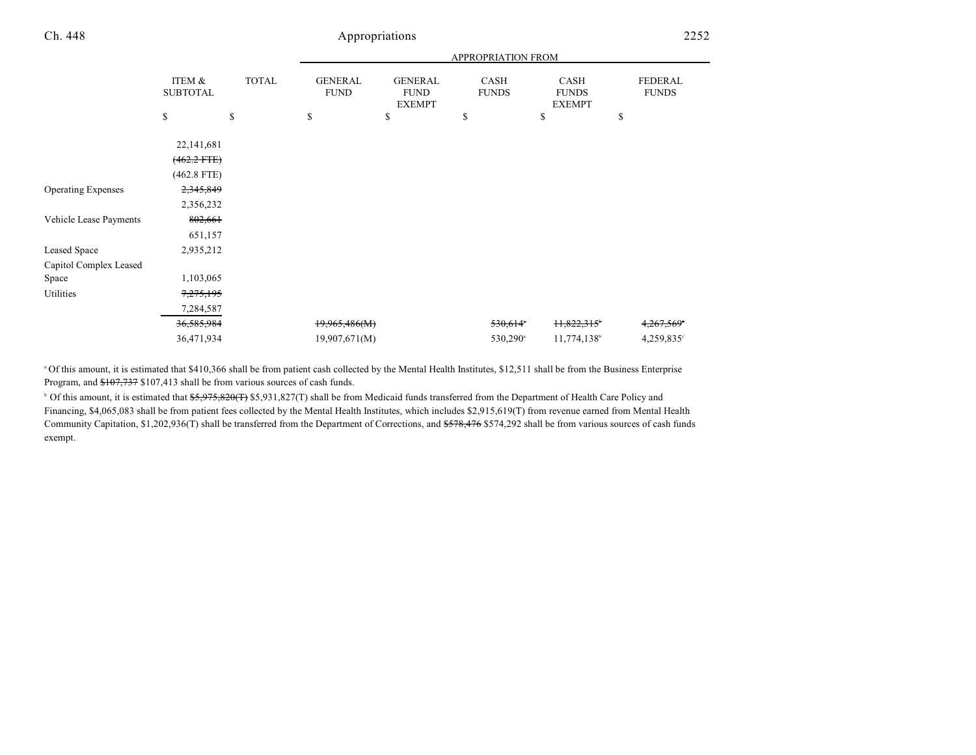|                           |                           |              |                               |                                                | <b>APPROPRIATION FROM</b> |                                              |                                |
|---------------------------|---------------------------|--------------|-------------------------------|------------------------------------------------|---------------------------|----------------------------------------------|--------------------------------|
|                           | ITEM &<br><b>SUBTOTAL</b> | <b>TOTAL</b> | <b>GENERAL</b><br><b>FUND</b> | <b>GENERAL</b><br><b>FUND</b><br><b>EXEMPT</b> | CASH<br><b>FUNDS</b>      | <b>CASH</b><br><b>FUNDS</b><br><b>EXEMPT</b> | <b>FEDERAL</b><br><b>FUNDS</b> |
|                           | \$                        | \$           | \$                            | \$                                             | \$                        | \$                                           | \$                             |
|                           | 22,141,681                |              |                               |                                                |                           |                                              |                                |
|                           | $(462.2$ FTE $)$          |              |                               |                                                |                           |                                              |                                |
|                           | $(462.8$ FTE)             |              |                               |                                                |                           |                                              |                                |
| <b>Operating Expenses</b> | 2,345,849                 |              |                               |                                                |                           |                                              |                                |
|                           | 2,356,232                 |              |                               |                                                |                           |                                              |                                |
| Vehicle Lease Payments    | 802,661                   |              |                               |                                                |                           |                                              |                                |
|                           | 651,157                   |              |                               |                                                |                           |                                              |                                |
| Leased Space              | 2,935,212                 |              |                               |                                                |                           |                                              |                                |
| Capitol Complex Leased    |                           |              |                               |                                                |                           |                                              |                                |
| Space                     | 1,103,065                 |              |                               |                                                |                           |                                              |                                |
| Utilities                 | 7,275,195                 |              |                               |                                                |                           |                                              |                                |
|                           | 7,284,587                 |              |                               |                                                |                           |                                              |                                |
|                           | 36,585,984                |              | 19,965,486(M)                 |                                                | 530,614*                  | $11,822,315$ <sup>*</sup>                    | 4,267,569°                     |
|                           | 36,471,934                |              | 19,907,671(M)                 |                                                | $530,290^{\circ}$         | 11,774,138 <sup>b</sup>                      | $4,259,835$ °                  |

<sup>a</sup> Of this amount, it is estimated that \$410,366 shall be from patient cash collected by the Mental Health Institutes, \$12,511 shall be from the Business Enterprise Program, and \$107,737 \$107,413 shall be from various sources of cash funds.

<sup>b</sup> Of this amount, it is estimated that <del>\$5,975,820(T</del>) \$5,931,827(T) shall be from Medicaid funds transferred from the Department of Health Care Policy and Financing, \$4,065,083 shall be from patient fees collected by the Mental Health Institutes, which includes \$2,915,619(T) from revenue earned from Mental Health Community Capitation, \$1,202,936(T) shall be transferred from the Department of Corrections, and \$578,476 \$574,292 shall be from various sources of cash funds exempt.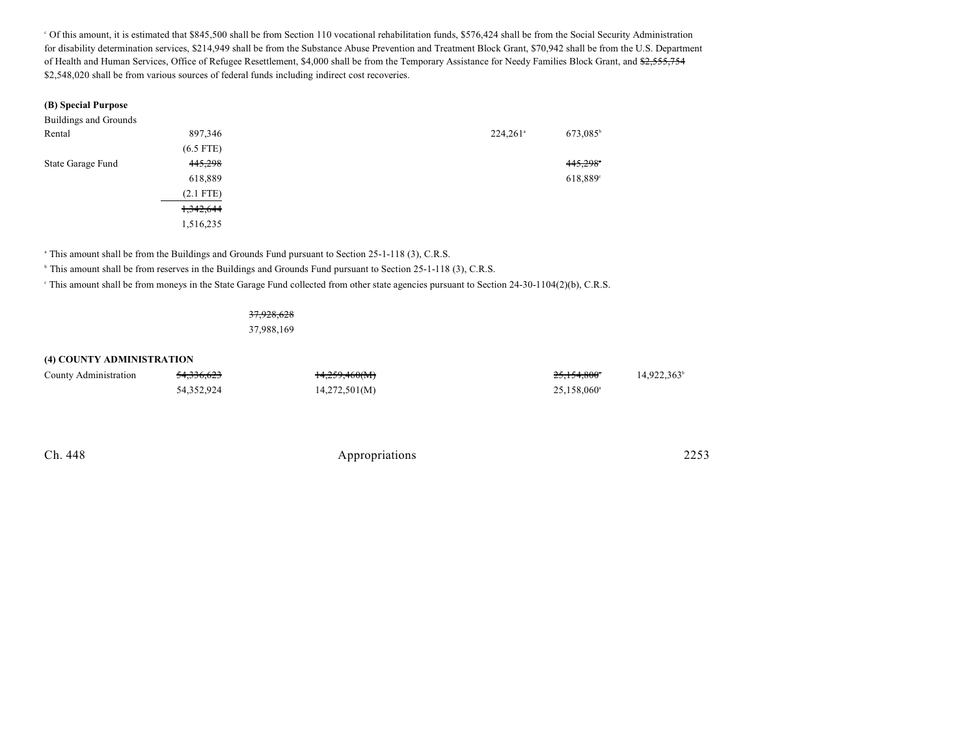Of this amount, it is estimated that \$845,500 shall be from Section 110 vocational rehabilitation funds, \$576,424 shall be from the Social Security Administration <sup>c</sup> for disability determination services, \$214,949 shall be from the Substance Abuse Prevention and Treatment Block Grant, \$70,942 shall be from the U.S. Department of Health and Human Services, Office of Refugee Resettlement, \$4,000 shall be from the Temporary Assistance for Needy Families Block Grant, and \$2,555,754 \$2,548,020 shall be from various sources of federal funds including indirect cost recoveries.

#### **(B) Special Purpose**

| Buildings and Grounds |             |                        |                      |
|-----------------------|-------------|------------------------|----------------------|
| Rental                | 897,346     | $224,261$ <sup>a</sup> | 673,085 <sup>b</sup> |
|                       | $(6.5$ FTE) |                        |                      |
| State Garage Fund     | 445,298     |                        | 445,298°             |
|                       | 618,889     |                        | 618,889 <sup>c</sup> |
|                       | $(2.1$ FTE) |                        |                      |
|                       | 1,342,644   |                        |                      |
|                       | 1,516,235   |                        |                      |

<sup>a</sup> This amount shall be from the Buildings and Grounds Fund pursuant to Section 25-1-118 (3), C.R.S.

<sup>h</sup> This amount shall be from reserves in the Buildings and Grounds Fund pursuant to Section 25-1-118 (3), C.R.S.

<sup>e</sup> This amount shall be from moneys in the State Garage Fund collected from other state agencies pursuant to Section 24-30-1104(2)(b), C.R.S.

## 37,928,628

37,988,169

#### **(4) COUNTY ADMINISTRATION**

| County Administration | <del>54,336,623</del> | 14,259,460(M) | 25,154,800*          | 14,922,363 |
|-----------------------|-----------------------|---------------|----------------------|------------|
|                       | 54,352,924            | 14,272,501(M) | $25,158,060^{\circ}$ |            |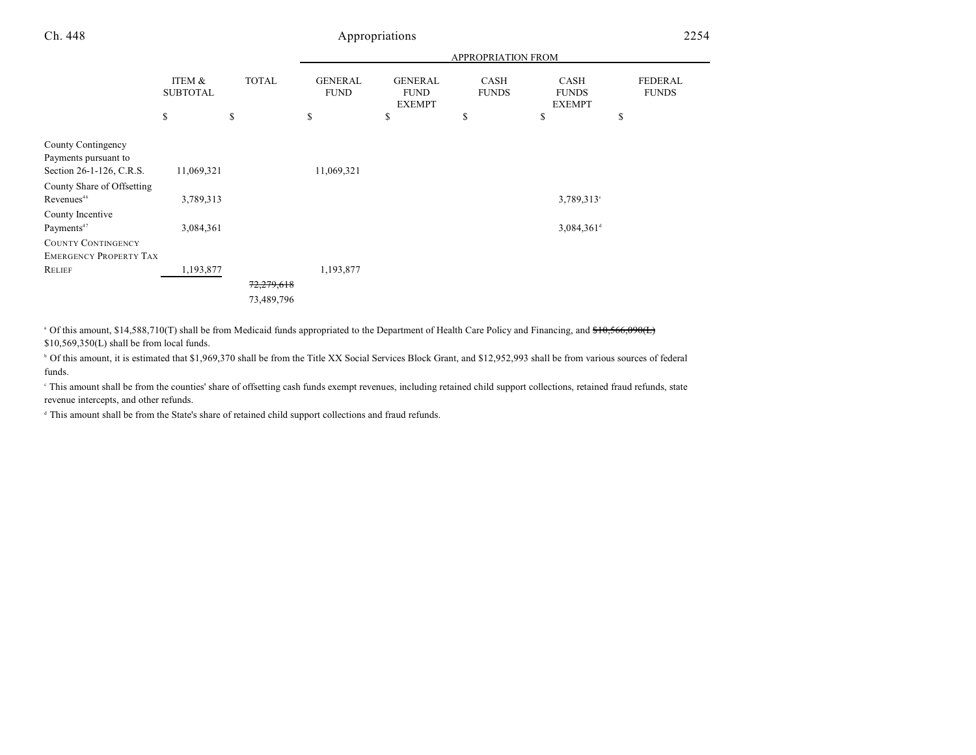|                                                                        |                           |              |                               |                                                | APPROPRIATION FROM   |                                       |                                |
|------------------------------------------------------------------------|---------------------------|--------------|-------------------------------|------------------------------------------------|----------------------|---------------------------------------|--------------------------------|
|                                                                        | ITEM &<br><b>SUBTOTAL</b> | <b>TOTAL</b> | <b>GENERAL</b><br><b>FUND</b> | <b>GENERAL</b><br><b>FUND</b><br><b>EXEMPT</b> | CASH<br><b>FUNDS</b> | CASH<br><b>FUNDS</b><br><b>EXEMPT</b> | <b>FEDERAL</b><br><b>FUNDS</b> |
|                                                                        | \$                        | \$           | \$                            | \$                                             | \$                   | \$                                    | \$                             |
| County Contingency<br>Payments pursuant to<br>Section 26-1-126, C.R.S. | 11,069,321                |              | 11,069,321                    |                                                |                      |                                       |                                |
| County Share of Offsetting<br>Revenues <sup>46</sup>                   | 3,789,313                 |              |                               |                                                |                      | $3,789,313^{\circ}$                   |                                |
| County Incentive<br>Payments <sup>47</sup>                             | 3,084,361                 |              |                               |                                                |                      | $3,084,361$ <sup>d</sup>              |                                |
| <b>COUNTY CONTINGENCY</b><br><b>EMERGENCY PROPERTY TAX</b>             |                           |              |                               |                                                |                      |                                       |                                |
| RELIEF                                                                 | 1,193,877                 | 72,279,618   | 1,193,877                     |                                                |                      |                                       |                                |
|                                                                        |                           | 73,489,796   |                               |                                                |                      |                                       |                                |

<sup>a</sup> Of this amount, \$14,588,710(T) shall be from Medicaid funds appropriated to the Department of Health Care Policy and Financing, and \$10,566,090(L) \$10,569,350(L) shall be from local funds.

<sup>b</sup> Of this amount, it is estimated that \$1,969,370 shall be from the Title XX Social Services Block Grant, and \$12,952,993 shall be from various sources of federal funds.

 This amount shall be from the counties' share of offsetting cash funds exempt revenues, including retained child support collections, retained fraud refunds, state <sup>c</sup> revenue intercepts, and other refunds.

<sup>d</sup> This amount shall be from the State's share of retained child support collections and fraud refunds.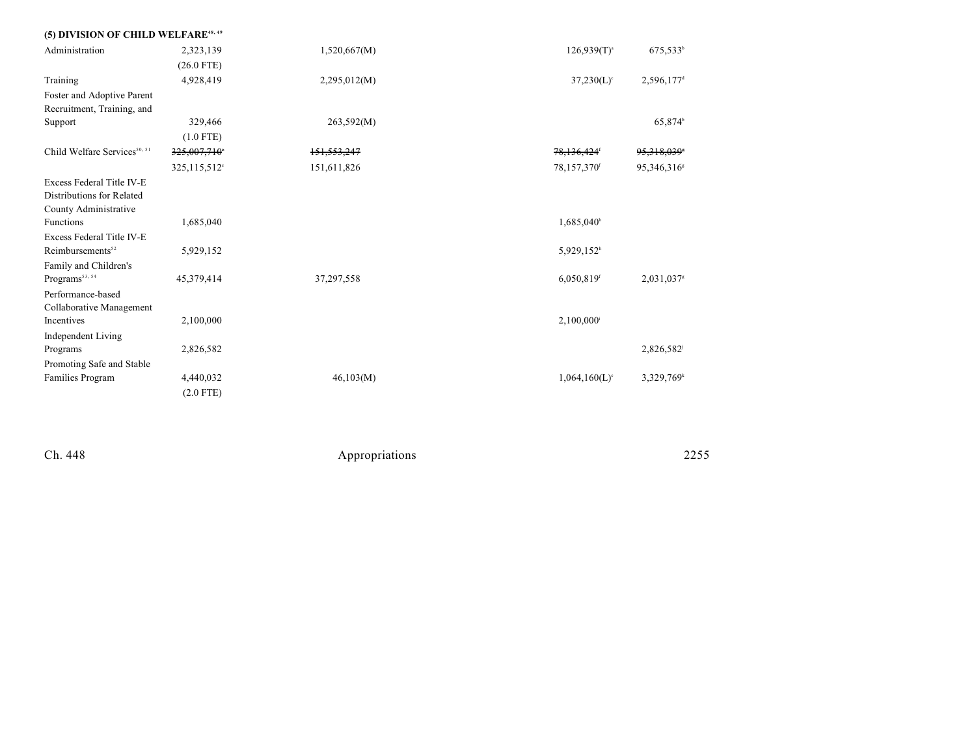| (5) DIVISION OF CHILD WELFARE <sup>48, 49</sup>                                 |                          |              |                             |                          |
|---------------------------------------------------------------------------------|--------------------------|--------------|-----------------------------|--------------------------|
| Administration                                                                  | 2,323,139                | 1,520,667(M) | $126,939(T)^{a}$            | $675,533^b$              |
|                                                                                 | $(26.0$ FTE)             |              |                             |                          |
| Training                                                                        | 4,928,419                | 2,295,012(M) | $37,230(L)$ °               | $2,596,177$ <sup>d</sup> |
| Foster and Adoptive Parent                                                      |                          |              |                             |                          |
| Recruitment, Training, and                                                      |                          |              |                             |                          |
| Support                                                                         | 329,466                  | 263,592(M)   |                             | 65,874 <sup>b</sup>      |
|                                                                                 | $(1.0$ FTE)              |              |                             |                          |
| Child Welfare Services <sup>50, 51</sup>                                        | 325,007,710°             | 151,553,247  | 78,136,424                  | 95,318,039*              |
|                                                                                 | 325,115,512 <sup>e</sup> | 151,611,826  | 78,157,370f                 | 95,346,316 <sup>s</sup>  |
| Excess Federal Title IV-E<br>Distributions for Related<br>County Administrative |                          |              |                             |                          |
| Functions                                                                       | 1,685,040                |              | 1,685,040h                  |                          |
| Excess Federal Title IV-E<br>Reimbursements <sup>52</sup>                       | 5,929,152                |              | 5,929,152 <sup>h</sup>      |                          |
| Family and Children's<br>$\rm{Programs}^{\rm 53, \, 54}$                        | 45,379,414               | 37,297,558   | 6,050,819 <sup>f</sup>      | 2,031,037                |
| Performance-based<br>Collaborative Management                                   |                          |              |                             |                          |
| Incentives                                                                      | 2,100,000                |              | 2,100,000                   |                          |
| Independent Living                                                              |                          |              |                             |                          |
| Programs                                                                        | 2,826,582                |              |                             | 2,826,582                |
| Promoting Safe and Stable                                                       |                          |              |                             |                          |
| Families Program                                                                | 4,440,032                | 46,103(M)    | $1,064,160(L)$ <sup>c</sup> | 3,329,769 <sup>k</sup>   |
|                                                                                 | $(2.0$ FTE)              |              |                             |                          |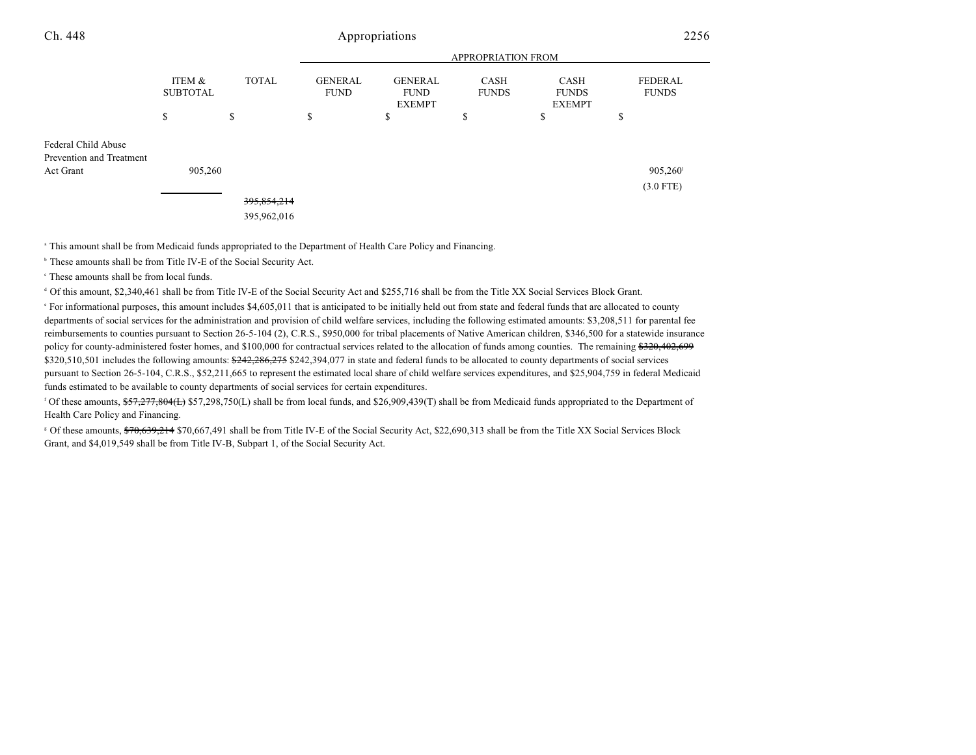| Ch. 448                                         | Appropriations            |               |                               |                                                |                      |                                       |                                | 2256 |  |
|-------------------------------------------------|---------------------------|---------------|-------------------------------|------------------------------------------------|----------------------|---------------------------------------|--------------------------------|------|--|
|                                                 |                           |               |                               | <b>APPROPRIATION FROM</b>                      |                      |                                       |                                |      |  |
|                                                 | ITEM &<br><b>SUBTOTAL</b> | <b>TOTAL</b>  | <b>GENERAL</b><br><b>FUND</b> | <b>GENERAL</b><br><b>FUND</b><br><b>EXEMPT</b> | CASH<br><b>FUNDS</b> | CASH<br><b>FUNDS</b><br><b>EXEMPT</b> | <b>FEDERAL</b><br><b>FUNDS</b> |      |  |
|                                                 | \$                        | \$            | \$                            | \$                                             | \$                   | Ф                                     | \$                             |      |  |
| Federal Child Abuse<br>Prevention and Treatment |                           |               |                               |                                                |                      |                                       |                                |      |  |
| Act Grant                                       | 905,260                   |               |                               |                                                |                      |                                       | 905,260                        |      |  |
|                                                 |                           |               |                               |                                                |                      |                                       | $(3.0$ FTE)                    |      |  |
|                                                 |                           | 395, 854, 214 |                               |                                                |                      |                                       |                                |      |  |
|                                                 |                           | 395,962,016   |                               |                                                |                      |                                       |                                |      |  |

<sup>a</sup> This amount shall be from Medicaid funds appropriated to the Department of Health Care Policy and Financing.

<sup>b</sup> These amounts shall be from Title IV-E of the Social Security Act.

 $\degree$  These amounts shall be from local funds.

 $\textdegree$  Of this amount, \$2,340,461 shall be from Title IV-E of the Social Security Act and \$255,716 shall be from the Title XX Social Services Block Grant.

 For informational purposes, this amount includes \$4,605,011 that is anticipated to be initially held out from state and federal funds that are allocated to county e departments of social services for the administration and provision of child welfare services, including the following estimated amounts: \$3,208,511 for parental fee reimbursements to counties pursuant to Section 26-5-104 (2), C.R.S., \$950,000 for tribal placements of Native American children, \$346,500 for a statewide insurance policy for county-administered foster homes, and \$100,000 for contractual services related to the allocation of funds among counties. The remaining \$320,402,699 \$320,510,501 includes the following amounts: \$242,286,275 \$242,394,077 in state and federal funds to be allocated to county departments of social services pursuant to Section 26-5-104, C.R.S., \$52,211,665 to represent the estimated local share of child welfare services expenditures, and \$25,904,759 in federal Medicaid funds estimated to be available to county departments of social services for certain expenditures.

<sup>f</sup> Of these amounts,  $$57,277,804$ (L)  $$57,298,750$ (L) shall be from local funds, and  $$26,909,439$ (T) shall be from Medicaid funds appropriated to the Department of Health Care Policy and Financing.

<sup>8</sup> Of these amounts, \$70,639,214 \$70,667,491 shall be from Title IV-E of the Social Security Act, \$22,690,313 shall be from the Title XX Social Services Block Grant, and \$4,019,549 shall be from Title IV-B, Subpart 1, of the Social Security Act.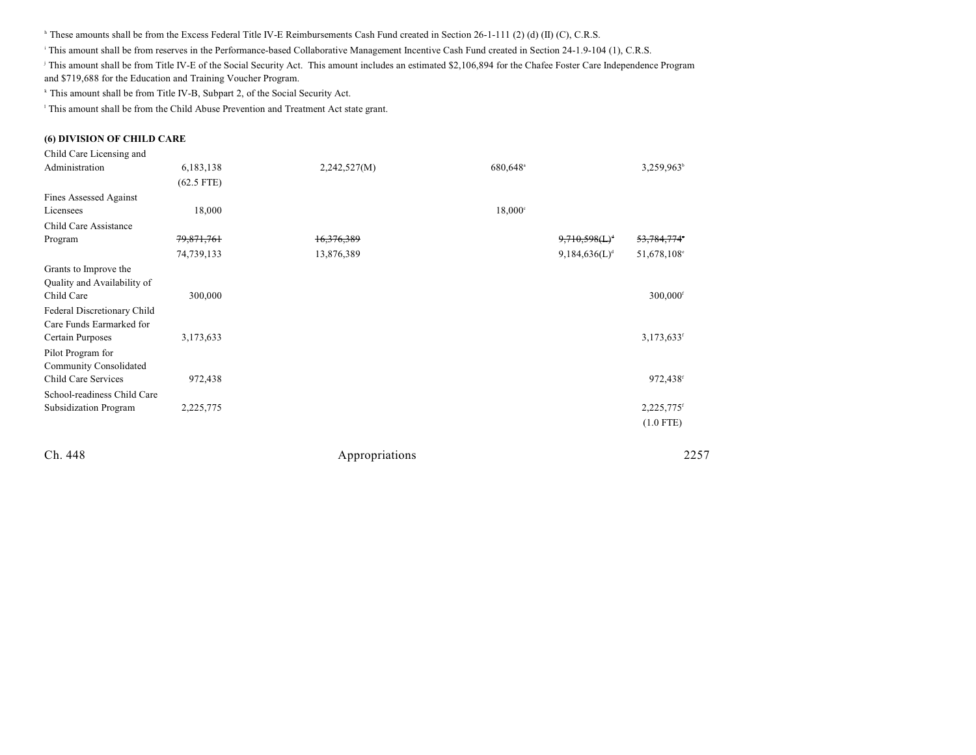$\text{``These amounts shall be from the Excess Federal Title IV-E Reinbursements Cash Fund created in Section 26-1-111 (2) (d) (II) (C), C.R.S.}$ 

This amount shall be from reserves in the Performance-based Collaborative Management Incentive Cash Fund created in Section 24-1.9-104 (1), C.R.S.

<sup>j</sup> This amount shall be from Title IV-E of the Social Security Act. This amount includes an estimated \$2,106,894 for the Chafee Foster Care Independence Program and \$719,688 for the Education and Training Voucher Program.

<sup>k</sup> This amount shall be from Title IV-B, Subpart 2, of the Social Security Act.

<sup>1</sup> This amount shall be from the Child Abuse Prevention and Treatment Act state grant.

#### **(6) DIVISION OF CHILD CARE**

| Child Care Licensing and    |              |              |                      |                           |                          |
|-----------------------------|--------------|--------------|----------------------|---------------------------|--------------------------|
| Administration              | 6,183,138    | 2,242,527(M) | 680,648 <sup>a</sup> |                           | 3,259,963 <sup>b</sup>   |
|                             | $(62.5$ FTE) |              |                      |                           |                          |
| Fines Assessed Against      |              |              |                      |                           |                          |
| Licensees                   | 18,000       |              | $18,000^{\circ}$     |                           |                          |
| Child Care Assistance       |              |              |                      |                           |                          |
| Program                     | 79,871,761   | 16,376,389   |                      | $9,710,598(L)^4$          | 53,784,774°              |
|                             | 74,739,133   | 13,876,389   |                      | 9,184,636(L) <sup>d</sup> | 51,678,108°              |
| Grants to Improve the       |              |              |                      |                           |                          |
| Quality and Availability of |              |              |                      |                           |                          |
| Child Care                  | 300,000      |              |                      |                           | 300,000f                 |
| Federal Discretionary Child |              |              |                      |                           |                          |
| Care Funds Earmarked for    |              |              |                      |                           |                          |
| Certain Purposes            | 3,173,633    |              |                      |                           | $3,173,633$ <sup>f</sup> |
| Pilot Program for           |              |              |                      |                           |                          |
| Community Consolidated      |              |              |                      |                           |                          |
| Child Care Services         | 972,438      |              |                      |                           | 972,438f                 |
| School-readiness Child Care |              |              |                      |                           |                          |
| Subsidization Program       | 2,225,775    |              |                      |                           | 2,225,775 <sup>f</sup>   |
|                             |              |              |                      |                           | $(1.0$ FTE)              |
|                             |              |              |                      |                           |                          |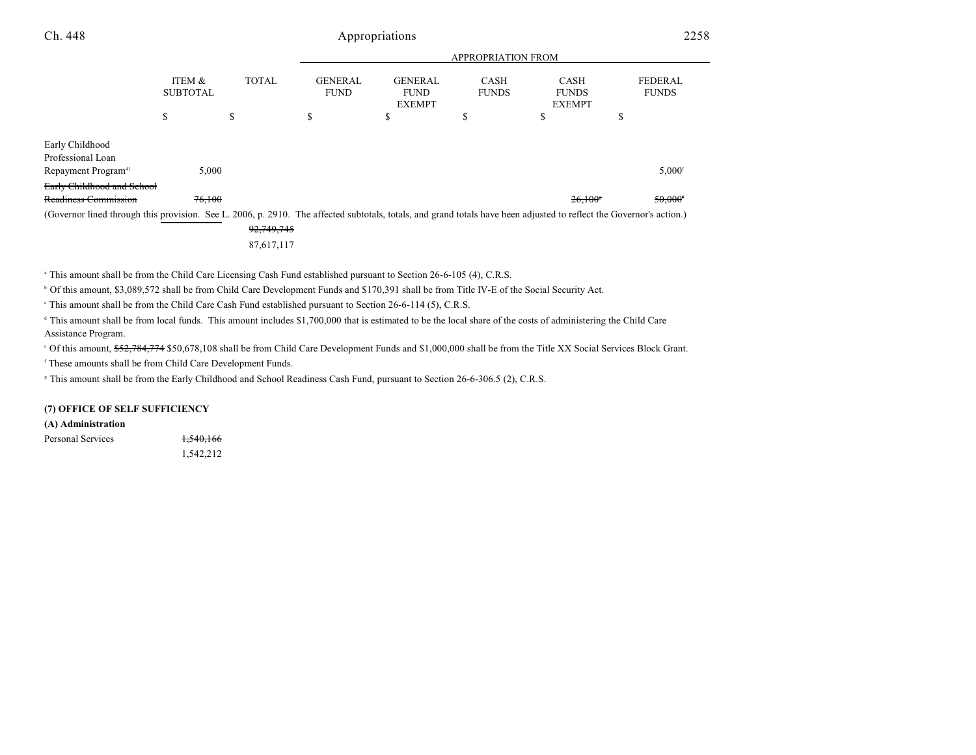|                                                                                                                                                                      |                           | <b>APPROPRIATION FROM</b> |                               |                                                |                             |                                              |                                |
|----------------------------------------------------------------------------------------------------------------------------------------------------------------------|---------------------------|---------------------------|-------------------------------|------------------------------------------------|-----------------------------|----------------------------------------------|--------------------------------|
|                                                                                                                                                                      | ITEM &<br><b>SUBTOTAL</b> | <b>TOTAL</b>              | <b>GENERAL</b><br><b>FUND</b> | <b>GENERAL</b><br><b>FUND</b><br><b>EXEMPT</b> | <b>CASH</b><br><b>FUNDS</b> | <b>CASH</b><br><b>FUNDS</b><br><b>EXEMPT</b> | <b>FEDERAL</b><br><b>FUNDS</b> |
|                                                                                                                                                                      | ъ                         | \$                        | D.                            | <sup>\$</sup>                                  | ъ                           | J.                                           | ъ                              |
| Early Childhood<br>Professional Loan<br>Repayment Program <sup>41</sup>                                                                                              | 5.000                     |                           |                               |                                                |                             |                                              | $5.000$ <sup>f</sup>           |
| Early Childhood and School                                                                                                                                           |                           |                           |                               |                                                |                             |                                              |                                |
| Readiness Commission                                                                                                                                                 | 76,100                    |                           |                               |                                                |                             | $26.100^{s}$                                 | $50,000$ <sup>f</sup>          |
| (Governor lined through this provision. See L. 2006, p. 2910. The affected subtotals, totals, and grand totals have been adjusted to reflect the Governor's action.) |                           |                           |                               |                                                |                             |                                              |                                |
|                                                                                                                                                                      |                           | 92,749,745                |                               |                                                |                             |                                              |                                |

87,617,117

<sup>a</sup> This amount shall be from the Child Care Licensing Cash Fund established pursuant to Section 26-6-105 (4), C.R.S.

<sup>b</sup> Of this amount, \$3,089,572 shall be from Child Care Development Funds and \$170,391 shall be from Title IV-E of the Social Security Act.

This amount shall be from the Child Care Cash Fund established pursuant to Section 26-6-114 (5), C.R.S.

<sup>d</sup> This amount shall be from local funds. This amount includes \$1,700,000 that is estimated to be the local share of the costs of administering the Child Care Assistance Program.

Of this amount, \$<del>52,784,774</del> \$50,678,108 shall be from Child Care Development Funds and \$1,000,000 shall be from the Title XX Social Services Block Grant.

<sup>f</sup> These amounts shall be from Child Care Development Funds.

<sup>8</sup> This amount shall be from the Early Childhood and School Readiness Cash Fund, pursuant to Section 26-6-306.5 (2), C.R.S.

#### **(7) OFFICE OF SELF SUFFICIENCY**

#### **(A) Administration**

Personal Services 1,540,166 1,542,212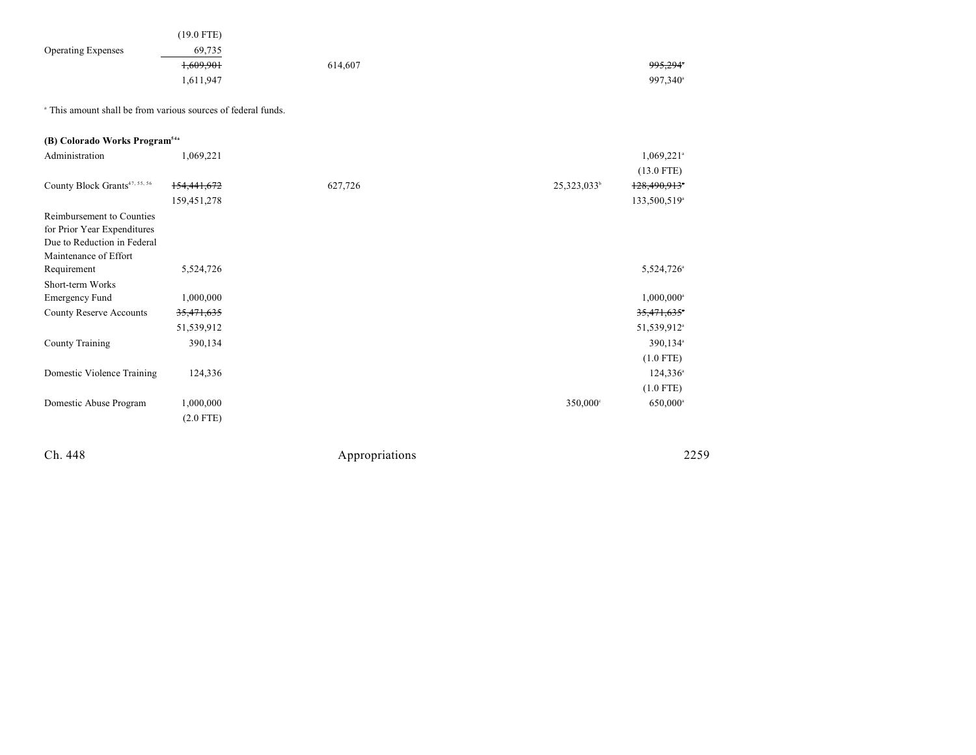| <b>Operating Expenses</b>                                                | $(19.0$ FTE)<br>69,735<br>1,609,901<br>1,611,947 | 614,607 |                         | 995,294*<br>997,340 <sup>a</sup> |  |
|--------------------------------------------------------------------------|--------------------------------------------------|---------|-------------------------|----------------------------------|--|
| <sup>a</sup> This amount shall be from various sources of federal funds. |                                                  |         |                         |                                  |  |
| (B) Colorado Works Program <sup>54a</sup>                                |                                                  |         |                         |                                  |  |
| Administration                                                           | 1,069,221                                        |         |                         | $1,069,221$ <sup>a</sup>         |  |
|                                                                          |                                                  |         |                         | $(13.0$ FTE)                     |  |
| County Block Grants <sup>47, 55, 56</sup>                                | 154,441,672                                      | 627,726 | 25,323,033 <sup>b</sup> | 128,490,913*                     |  |
|                                                                          | 159,451,278                                      |         |                         | 133,500,519 <sup>a</sup>         |  |
| Reimbursement to Counties<br>for Prior Year Expenditures                 |                                                  |         |                         |                                  |  |
| Due to Reduction in Federal<br>Maintenance of Effort                     |                                                  |         |                         |                                  |  |
| Requirement                                                              | 5,524,726                                        |         |                         | 5,524,726 <sup>a</sup>           |  |
| Short-term Works                                                         |                                                  |         |                         |                                  |  |
| <b>Emergency Fund</b>                                                    | 1,000,000                                        |         |                         | $1,000,000$ <sup>a</sup>         |  |
| <b>County Reserve Accounts</b>                                           | 35,471,635                                       |         |                         | 35,471,635                       |  |
|                                                                          | 51,539,912                                       |         |                         | 51,539,912 <sup>a</sup>          |  |
| <b>County Training</b>                                                   | 390,134                                          |         |                         | 390,134 <sup>a</sup>             |  |
|                                                                          |                                                  |         |                         | $(1.0$ FTE)                      |  |
| Domestic Violence Training                                               | 124,336                                          |         |                         | $124,336^{\circ}$                |  |
|                                                                          |                                                  |         |                         | $(1.0$ FTE)                      |  |
| Domestic Abuse Program                                                   | 1,000,000                                        |         | 350,000°                | 650,000 <sup>a</sup>             |  |
|                                                                          | $(2.0$ FTE)                                      |         |                         |                                  |  |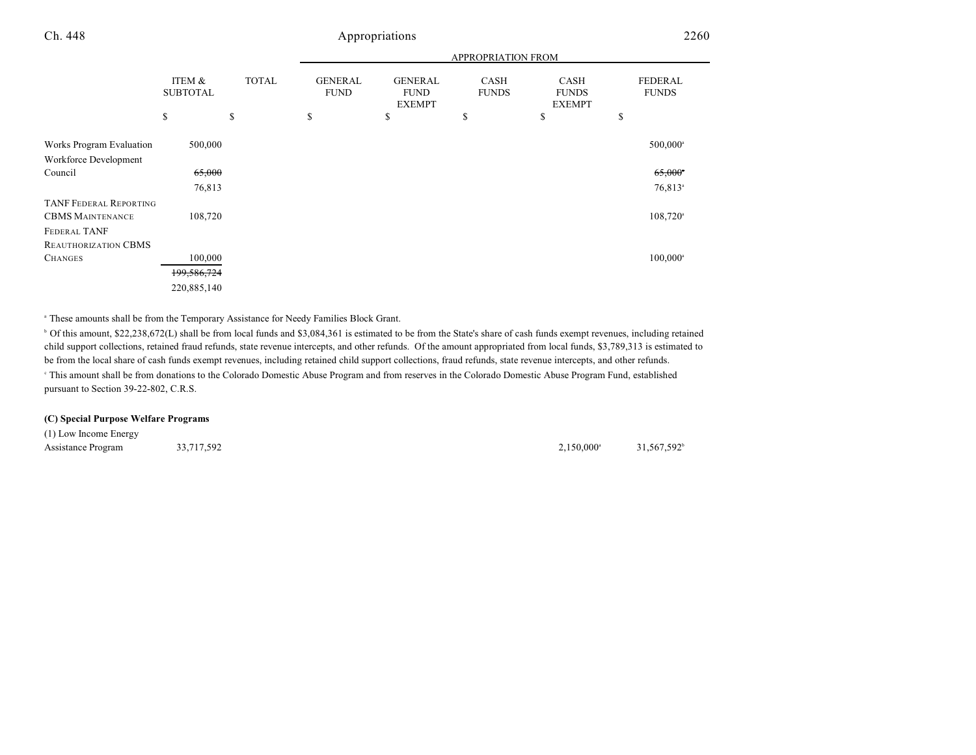|                                                                                 |                           |              |                               |                                                | <b>APPROPRIATION FROM</b> |                                       |                                |
|---------------------------------------------------------------------------------|---------------------------|--------------|-------------------------------|------------------------------------------------|---------------------------|---------------------------------------|--------------------------------|
|                                                                                 | ITEM &<br><b>SUBTOTAL</b> | <b>TOTAL</b> | <b>GENERAL</b><br><b>FUND</b> | <b>GENERAL</b><br><b>FUND</b><br><b>EXEMPT</b> | CASH<br><b>FUNDS</b>      | CASH<br><b>FUNDS</b><br><b>EXEMPT</b> | <b>FEDERAL</b><br><b>FUNDS</b> |
|                                                                                 | \$                        | \$           | \$                            | \$                                             | \$                        | \$                                    | \$                             |
| Works Program Evaluation<br>Workforce Development                               | 500,000                   |              |                               |                                                |                           |                                       | 500,000 <sup>a</sup>           |
| Council                                                                         | 65,000                    |              |                               |                                                |                           |                                       | $65,000$ <sup>*</sup>          |
|                                                                                 | 76,813                    |              |                               |                                                |                           |                                       | $76,813$ <sup>a</sup>          |
| <b>TANF FEDERAL REPORTING</b><br><b>CBMS MAINTENANCE</b><br><b>FEDERAL TANF</b> | 108,720                   |              |                               |                                                |                           |                                       | $108,720$ <sup>a</sup>         |
| REAUTHORIZATION CBMS                                                            |                           |              |                               |                                                |                           |                                       |                                |
| <b>CHANGES</b>                                                                  | 100,000                   |              |                               |                                                |                           |                                       | $100,000^{\circ}$              |
|                                                                                 | 199,586,724               |              |                               |                                                |                           |                                       |                                |
|                                                                                 | 220,885,140               |              |                               |                                                |                           |                                       |                                |

<sup>a</sup> These amounts shall be from the Temporary Assistance for Needy Families Block Grant.

<sup>b</sup> Of this amount, \$22,238,672(L) shall be from local funds and \$3,084,361 is estimated to be from the State's share of cash funds exempt revenues, including retained child support collections, retained fraud refunds, state revenue intercepts, and other refunds. Of the amount appropriated from local funds, \$3,789,313 is estimated to be from the local share of cash funds exempt revenues, including retained child support collections, fraud refunds, state revenue intercepts, and other refunds. This amount shall be from donations to the Colorado Domestic Abuse Program and from reserves in the Colorado Domestic Abuse Program Fund, established <sup>c</sup> pursuant to Section 39-22-802, C.R.S.

#### **(C) Special Purpose Welfare Programs**

(1) Low Income Energy Assistance Program 33,717,592 31,567,592 31,567,592 31,567,592 31,567,592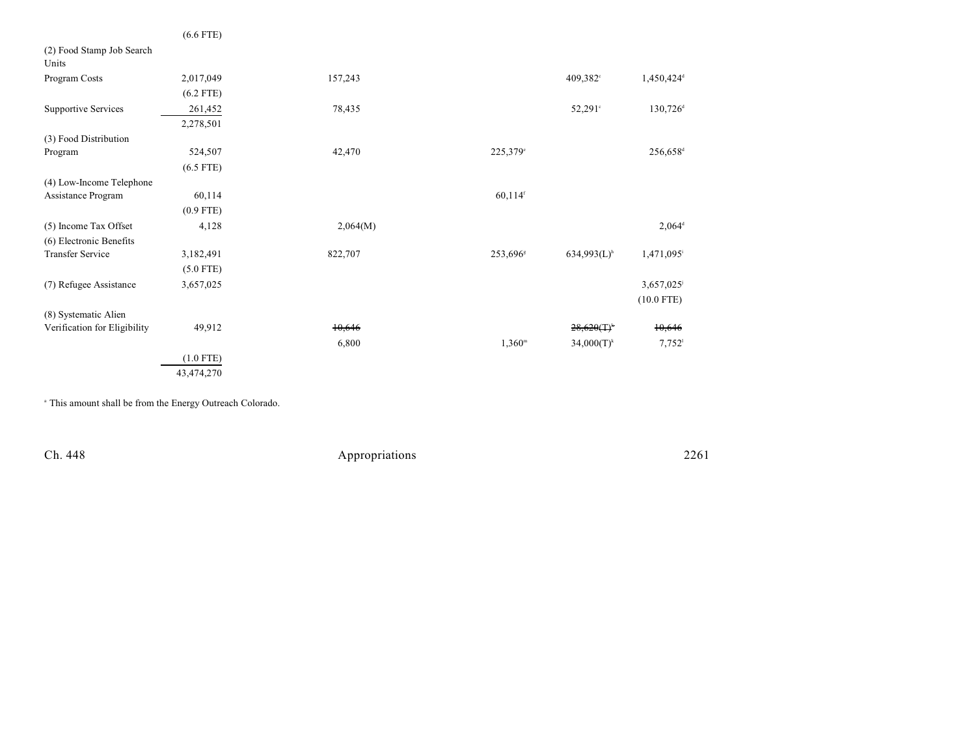|                                    | $(6.6$ FTE) |          |                       |                           |                        |
|------------------------------------|-------------|----------|-----------------------|---------------------------|------------------------|
| (2) Food Stamp Job Search<br>Units |             |          |                       |                           |                        |
| Program Costs                      | 2,017,049   | 157,243  |                       | $409,382^{\circ}$         | 1,450,424 <sup>d</sup> |
|                                    | $(6.2$ FTE) |          |                       |                           |                        |
| <b>Supportive Services</b>         | 261,452     | 78,435   |                       | $52,291^{\circ}$          | $130,726$ <sup>d</sup> |
|                                    | 2,278,501   |          |                       |                           |                        |
| (3) Food Distribution              |             |          |                       |                           |                        |
| Program                            | 524,507     | 42,470   | 225,379°              |                           | 256,658 <sup>d</sup>   |
|                                    | $(6.5$ FTE) |          |                       |                           |                        |
| (4) Low-Income Telephone           |             |          |                       |                           |                        |
| Assistance Program                 | 60,114      |          | $60,114$ <sup>f</sup> |                           |                        |
|                                    | $(0.9$ FTE) |          |                       |                           |                        |
| (5) Income Tax Offset              | 4,128       | 2,064(M) |                       |                           | $2,064^d$              |
| (6) Electronic Benefits            |             |          |                       |                           |                        |
| <b>Transfer Service</b>            | 3,182,491   | 822,707  | 253,696 <sup>s</sup>  | $634,993(L)$ <sup>h</sup> | 1,471,095 <sup>i</sup> |
|                                    | $(5.0$ FTE) |          |                       |                           |                        |
| (7) Refugee Assistance             | 3,657,025   |          |                       |                           | 3,657,025              |
|                                    |             |          |                       |                           | $(10.0$ FTE)           |
| (8) Systematic Alien               |             |          |                       |                           |                        |
| Verification for Eligibility       | 49,912      | 10,646   |                       | $28,620(T)^*$             | 10,646                 |
|                                    |             | 6,800    | $1,360^{\rm m}$       | $34,000(T)^k$             | $7,752$ <sup>1</sup>   |
|                                    | $(1.0$ FTE) |          |                       |                           |                        |
|                                    | 43,474,270  |          |                       |                           |                        |

<sup>a</sup> This amount shall be from the Energy Outreach Colorado.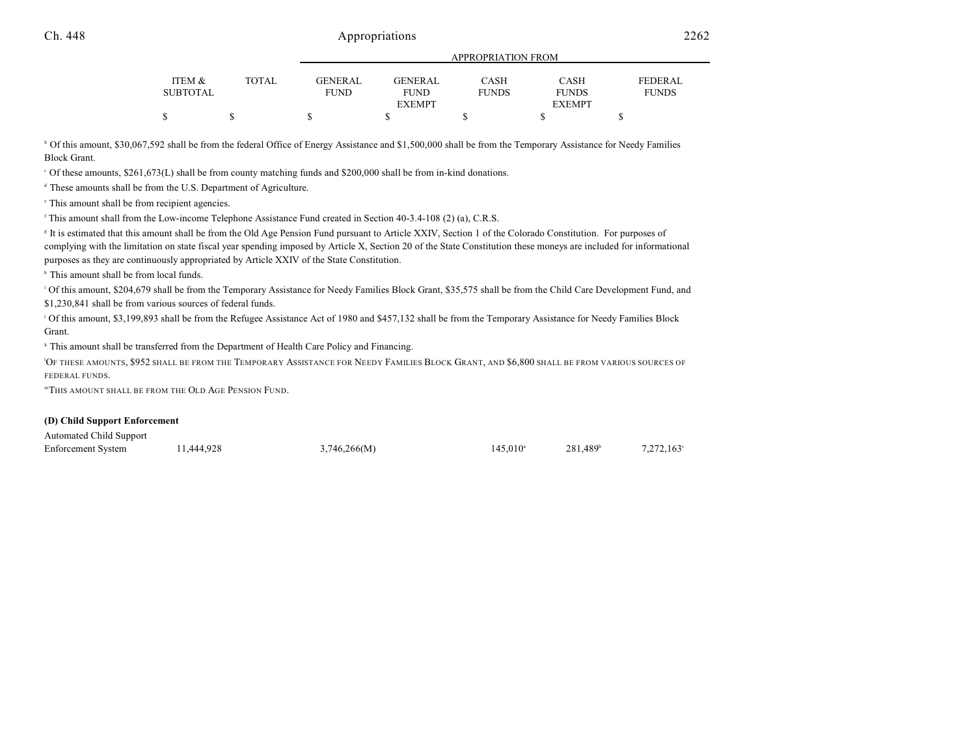|                 |       |             | APPROPRIATION FROM |              |               |                |  |  |
|-----------------|-------|-------------|--------------------|--------------|---------------|----------------|--|--|
|                 |       |             |                    |              |               |                |  |  |
| ITEM &          | TOTAL | GENERAL     | GENERAL            | CASH         | CASH          | <b>FEDERAL</b> |  |  |
| <b>SUBTOTAL</b> |       | <b>FUND</b> | <b>FUND</b>        | <b>FUNDS</b> | <b>FUNDS</b>  | <b>FUNDS</b>   |  |  |
|                 |       |             | <b>EXEMPT</b>      |              | <b>EXEMPT</b> |                |  |  |
|                 |       |             |                    |              |               |                |  |  |

<sup>b</sup> Of this amount, \$30,067,592 shall be from the federal Office of Energy Assistance and \$1,500,000 shall be from the Temporary Assistance for Needy Families Block Grant.

Of these amounts, \$261,673(L) shall be from county matching funds and \$200,000 shall be from in-kind donations. <sup>c</sup>

 $\alpha$ <sup>d</sup> These amounts shall be from the U.S. Department of Agriculture.

<sup>e</sup> This amount shall be from recipient agencies.

<sup>r</sup> This amount shall from the Low-income Telephone Assistance Fund created in Section 40-3.4-108 (2) (a), C.R.S.

<sup>8</sup> It is estimated that this amount shall be from the Old Age Pension Fund pursuant to Article XXIV, Section 1 of the Colorado Constitution. For purposes of complying with the limitation on state fiscal year spending imposed by Article X, Section 20 of the State Constitution these moneys are included for informational purposes as they are continuously appropriated by Article XXIV of the State Constitution.

<sup>h</sup> This amount shall be from local funds.

Of this amount, \$204,679 shall be from the Temporary Assistance for Needy Families Block Grant, \$35,575 shall be from the Child Care Development Fund, and \$1,230,841 shall be from various sources of federal funds.

<sup>j</sup> Of this amount, \$3,199,893 shall be from the Refugee Assistance Act of 1980 and \$457,132 shall be from the Temporary Assistance for Needy Families Block Grant.

 $k$  This amount shall be transferred from the Department of Health Care Policy and Financing.

<sup>1</sup>OF THESE AMOUNTS, \$952 SHALL BE FROM THE TEMPORARY ASSISTANCE FOR NEEDY FAMILIES BLOCK GRANT, AND \$6,800 SHALL BE FROM VARIOUS SOURCES OF FEDERAL FUNDS.

"This amount shall be from the Old Age Pension Fund.

#### **(D) Child Support Enforcement**

Automated Child Support

Enforcement System 11,444,928 3,746,266(M) 145,010 281,489 281,489 7,272,163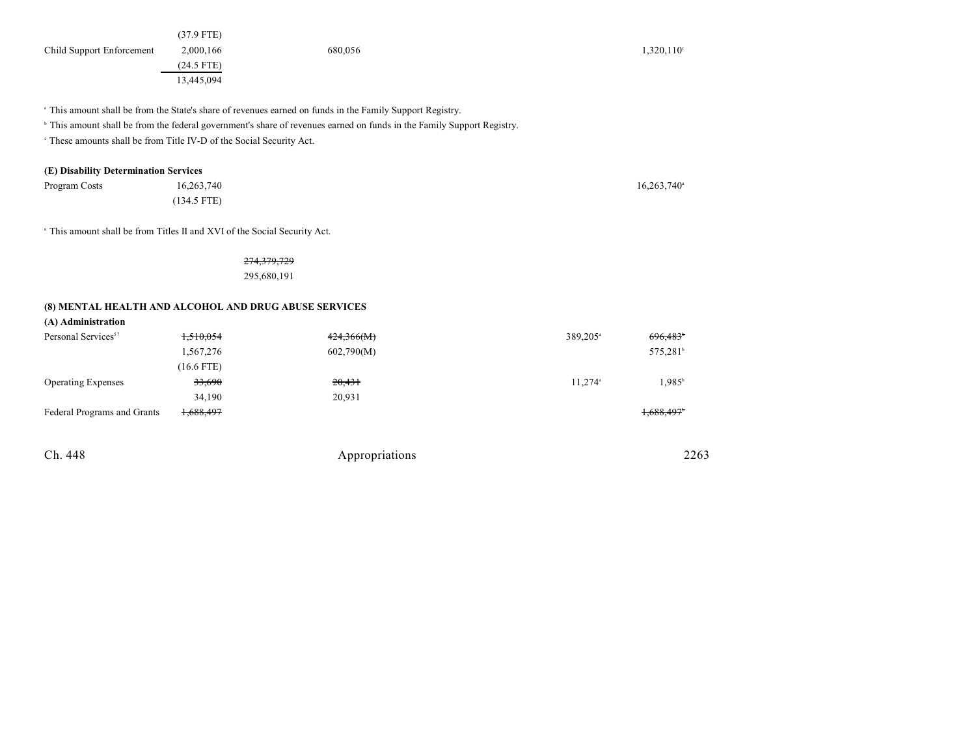<sup>a</sup> This amount shall be from the State's share of revenues earned on funds in the Family Support Registry.

<sup>b</sup> This amount shall be from the federal government's share of revenues earned on funds in the Family Support Registry.

<sup>c</sup> These amounts shall be from Title IV-D of the Social Security Act.

### **(E) Disability Determination Services**

| Program Costs | 16,263,740    | $16,263,740$ <sup>a</sup> |
|---------------|---------------|---------------------------|
|               | $(134.5$ FTE) |                           |

<sup>a</sup> This amount shall be from Titles II and XVI of the Social Security Act.

274,379,729 295,680,191

#### **(8) MENTAL HEALTH AND ALCOHOL AND DRUG ABUSE SERVICES**

| (A) Administration              |              |            |                      |                      |
|---------------------------------|--------------|------------|----------------------|----------------------|
| Personal Services <sup>57</sup> | 1,510,054    | 424,366(M) | 389,205 <sup>a</sup> | 696,483              |
|                                 | 1,567,276    | 602,790(M) |                      | 575,281 <sup>b</sup> |
|                                 | $(16.6$ FTE) |            |                      |                      |
| <b>Operating Expenses</b>       | 33,690       | 20,431     | 11.274 <sup>a</sup>  | $1.985^{\circ}$      |
|                                 | 34,190       | 20,931     |                      |                      |
| Federal Programs and Grants     | 1,688,497    |            |                      | 1,688,497            |

| Ch. 448 | Appropriations | 2263 |
|---------|----------------|------|
|         |                |      |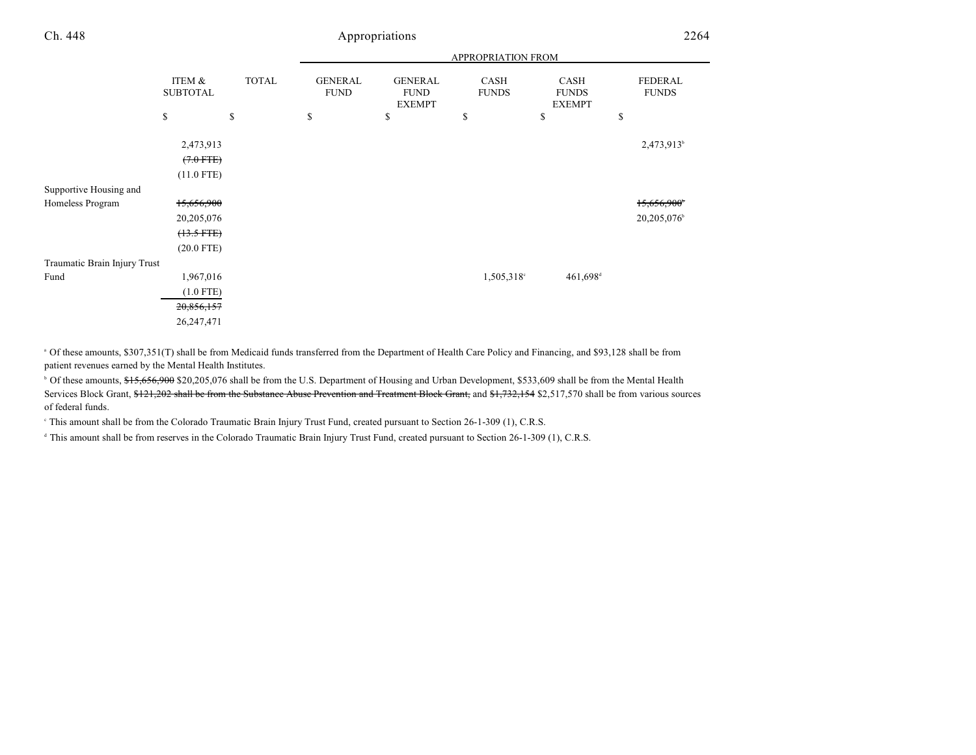Traumatic Brain Injury Trust

(20.0 FTE)

| Ch. 448                | Appropriations            |              |                               |                                                |                      |                                       | 2264                           |  |
|------------------------|---------------------------|--------------|-------------------------------|------------------------------------------------|----------------------|---------------------------------------|--------------------------------|--|
|                        |                           |              | APPROPRIATION FROM            |                                                |                      |                                       |                                |  |
|                        | ITEM &<br><b>SUBTOTAL</b> | <b>TOTAL</b> | <b>GENERAL</b><br><b>FUND</b> | <b>GENERAL</b><br><b>FUND</b><br><b>EXEMPT</b> | CASH<br><b>FUNDS</b> | CASH<br><b>FUNDS</b><br><b>EXEMPT</b> | <b>FEDERAL</b><br><b>FUNDS</b> |  |
|                        | <sup>\$</sup>             | \$           | \$                            | \$                                             | \$                   | Φ                                     | \$                             |  |
|                        | 2,473,913                 |              |                               |                                                |                      |                                       | 2,473,913 <sup>b</sup>         |  |
|                        | $(7.0$ FTE)               |              |                               |                                                |                      |                                       |                                |  |
|                        | $(11.0$ FTE)              |              |                               |                                                |                      |                                       |                                |  |
| Supportive Housing and |                           |              |                               |                                                |                      |                                       |                                |  |
| Homeless Program       | 15,656,900                |              |                               |                                                |                      |                                       | 15,656,900                     |  |
|                        | 20,205,076                |              |                               |                                                |                      |                                       | 20,205,076                     |  |
|                        | $(13.5$ FTE)              |              |                               |                                                |                      |                                       |                                |  |

Fund 1,967,016 1,505,318 461,698 (1.0 FTE) 20,856,157 26,247,471

<sup>a</sup> Of these amounts, \$307,351(T) shall be from Medicaid funds transferred from the Department of Health Care Policy and Financing, and \$93,128 shall be from patient revenues earned by the Mental Health Institutes.

<sup>b</sup> Of these amounts, \$15,656,900 \$20,205,076 shall be from the U.S. Department of Housing and Urban Development, \$533,609 shall be from the Mental Health Services Block Grant, \$121,202 shall be from the Substance Abuse Prevention and Treatment Block Grant, and \$1,732,154 \$2,517,570 shall be from various sources of federal funds.

This amount shall be from the Colorado Traumatic Brain Injury Trust Fund, created pursuant to Section 26-1-309 (1), C.R.S.

<sup>d</sup> This amount shall be from reserves in the Colorado Traumatic Brain Injury Trust Fund, created pursuant to Section 26-1-309 (1), C.R.S.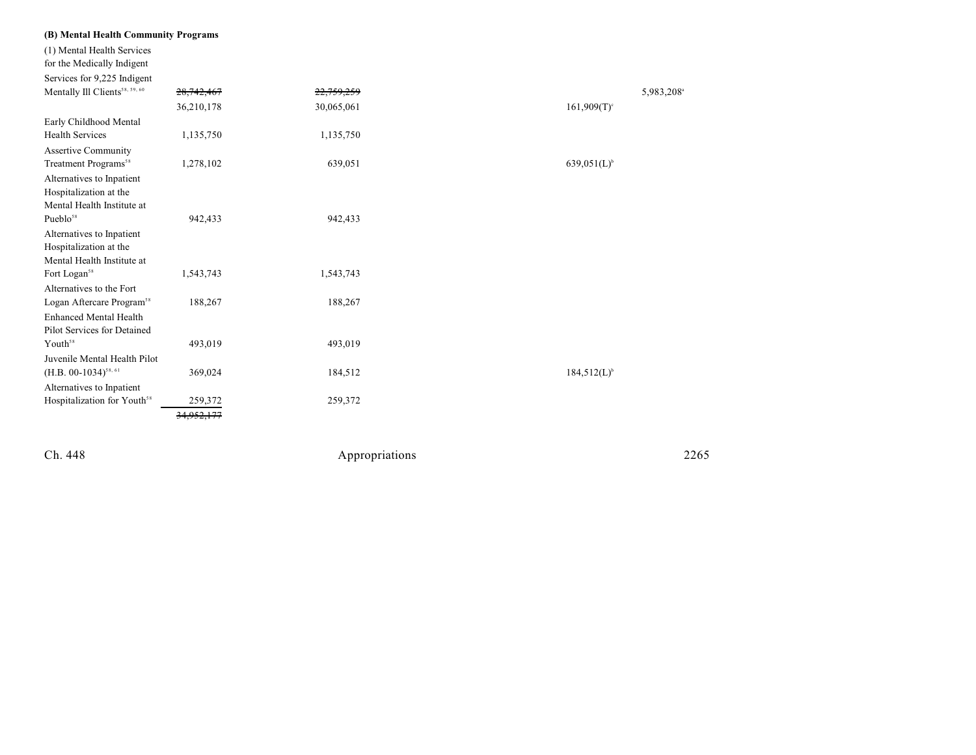| (B) Mental Health Community Programs                   |              |            |                           |
|--------------------------------------------------------|--------------|------------|---------------------------|
| (1) Mental Health Services                             |              |            |                           |
| for the Medically Indigent                             |              |            |                           |
| Services for 9,225 Indigent                            |              |            |                           |
| Mentally Ill Clients <sup>58, 59, 60</sup>             | 28, 742, 467 | 22,759,259 | 5,983,208 <sup>a</sup>    |
|                                                        | 36,210,178   | 30,065,061 | $161,909(T)$ <sup>c</sup> |
| Early Childhood Mental                                 |              |            |                           |
| <b>Health Services</b>                                 | 1,135,750    | 1,135,750  |                           |
| <b>Assertive Community</b>                             |              |            |                           |
| Treatment Programs <sup>58</sup>                       | 1,278,102    | 639,051    | $639.051(L)^{6}$          |
| Alternatives to Inpatient                              |              |            |                           |
| Hospitalization at the                                 |              |            |                           |
| Mental Health Institute at                             |              |            |                           |
| Pueblo <sup>58</sup>                                   | 942,433      | 942,433    |                           |
| Alternatives to Inpatient                              |              |            |                           |
| Hospitalization at the                                 |              |            |                           |
| Mental Health Institute at<br>Fort Logan <sup>58</sup> | 1,543,743    | 1,543,743  |                           |
| Alternatives to the Fort                               |              |            |                           |
| Logan Aftercare Program <sup>58</sup>                  | 188,267      | 188,267    |                           |
| <b>Enhanced Mental Health</b>                          |              |            |                           |
| Pilot Services for Detained                            |              |            |                           |
| Youth <sup>58</sup>                                    | 493,019      | 493,019    |                           |
| Juvenile Mental Health Pilot                           |              |            |                           |
| $(H.B. 00-1034)^{58,61}$                               | 369,024      | 184,512    | $184,512(L)^{b}$          |
| Alternatives to Inpatient                              |              |            |                           |
| Hospitalization for Youth <sup>58</sup>                | 259,372      | 259,372    |                           |
|                                                        |              |            |                           |
|                                                        |              |            |                           |

Ch. 448

Appropr iat

ions 2265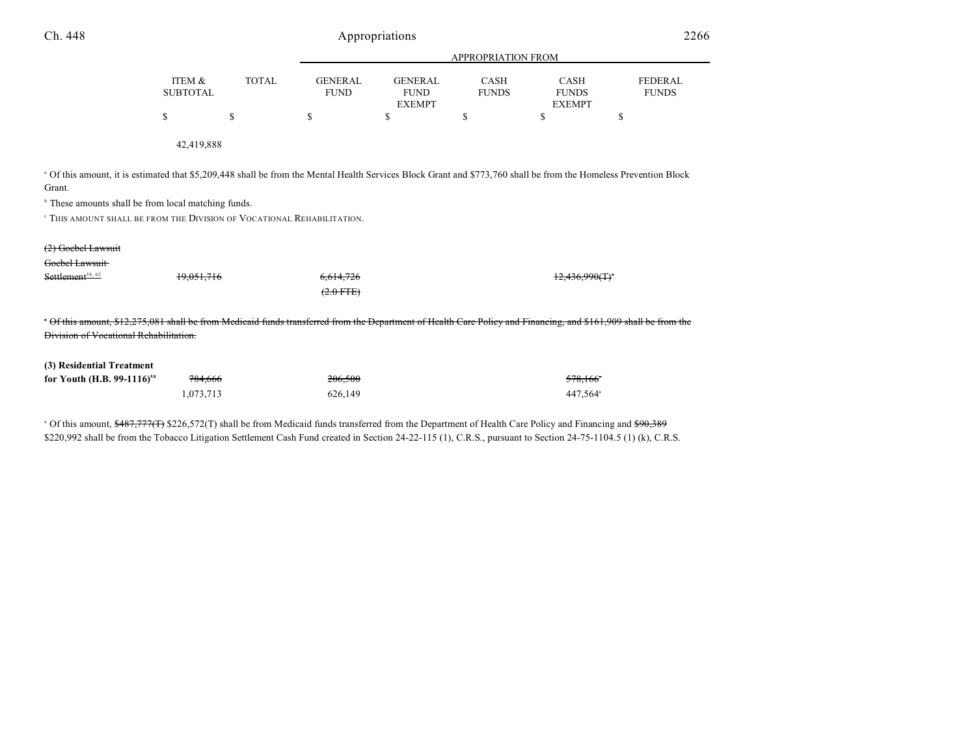| Ch. 448                                                                                                                                                                                                                                                                                                                                       |                           |              | Appropriations                |                                                |                             |                                              | 2266                           |
|-----------------------------------------------------------------------------------------------------------------------------------------------------------------------------------------------------------------------------------------------------------------------------------------------------------------------------------------------|---------------------------|--------------|-------------------------------|------------------------------------------------|-----------------------------|----------------------------------------------|--------------------------------|
|                                                                                                                                                                                                                                                                                                                                               |                           |              |                               |                                                | APPROPRIATION FROM          |                                              |                                |
|                                                                                                                                                                                                                                                                                                                                               | ITEM &<br><b>SUBTOTAL</b> | <b>TOTAL</b> | <b>GENERAL</b><br><b>FUND</b> | <b>GENERAL</b><br><b>FUND</b><br><b>EXEMPT</b> | <b>CASH</b><br><b>FUNDS</b> | <b>CASH</b><br><b>FUNDS</b><br><b>EXEMPT</b> | <b>FEDERAL</b><br><b>FUNDS</b> |
|                                                                                                                                                                                                                                                                                                                                               | \$                        | \$           | \$                            | \$                                             | \$                          | \$                                           | \$                             |
|                                                                                                                                                                                                                                                                                                                                               | 42,419,888                |              |                               |                                                |                             |                                              |                                |
| <sup>a</sup> Of this amount, it is estimated that \$5,209,448 shall be from the Mental Health Services Block Grant and \$773,760 shall be from the Homeless Prevention Block<br>Grant.<br><sup>b</sup> These amounts shall be from local matching funds.<br><sup>e</sup> THIS AMOUNT SHALL BE FROM THE DIVISION OF VOCATIONAL REHABILITATION. |                           |              |                               |                                                |                             |                                              |                                |
| $(2)$ Goebel Lawsuit                                                                                                                                                                                                                                                                                                                          |                           |              |                               |                                                |                             |                                              |                                |
| Goebel Lawsuit                                                                                                                                                                                                                                                                                                                                |                           |              |                               |                                                |                             |                                              |                                |
| Settlement <sup>58, 62</sup>                                                                                                                                                                                                                                                                                                                  | 19.051.716                |              | 6.614.726<br>$(2.0$ FTE)      |                                                |                             |                                              |                                |
| Of this amount, \$12,275,081 shall be from Medicaid funds transferred from the Department of Health Care Policy and Financing, and \$161,909 shall be from the<br>Division of Vocational Rehabilitation.                                                                                                                                      |                           |              |                               |                                                |                             |                                              |                                |
| (3) Residential Treatment                                                                                                                                                                                                                                                                                                                     |                           |              |                               |                                                |                             |                                              |                                |
| for Youth (H.B. 99-1116) <sup>58</sup>                                                                                                                                                                                                                                                                                                        | 784,666                   |              | 206,500                       |                                                |                             | 578,166 <sup>°</sup>                         |                                |
|                                                                                                                                                                                                                                                                                                                                               | 1,073,713                 |              | 626,149                       |                                                |                             | 447,564 <sup>a</sup>                         |                                |

<sup>a</sup> Of this amount, \$487,777(T) \$226,572(T) shall be from Medicaid funds transferred from the Department of Health Care Policy and Financing and \$90,389 \$220,992 shall be from the Tobacco Litigation Settlement Cash Fund created in Section 24-22-115 (1), C.R.S., pursuant to Section 24-75-1104.5 (1) (k), C.R.S.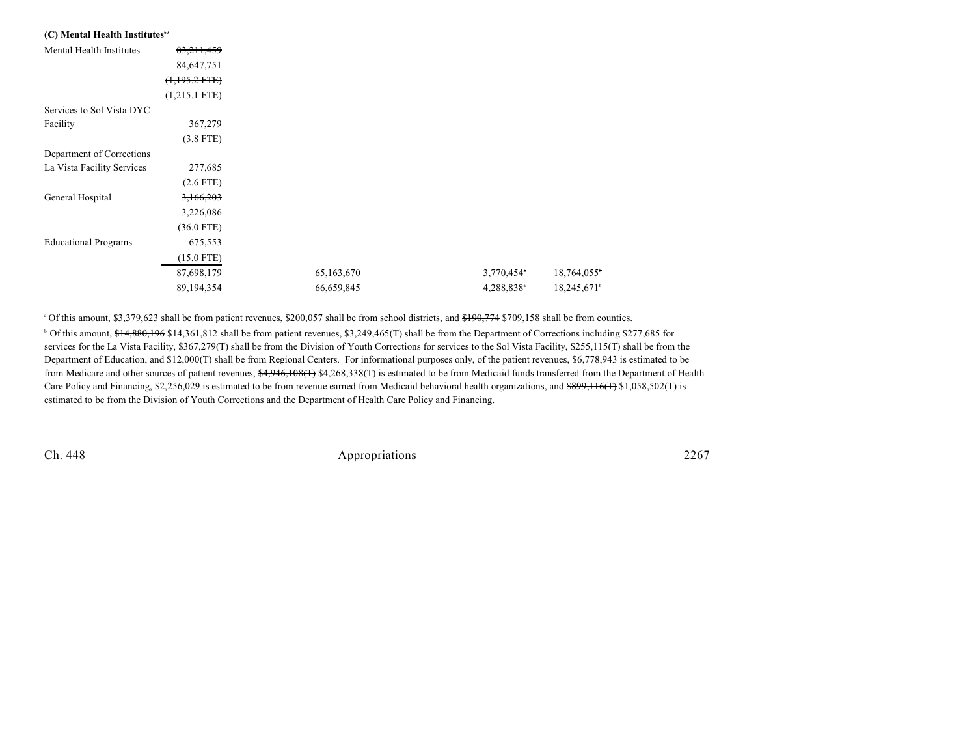| (C) Mental Health Institutes <sup>63</sup> |                 |            |                        |                         |
|--------------------------------------------|-----------------|------------|------------------------|-------------------------|
| Mental Health Institutes                   | 83,211,459      |            |                        |                         |
|                                            | 84,647,751      |            |                        |                         |
|                                            | $(1,195.2$ FTE) |            |                        |                         |
|                                            | $(1,215.1$ FTE) |            |                        |                         |
| Services to Sol Vista DYC                  |                 |            |                        |                         |
| Facility                                   | 367,279         |            |                        |                         |
|                                            | $(3.8$ FTE)     |            |                        |                         |
| Department of Corrections                  |                 |            |                        |                         |
| La Vista Facility Services                 | 277,685         |            |                        |                         |
|                                            | $(2.6$ FTE)     |            |                        |                         |
| General Hospital                           | 3,166,203       |            |                        |                         |
|                                            | 3,226,086       |            |                        |                         |
|                                            | $(36.0$ FTE)    |            |                        |                         |
| <b>Educational Programs</b>                | 675,553         |            |                        |                         |
|                                            | $(15.0$ FTE)    |            |                        |                         |
|                                            | 87,698,179      | 65,163,670 | 3,770,454°             | 18,764,055              |
|                                            | 89,194,354      | 66,659,845 | 4,288,838 <sup>a</sup> | 18,245,671 <sup>b</sup> |

<sup>o</sup> Of this amount, \$3,379,623 shall be from patient revenues, \$200,057 shall be from school districts, and <del>\$190,774</del> \$709,158 shall be from counties. <sup>b</sup> Of this amount, \$14,880,196 \$14,361,812 shall be from patient revenues, \$3,249,465(T) shall be from the Department of Corrections including \$277,685 for services for the La Vista Facility, \$367,279(T) shall be from the Division of Youth Corrections for services to the Sol Vista Facility, \$255,115(T) shall be from the Department of Education, and \$12,000(T) shall be from Regional Centers. For informational purposes only, of the patient revenues, \$6,778,943 is estimated to be from Medicare and other sources of patient revenues, \$4,946,108(T) \$4,268,338(T) is estimated to be from Medicaid funds transferred from the Department of Health Care Policy and Financing, \$2,256,029 is estimated to be from revenue earned from Medicaid behavioral health organizations, and \$899,116(T) \$1,058,502(T) is estimated to be from the Division of Youth Corrections and the Department of Health Care Policy and Financing.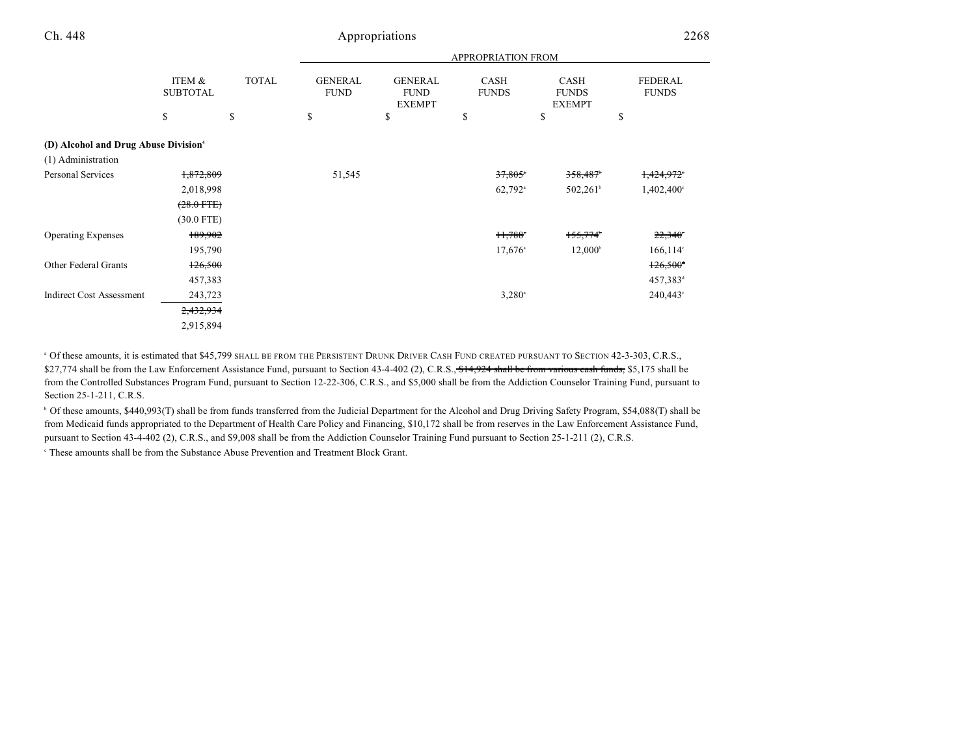|                                                  |                           |              | APPROPRIATION FROM            |                                                |                             |                                       |                                |  |
|--------------------------------------------------|---------------------------|--------------|-------------------------------|------------------------------------------------|-----------------------------|---------------------------------------|--------------------------------|--|
|                                                  | ITEM &<br><b>SUBTOTAL</b> | <b>TOTAL</b> | <b>GENERAL</b><br><b>FUND</b> | <b>GENERAL</b><br><b>FUND</b><br><b>EXEMPT</b> | <b>CASH</b><br><b>FUNDS</b> | CASH<br><b>FUNDS</b><br><b>EXEMPT</b> | <b>FEDERAL</b><br><b>FUNDS</b> |  |
|                                                  | \$                        | \$           | \$                            | \$                                             | \$                          | \$                                    | \$                             |  |
| (D) Alcohol and Drug Abuse Division <sup>4</sup> |                           |              |                               |                                                |                             |                                       |                                |  |
| (1) Administration                               |                           |              |                               |                                                |                             |                                       |                                |  |
| <b>Personal Services</b>                         | 1,872,809                 |              | 51,545                        |                                                | 37,805                      | 358,487                               | 1,424,972                      |  |
|                                                  | 2,018,998                 |              |                               |                                                | $62,792$ <sup>a</sup>       | $502,261^{\circ}$                     | $1,402,400^{\circ}$            |  |
|                                                  | $(28.0$ FTE)              |              |                               |                                                |                             |                                       |                                |  |
|                                                  | $(30.0$ FTE)              |              |                               |                                                |                             |                                       |                                |  |
| <b>Operating Expenses</b>                        | 189,902                   |              |                               |                                                | $H,788$ <sup>*</sup>        | 155,774                               | $22,340^{\circ}$               |  |
|                                                  | 195,790                   |              |                               |                                                | $17,676$ <sup>a</sup>       | $12,000^{\rm b}$                      | $166, 114$ °                   |  |
| Other Federal Grants                             | 126,500                   |              |                               |                                                |                             |                                       | $126,500$ <sup>t</sup>         |  |
|                                                  | 457,383                   |              |                               |                                                |                             |                                       | 457,383 <sup>d</sup>           |  |
| <b>Indirect Cost Assessment</b>                  | 243,723                   |              |                               |                                                | $3,280$ <sup>a</sup>        |                                       | 240,443°                       |  |
|                                                  | 2,432,934                 |              |                               |                                                |                             |                                       |                                |  |
|                                                  | 2,915,894                 |              |                               |                                                |                             |                                       |                                |  |

<sup>a</sup> Of these amounts, it is estimated that \$45,799 SHALL BE FROM THE PERSISTENT DRUNK DRIVER CASH FUND CREATED PURSUANT TO SECTION 42-3-303, C.R.S., \$27,774 shall be from the Law Enforcement Assistance Fund, pursuant to Section 43-4-402 (2), C.R.S., \$14,924 shall be from various cash funds, \$5,175 shall be from the Controlled Substances Program Fund, pursuant to Section 12-22-306, C.R.S., and \$5,000 shall be from the Addiction Counselor Training Fund, pursuant to Section 25-1-211, C.R.S.

<sup>b</sup> Of these amounts, \$440,993(T) shall be from funds transferred from the Judicial Department for the Alcohol and Drug Driving Safety Program, \$54,088(T) shall be from Medicaid funds appropriated to the Department of Health Care Policy and Financing, \$10,172 shall be from reserves in the Law Enforcement Assistance Fund, pursuant to Section 43-4-402 (2), C.R.S., and \$9,008 shall be from the Addiction Counselor Training Fund pursuant to Section 25-1-211 (2), C.R.S.

These amounts shall be from the Substance Abuse Prevention and Treatment Block Grant.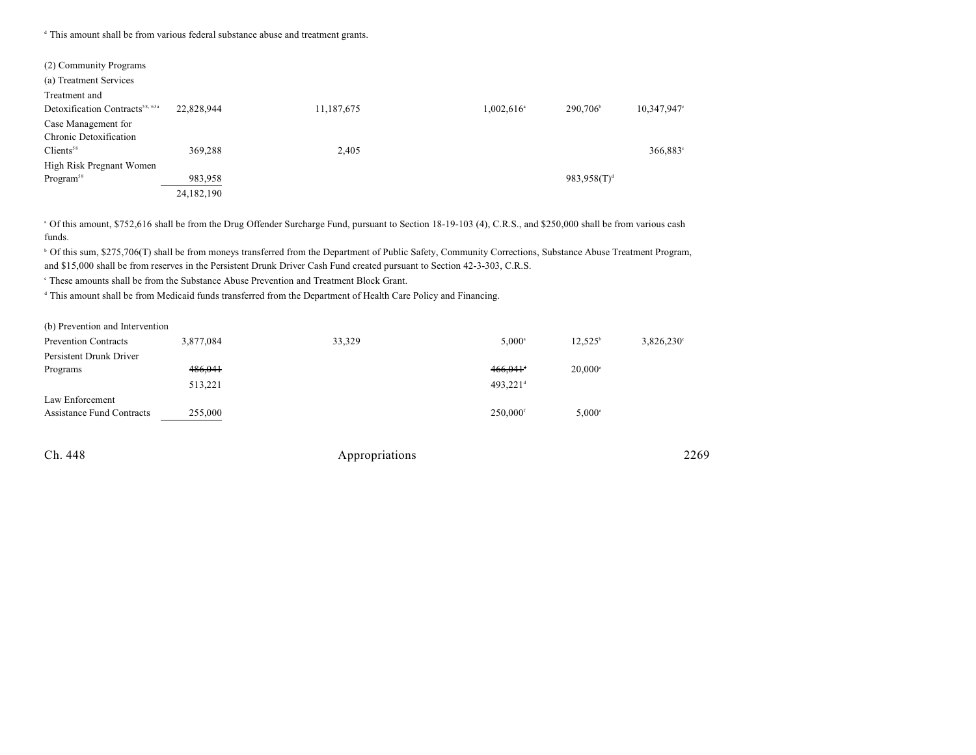<sup>d</sup> This amount shall be from various federal substance abuse and treatment grants.

| (2) Community Programs                      |            |            |                          |                                     |
|---------------------------------------------|------------|------------|--------------------------|-------------------------------------|
| (a) Treatment Services                      |            |            |                          |                                     |
| Treatment and                               |            |            |                          |                                     |
| Detoxification Contracts <sup>58, 63a</sup> | 22,828,944 | 11,187,675 | $1,002,616$ <sup>a</sup> | 290,706 <sup>b</sup><br>10,347,947° |
| Case Management for                         |            |            |                          |                                     |
| Chronic Detoxification                      |            |            |                          |                                     |
| Clients <sup>58</sup>                       | 369,288    | 2,405      |                          | 366,883 <sup>c</sup>                |
| High Risk Pregnant Women                    |            |            |                          |                                     |
| Program <sup>58</sup>                       | 983,958    |            |                          | $983,958(T)^d$                      |
|                                             | 24,182,190 |            |                          |                                     |

<sup>a</sup> Of this amount, \$752,616 shall be from the Drug Offender Surcharge Fund, pursuant to Section 18-19-103 (4), C.R.S., and \$250,000 shall be from various cash funds.

<sup>b</sup> Of this sum, \$275,706(T) shall be from moneys transferred from the Department of Public Safety, Community Corrections, Substance Abuse Treatment Program, and \$15,000 shall be from reserves in the Persistent Drunk Driver Cash Fund created pursuant to Section 42-3-303, C.R.S.

These amounts shall be from the Substance Abuse Prevention and Treatment Block Grant.

<sup>d</sup> This amount shall be from Medicaid funds transferred from the Department of Health Care Policy and Financing.

(b) Prevention and Intervention

| <b>Prevention Contracts</b> | 3,877,084 | 33,329 | $5.000^{\circ}$        | $12,525^{\circ}$ | $3,826,230^{\circ}$ |
|-----------------------------|-----------|--------|------------------------|------------------|---------------------|
| Persistent Drunk Driver     |           |        |                        |                  |                     |
| Programs                    | 486,041   |        | $466.041$ <sup>*</sup> | $20,000^{\circ}$ |                     |
|                             | 513,221   |        | $493.221$ <sup>d</sup> |                  |                     |
| Law Enforcement             |           |        |                        |                  |                     |
| Assistance Fund Contracts   | 255,000   |        | $250,000$ <sup>f</sup> | $5,000^\circ$    |                     |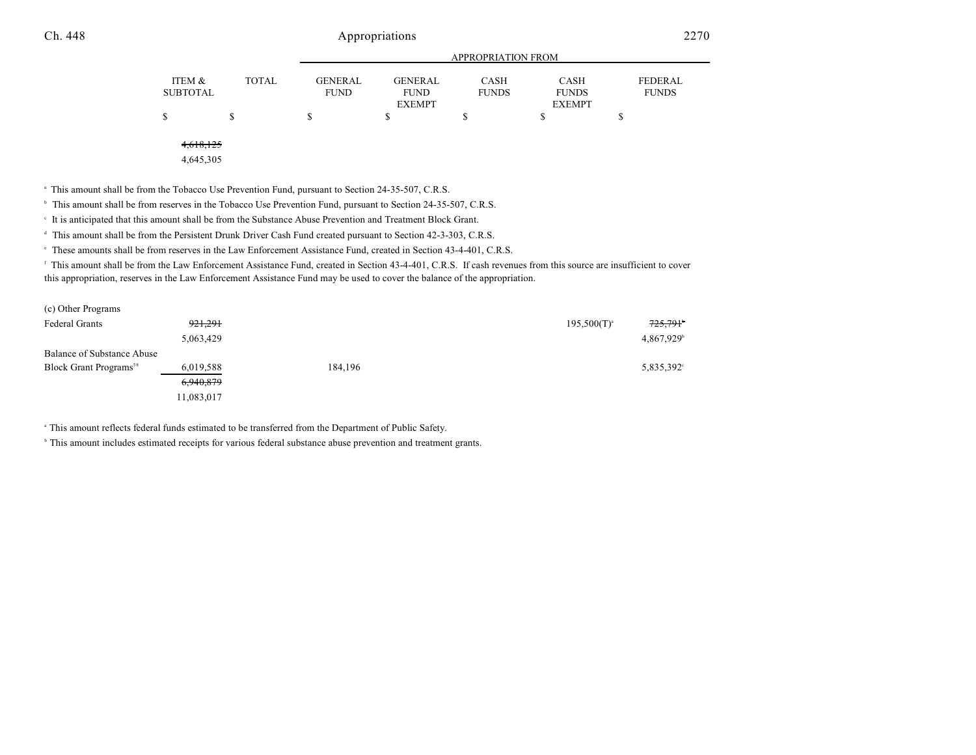|          |              |                | APPROPRIATION FROM |              |               |              |  |  |  |
|----------|--------------|----------------|--------------------|--------------|---------------|--------------|--|--|--|
| ITEM &   | <b>TOTAL</b> | <b>GENERAL</b> | <b>GENERAL</b>     | CASH         | <b>CASH</b>   | FEDERAL      |  |  |  |
| SUBTOTAL |              | <b>FUND</b>    | <b>FUND</b>        | <b>FUNDS</b> | <b>FUNDS</b>  | <b>FUNDS</b> |  |  |  |
|          |              |                | <b>EXEMPT</b>      |              | <b>EXEMPT</b> |              |  |  |  |
| \$       |              |                |                    |              |               |              |  |  |  |
|          |              |                |                    |              |               |              |  |  |  |
|          |              |                |                    |              |               |              |  |  |  |

4,618,125

4,645,305

<sup>a</sup> This amount shall be from the Tobacco Use Prevention Fund, pursuant to Section 24-35-507, C.R.S.

<sup>b</sup> This amount shall be from reserves in the Tobacco Use Prevention Fund, pursuant to Section 24-35-507, C.R.S.

It is anticipated that this amount shall be from the Substance Abuse Prevention and Treatment Block Grant.

<sup>d</sup> This amount shall be from the Persistent Drunk Driver Cash Fund created pursuant to Section 42-3-303, C.R.S.

These amounts shall be from reserves in the Law Enforcement Assistance Fund, created in Section 43-4-401, C.R.S. <sup>e</sup>

<sup>f</sup> This amount shall be from the Law Enforcement Assistance Fund, created in Section 43-4-401, C.R.S. If cash revenues from this source are insufficient to cover this appropriation, reserves in the Law Enforcement Assistance Fund may be used to cover the balance of the appropriation.

| (c) Other Programs                 |            |         |                             |
|------------------------------------|------------|---------|-----------------------------|
| <b>Federal Grants</b>              | 921.291    |         | 725,791<br>$195,500(T)^{a}$ |
|                                    | 5,063,429  |         | 4,867,929                   |
| Balance of Substance Abuse         |            |         |                             |
| Block Grant Programs <sup>58</sup> | 6,019,588  | 184,196 | 5,835,392                   |
|                                    | 6,940,879  |         |                             |
|                                    | 11,083,017 |         |                             |
|                                    |            |         |                             |

<sup>a</sup> This amount reflects federal funds estimated to be transferred from the Department of Public Safety.

<sup>b</sup> This amount includes estimated receipts for various federal substance abuse prevention and treatment grants.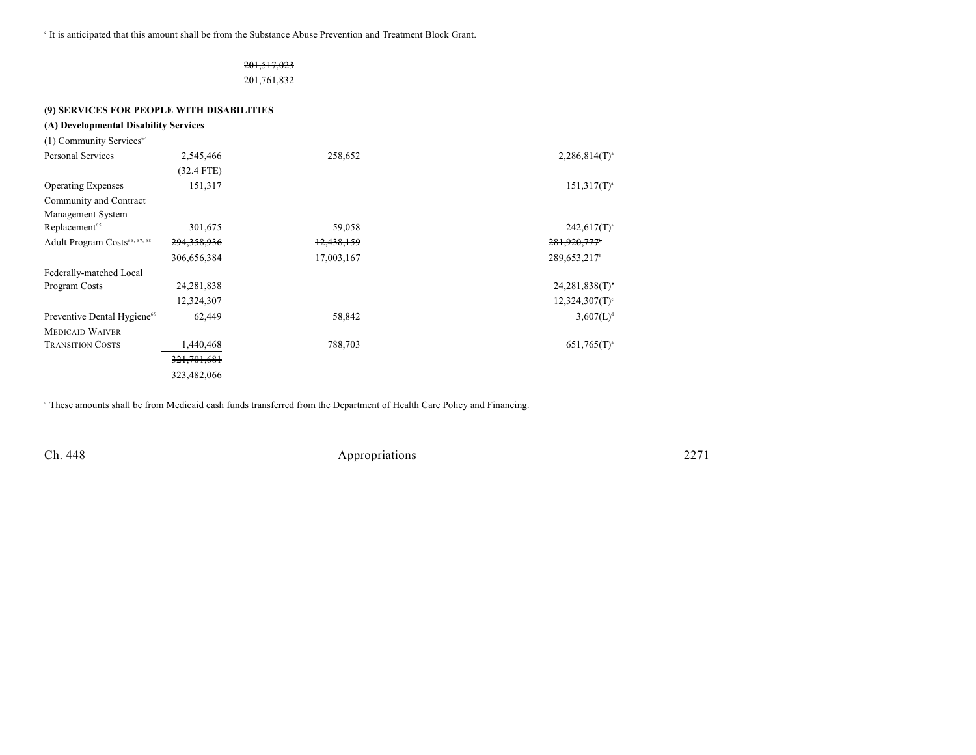It is anticipated that this amount shall be from the Substance Abuse Prevention and Treatment Block Grant.

# 201,517,023

201,761,832

| (9) SERVICES FOR PEOPLE WITH DISABILITIES |                        |            |                               |
|-------------------------------------------|------------------------|------------|-------------------------------|
| (A) Developmental Disability Services     |                        |            |                               |
| (1) Community Services <sup>64</sup>      |                        |            |                               |
| Personal Services                         | 2,545,466              | 258,652    | $2,286,814(T)^{3}$            |
|                                           | $(32.4$ FTE)           |            |                               |
| <b>Operating Expenses</b>                 | 151,317                |            | $151,317(T)^3$                |
| Community and Contract                    |                        |            |                               |
| Management System                         |                        |            |                               |
| Replacement <sup>65</sup>                 | 301,675                | 59,058     | $242,617(T)^{3}$              |
| Adult Program Costs <sup>66, 67, 68</sup> | 294,358,936            | 12,438,159 | 281,920,777                   |
|                                           | 306,656,384            | 17,003,167 | 289, 653, 217 <sup>b</sup>    |
| Federally-matched Local                   |                        |            |                               |
| Program Costs                             | 24,281,838             |            | $24,281,838($ T) <sup>.</sup> |
|                                           | 12,324,307             |            | 12,324,307(T)                 |
| Preventive Dental Hygiene <sup>69</sup>   | 62,449                 | 58,842     | 3,607(L)                      |
| <b>MEDICAID WAIVER</b>                    |                        |            |                               |
| <b>TRANSITION COSTS</b>                   | 1,440,468              | 788,703    | $651,765(T)^{3}$              |
|                                           | <del>321,701,681</del> |            |                               |
|                                           | 323,482,066            |            |                               |
|                                           |                        |            |                               |

<sup>a</sup> These amounts shall be from Medicaid cash funds transferred from the Department of Health Care Policy and Financing.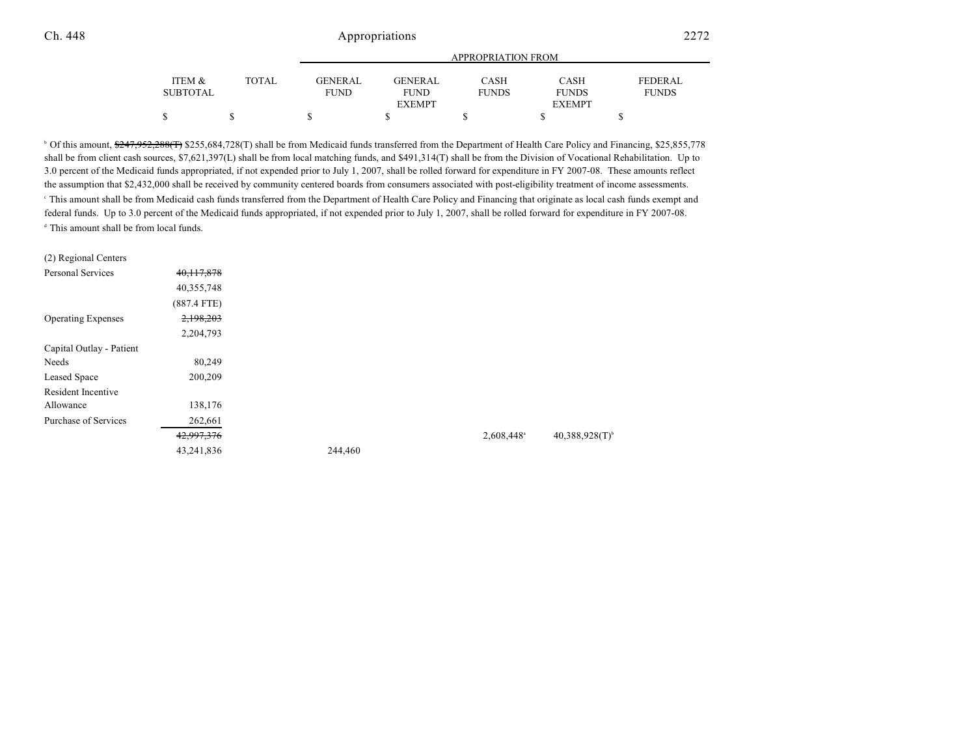|          |              |                |                              | <b>APPROPRIATION FROM</b> |                               |                |
|----------|--------------|----------------|------------------------------|---------------------------|-------------------------------|----------------|
| ITEM &   | <b>TOTAL</b> | <b>GENERAL</b> | GENERAL                      | <b>CASH</b>               | CASH                          | <b>FEDERAL</b> |
| SUBTOTAL |              | <b>FUND</b>    | <b>FUND</b><br><b>EXEMPT</b> | <b>FUNDS</b>              | <b>FUNDS</b><br><b>EXEMPT</b> | <b>FUNDS</b>   |
|          |              |                |                              |                           |                               |                |

<sup>b</sup> Of this amount, \$247,952,288(T) \$255,684,728(T) shall be from Medicaid funds transferred from the Department of Health Care Policy and Financing, \$25,855,778 shall be from client cash sources, \$7,621,397(L) shall be from local matching funds, and \$491,314(T) shall be from the Division of Vocational Rehabilitation. Up to 3.0 percent of the Medicaid funds appropriated, if not expended prior to July 1, 2007, shall be rolled forward for expenditure in FY 2007-08. These amounts reflect the assumption that \$2,432,000 shall be received by community centered boards from consumers associated with post-eligibility treatment of income assessments. This amount shall be from Medicaid cash funds transferred from the Department of Health Care Policy and Financing that originate as local cash funds exempt and <sup>c</sup> federal funds. Up to 3.0 percent of the Medicaid funds appropriated, if not expended prior to July 1, 2007, shall be rolled forward for expenditure in FY 2007-08. <sup>d</sup> This amount shall be from local funds.

| (2) Regional Centers      |               |         |                        |                              |
|---------------------------|---------------|---------|------------------------|------------------------------|
| <b>Personal Services</b>  | 40, 117, 878  |         |                        |                              |
|                           | 40,355,748    |         |                        |                              |
|                           | $(887.4$ FTE) |         |                        |                              |
| <b>Operating Expenses</b> | 2,198,203     |         |                        |                              |
|                           | 2,204,793     |         |                        |                              |
| Capital Outlay - Patient  |               |         |                        |                              |
| Needs                     | 80,249        |         |                        |                              |
| Leased Space              | 200,209       |         |                        |                              |
| Resident Incentive        |               |         |                        |                              |
| Allowance                 | 138,176       |         |                        |                              |
| Purchase of Services      | 262,661       |         |                        |                              |
|                           | 42,997,376    |         | 2,608,448 <sup>a</sup> | $40,388,928(T)$ <sup>b</sup> |
|                           | 43,241,836    | 244,460 |                        |                              |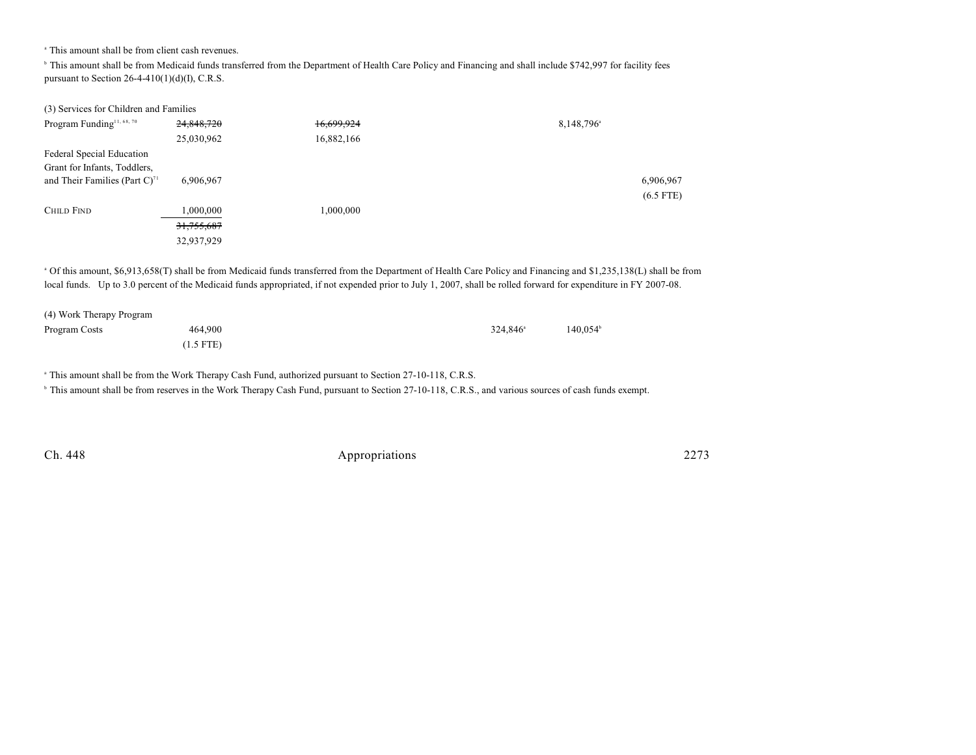<sup>a</sup> This amount shall be from client cash revenues.

<sup>b</sup> This amount shall be from Medicaid funds transferred from the Department of Health Care Policy and Financing and shall include \$742,997 for facility fees pursuant to Section  $26-4-410(1)(d)(I)$ , C.R.S.

| (3) Services for Children and Families       |            |            |                        |
|----------------------------------------------|------------|------------|------------------------|
| Program Funding <sup>11, 68, 70</sup>        | 24,848,720 | 16,699,924 | 8,148,796 <sup>a</sup> |
|                                              | 25,030,962 | 16,882,166 |                        |
| Federal Special Education                    |            |            |                        |
| Grant for Infants, Toddlers,                 |            |            |                        |
| and Their Families (Part $C$ ) <sup>71</sup> | 6,906,967  |            | 6,906,967              |
|                                              |            |            | $(6.5$ FTE)            |
| <b>CHILD FIND</b>                            | 000,000    | 1,000,000  |                        |
|                                              | 31,755,687 |            |                        |
|                                              | 32,937,929 |            |                        |
|                                              |            |            |                        |

 Of this amount, \$6,913,658(T) shall be from Medicaid funds transferred from the Department of Health Care Policy and Financing and \$1,235,138(L) shall be from <sup>a</sup> local funds. Up to 3.0 percent of the Medicaid funds appropriated, if not expended prior to July 1, 2007, shall be rolled forward for expenditure in FY 2007-08.

| (4) Work Therapy Program |             |                      |         |
|--------------------------|-------------|----------------------|---------|
| Program Costs            | 464,900     | 324.846 <sup>a</sup> | 140.054 |
|                          | $(1.5$ FTE) |                      |         |

<sup>a</sup> This amount shall be from the Work Therapy Cash Fund, authorized pursuant to Section 27-10-118, C.R.S.

<sup>b</sup> This amount shall be from reserves in the Work Therapy Cash Fund, pursuant to Section 27-10-118, C.R.S., and various sources of cash funds exempt.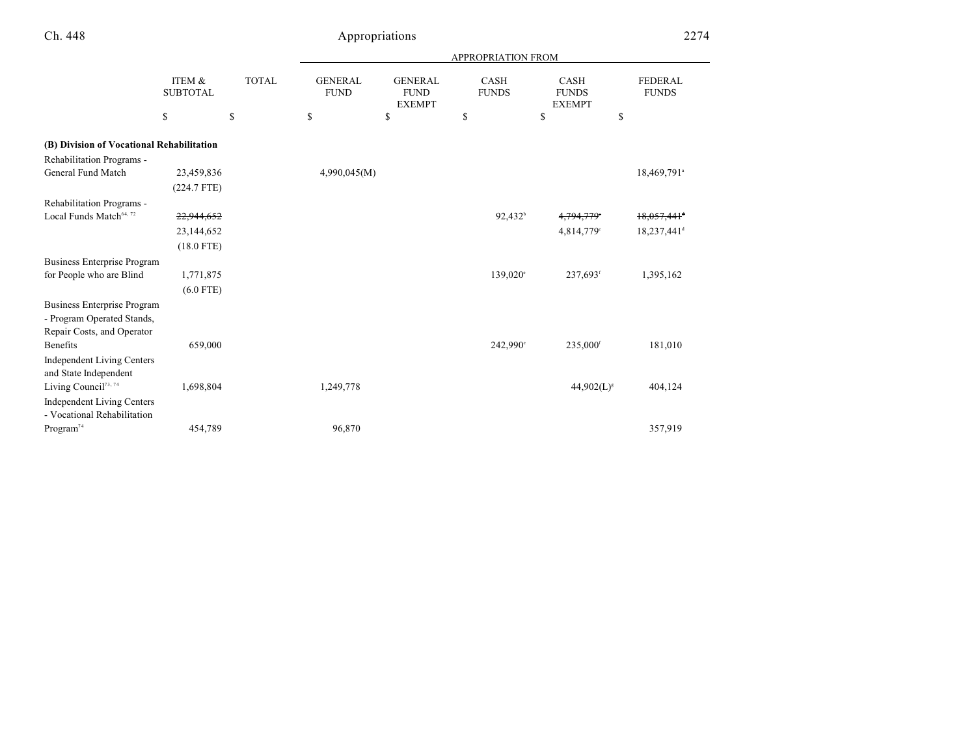|                                           | ITEM &<br><b>SUBTOTAL</b> |              | APPROPRIATION FROM            |                                                |                      |                                       |                                |
|-------------------------------------------|---------------------------|--------------|-------------------------------|------------------------------------------------|----------------------|---------------------------------------|--------------------------------|
|                                           |                           | <b>TOTAL</b> | <b>GENERAL</b><br><b>FUND</b> | <b>GENERAL</b><br><b>FUND</b><br><b>EXEMPT</b> | CASH<br><b>FUNDS</b> | CASH<br><b>FUNDS</b><br><b>EXEMPT</b> | <b>FEDERAL</b><br><b>FUNDS</b> |
|                                           | \$                        | \$           | \$                            | \$                                             | \$                   | \$<br>\$                              |                                |
| (B) Division of Vocational Rehabilitation |                           |              |                               |                                                |                      |                                       |                                |
| Rehabilitation Programs -                 |                           |              |                               |                                                |                      |                                       |                                |
| General Fund Match                        | 23,459,836                |              | 4,990,045(M)                  |                                                |                      |                                       | 18,469,791 <sup>a</sup>        |
|                                           | $(224.7$ FTE)             |              |                               |                                                |                      |                                       |                                |
| Rehabilitation Programs -                 |                           |              |                               |                                                |                      |                                       |                                |
| Local Funds Match <sup>64, 72</sup>       | 22,944,652                |              |                               |                                                | $92,432^b$           | 4,794,779                             | $18,057,441$ <sup>+</sup>      |
|                                           | 23,144,652                |              |                               |                                                |                      | 4,814,779°                            | 18,237,441 <sup>d</sup>        |
|                                           | $(18.0$ FTE)              |              |                               |                                                |                      |                                       |                                |
| <b>Business Enterprise Program</b>        |                           |              |                               |                                                |                      |                                       |                                |
| for People who are Blind                  | 1,771,875                 |              |                               |                                                | 139,020°             | 237,693 <sup>f</sup>                  | 1,395,162                      |
|                                           | $(6.0$ FTE)               |              |                               |                                                |                      |                                       |                                |
| <b>Business Enterprise Program</b>        |                           |              |                               |                                                |                      |                                       |                                |
| - Program Operated Stands,                |                           |              |                               |                                                |                      |                                       |                                |
| Repair Costs, and Operator                |                           |              |                               |                                                |                      |                                       |                                |
| <b>Benefits</b>                           | 659,000                   |              |                               |                                                | 242,990°             | $235,000$ <sup>f</sup>                | 181,010                        |
| <b>Independent Living Centers</b>         |                           |              |                               |                                                |                      |                                       |                                |
| and State Independent                     |                           |              |                               |                                                |                      |                                       |                                |
| Living Council <sup>73, 74</sup>          | 1,698,804                 |              | 1,249,778                     |                                                |                      | $44,902(L)^{s}$                       | 404,124                        |
| <b>Independent Living Centers</b>         |                           |              |                               |                                                |                      |                                       |                                |
| - Vocational Rehabilitation               |                           |              |                               |                                                |                      |                                       |                                |
| Program <sup>74</sup>                     | 454,789                   |              | 96,870                        |                                                |                      |                                       | 357,919                        |

÷,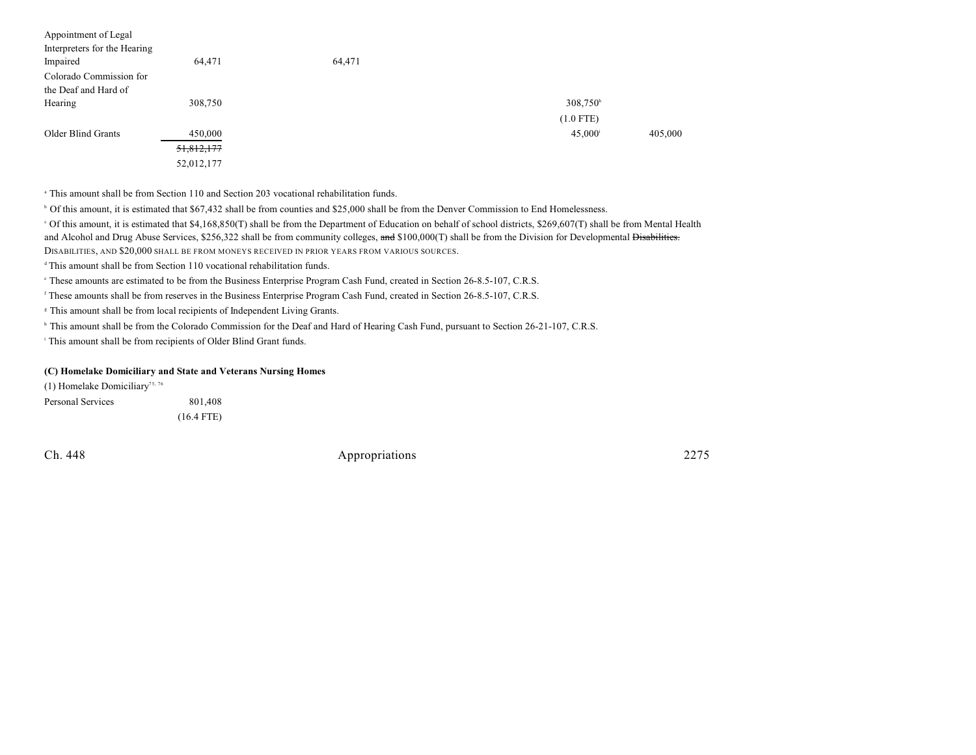| Appointment of Legal<br>Interpreters for the Hearing<br>Impaired | 64,471     | 64,471 |                  |         |
|------------------------------------------------------------------|------------|--------|------------------|---------|
| Colorado Commission for                                          |            |        |                  |         |
| the Deaf and Hard of                                             |            |        |                  |         |
| Hearing                                                          | 308,750    |        | $308,750^h$      |         |
|                                                                  |            |        | $(1.0$ FTE)      |         |
| Older Blind Grants                                               | 450,000    |        | $45,000^{\rm i}$ | 405,000 |
|                                                                  | 51,812,177 |        |                  |         |
|                                                                  | 52,012,177 |        |                  |         |

This amount shall be from Section 110 and Section 203 vocational rehabilitation funds. <sup>a</sup>

<sup>b</sup> Of this amount, it is estimated that \$67,432 shall be from counties and \$25,000 shall be from the Denver Commission to End Homelessness.

 Of this amount, it is estimated that \$4,168,850(T) shall be from the Department of Education on behalf of school districts, \$269,607(T) shall be from Mental Health <sup>c</sup> and Alcohol and Drug Abuse Services, \$256,322 shall be from community colleges, and \$100,000(T) shall be from the Division for Developmental <del>Disabilities.</del> DISABILITIES, AND \$20,000 SHALL BE FROM MONEYS RECEIVED IN PRIOR YEARS FROM VARIOUS SOURCES.

 $\triangleq$  This amount shall be from Section 110 vocational rehabilitation funds.

These amounts are estimated to be from the Business Enterprise Program Cash Fund, created in Section 26-8.5-107, C.R.S. <sup>e</sup>

<sup>f</sup> These amounts shall be from reserves in the Business Enterprise Program Cash Fund, created in Section 26-8.5-107, C.R.S.

<sup>8</sup> This amount shall be from local recipients of Independent Living Grants.

<sup>h</sup> This amount shall be from the Colorado Commission for the Deaf and Hard of Hearing Cash Fund, pursuant to Section 26-21-107, C.R.S.

<sup>i</sup> This amount shall be from recipients of Older Blind Grant funds.

#### **(C) Homelake Domiciliary and State and Veterans Nursing Homes**

(1) Homelake Domiciliary<sup>75, 76</sup> Personal Services 801,408 (16.4 FTE)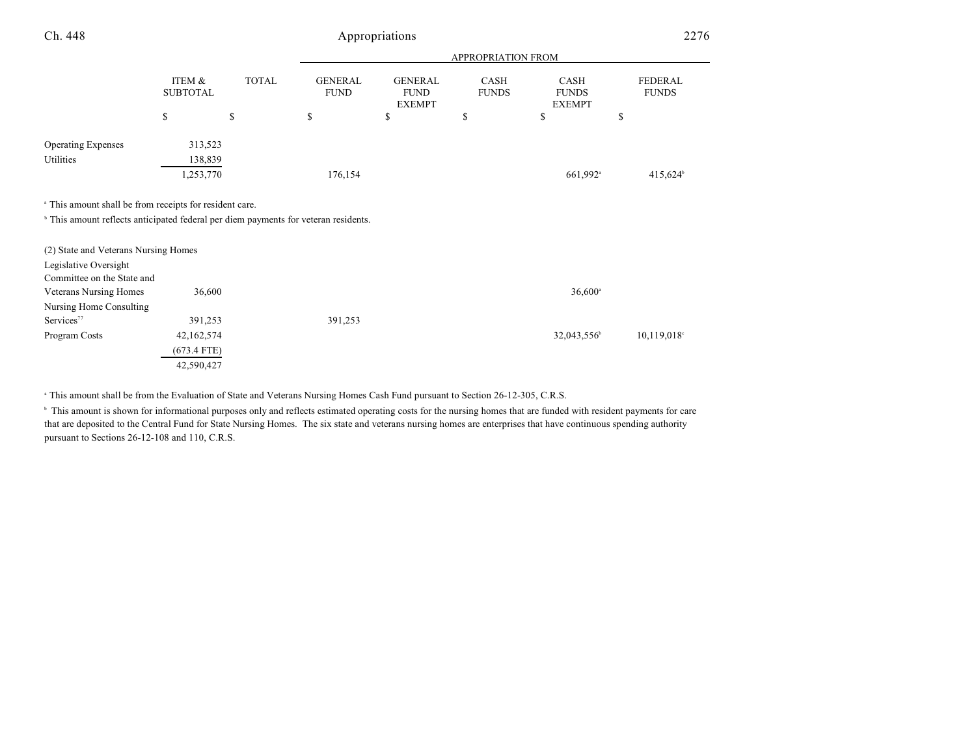| Ch. 448                                                                                        |                           | Appropriations |                               |                                                |                      | 2276                                  |                                |
|------------------------------------------------------------------------------------------------|---------------------------|----------------|-------------------------------|------------------------------------------------|----------------------|---------------------------------------|--------------------------------|
|                                                                                                |                           |                |                               |                                                | APPROPRIATION FROM   |                                       |                                |
|                                                                                                | ITEM &<br><b>SUBTOTAL</b> | <b>TOTAL</b>   | <b>GENERAL</b><br><b>FUND</b> | <b>GENERAL</b><br><b>FUND</b><br><b>EXEMPT</b> | CASH<br><b>FUNDS</b> | CASH<br><b>FUNDS</b><br><b>EXEMPT</b> | <b>FEDERAL</b><br><b>FUNDS</b> |
|                                                                                                | \$                        | \$             | \$                            | \$                                             | \$                   | \$                                    | \$                             |
| <b>Operating Expenses</b>                                                                      | 313,523                   |                |                               |                                                |                      |                                       |                                |
| Utilities                                                                                      | 138,839                   |                |                               |                                                |                      |                                       |                                |
|                                                                                                | 1,253,770                 |                | 176,154                       |                                                |                      | 661,992 <sup>a</sup>                  | 415,624 <sup>b</sup>           |
| <sup>a</sup> This amount shall be from receipts for resident care.                             |                           |                |                               |                                                |                      |                                       |                                |
| <sup>b</sup> This amount reflects anticipated federal per diem payments for veteran residents. |                           |                |                               |                                                |                      |                                       |                                |
| (2) State and Veterans Nursing Homes                                                           |                           |                |                               |                                                |                      |                                       |                                |
| Legislative Oversight                                                                          |                           |                |                               |                                                |                      |                                       |                                |
| Committee on the State and                                                                     |                           |                |                               |                                                |                      |                                       |                                |
| <b>Veterans Nursing Homes</b>                                                                  | 36,600                    |                |                               |                                                |                      | $36,600$ <sup>a</sup>                 |                                |
| Nursing Home Consulting                                                                        |                           |                |                               |                                                |                      |                                       |                                |
| Services <sup>77</sup>                                                                         | 391,253                   |                | 391,253                       |                                                |                      |                                       |                                |
| Program Costs                                                                                  | 42,162,574                |                |                               |                                                |                      | 32,043,556 <sup>b</sup>               | $10,119,018$ <sup>c</sup>      |
|                                                                                                | (673.4 FTE)               |                |                               |                                                |                      |                                       |                                |
|                                                                                                | 42,590,427                |                |                               |                                                |                      |                                       |                                |

<sup>a</sup> This amount shall be from the Evaluation of State and Veterans Nursing Homes Cash Fund pursuant to Section 26-12-305, C.R.S.

<sup>b</sup> This amount is shown for informational purposes only and reflects estimated operating costs for the nursing homes that are funded with resident payments for care that are deposited to the Central Fund for State Nursing Homes. The six state and veterans nursing homes are enterprises that have continuous spending authority pursuant to Sections 26-12-108 and 110, C.R.S.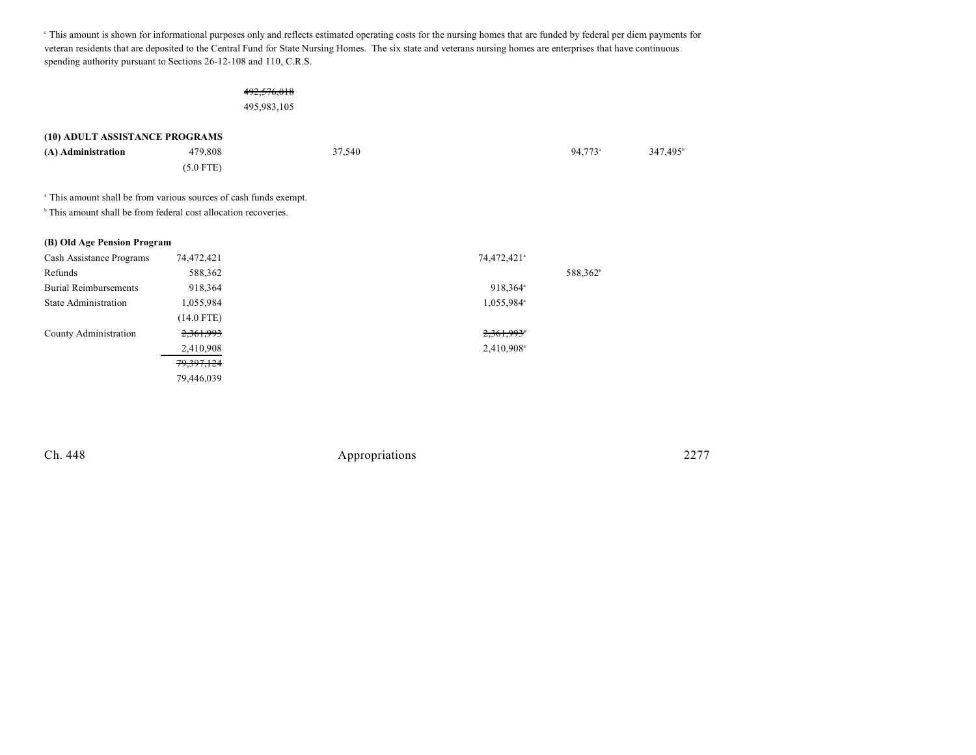This amount is shown for informational purposes only and reflects estimated operating costs for the nursing homes that are funded by federal per diem payments for <sup>c</sup> veteran residents that are deposited to the Central Fund for State Nursing Homes. The six state and veterans nursing homes are enterprises that have continuous spending authority pursuant to Sections 26-12-108 and 110, C.R.S.

## 492,576,018

495,983,105

|                    | (10) ADULT ASSISTANCE PROGRAMS |        |                     |                      |
|--------------------|--------------------------------|--------|---------------------|----------------------|
| (A) Administration | 479.808                        | 37,540 | 94.773 <sup>a</sup> | 347.495 <sup>b</sup> |
|                    | $(5.0$ FTE)                    |        |                     |                      |
|                    |                                |        |                     |                      |

<sup>a</sup> This amount shall be from various sources of cash funds exempt.

 $^{\circ}$  This amount shall be from federal cost allocation recoveries.

| (B) Old Age Pension Program  |              |                         |  |
|------------------------------|--------------|-------------------------|--|
| Cash Assistance Programs     | 74,472,421   | 74,472,421 <sup>a</sup> |  |
| Refunds                      | 588,362      | 588,362 <sup>b</sup>    |  |
| <b>Burial Reimbursements</b> | 918,364      | 918,364 <sup>a</sup>    |  |
| <b>State Administration</b>  | 1,055,984    | 1,055,984 <sup>a</sup>  |  |
|                              | (14.0 FTE)   |                         |  |
| County Administration        | 2,361,993    | 2,361,993*              |  |
|                              | 2,410,908    | 2,410,908 <sup>a</sup>  |  |
|                              | 79, 397, 124 |                         |  |
|                              | 79,446,039   |                         |  |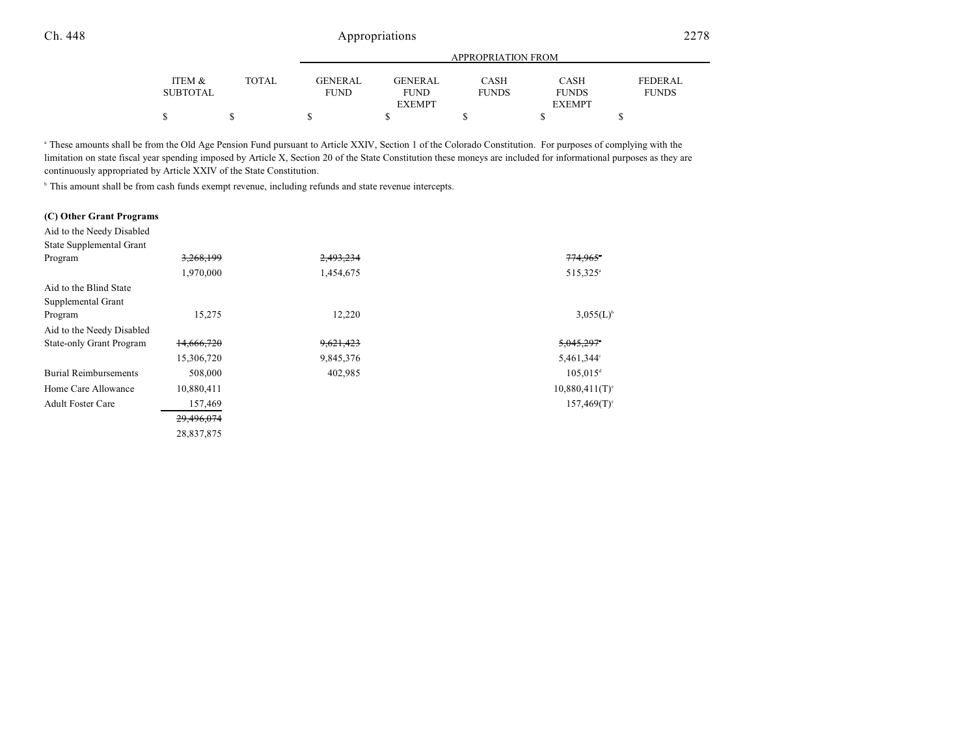|          |              |             | APPROPRIATION FROM |              |               |                |
|----------|--------------|-------------|--------------------|--------------|---------------|----------------|
| ITEM &   | <b>TOTAL</b> | GENERAL     | <b>GENERAL</b>     | CASH         | CASH          | <b>FEDERAL</b> |
| SUBTOTAL |              | <b>FUND</b> | <b>FUND</b>        | <b>FUNDS</b> | <b>FUNDS</b>  | <b>FUNDS</b>   |
|          |              |             | <b>EXEMPT</b>      |              | <b>EXEMPT</b> |                |
|          |              |             |                    |              |               |                |

<sup>a</sup> These amounts shall be from the Old Age Pension Fund pursuant to Article XXIV, Section 1 of the Colorado Constitution. For purposes of complying with the limitation on state fiscal year spending imposed by Article X, Section 20 of the State Constitution these moneys are included for informational purposes as they are continuously appropriated by Article XXIV of the State Constitution.

<sup>b</sup> This amount shall be from cash funds exempt revenue, including refunds and state revenue intercepts.

#### **(C) Other Grant Programs**

Aid to the Needy Disabled State Supplemental Grant Program 3,268,199 3,268,199 2,493,234 3,258 and 3,268,199 3,268,199 2,493,234 1,970,000 1,454,675 515,325<sup>a</sup> Aid to the Blind State Supplemental Grant Program  $15,275$  12,220  $3,055(L)^6$ Aid to the Needy Disabled State-only Grant Program 14,666,720 9,621,423 5,045,297<sup>c</sup> 15,306,720 9,845,376 5,461,344<sup>c</sup> Burial Reimbursements 508,000 402,985 105,015<sup>d</sup> 105,015<sup>d</sup> Home Care Allowance  $10,880,411$   $10,880,411$ Adult Foster Care 157,469 157,469(T)<sup>e</sup> 29,496,074 28,837,875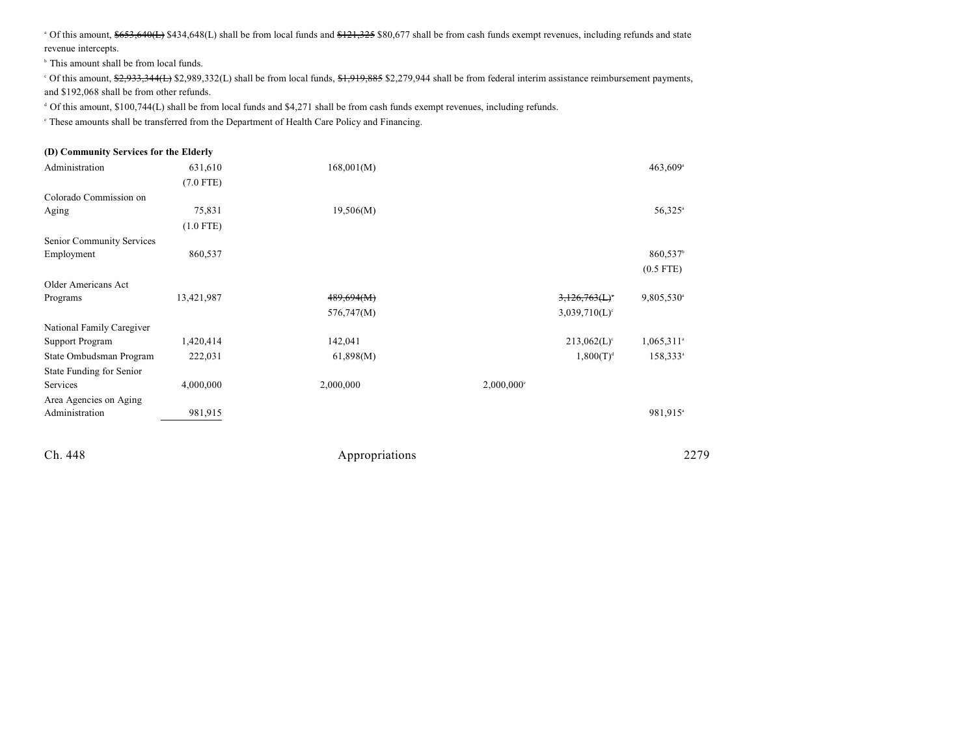<sup>a</sup> Of this amount, \$653,640(L) \$434,648(L) shall be from local funds and \$121,325 \$80,677 shall be from cash funds exempt revenues, including refunds and state revenue intercepts.

 $b$  This amount shall be from local funds.

<sup>c</sup> Of this amount, \$2,933,344(L) \$2,989,332(L) shall be from local funds, \$1,919,885 \$2,279,944 shall be from federal interim assistance reimbursement payments, and \$192,068 shall be from other refunds.

<sup>d</sup> Of this amount, \$100,744(L) shall be from local funds and \$4,271 shall be from cash funds exempt revenues, including refunds.

 $\degree$  These amounts shall be transferred from the Department of Health Care Policy and Financing.

## **(D) Community Services for the Elderly** Administration 631,610 631,610 168,001(M) 66,001 66,001 66,001 66,001 66,001 66,000 67 66,009 (7.0 FTE) Colorado Commission on Aging 25,831  $75,831$  19,506(M) (1.0 FTE) Senior Community Services Employment  $860,537$ (0.5 FTE) Older Americans Act Programs 13,421,987 **489,694(M)** 3,126,763(L) 9,805,530 **3,126,763(L)** 9,805,530  $576,747(M)$   $3,039,710(L)$ <sup>c</sup> National Family Caregiver Support Program 1,420,414 142,041 142,041 142,041 213,062(L)<sup>c</sup> 1,065,311<sup>a</sup> State Ombudsman Program 222,031 61,898(M) 1,800(T)<sup>d</sup> 158,333<sup>a</sup> State Funding for Senior Services 4,000,000 2,000,000 2,000,000<sup>e</sup> Area Agencies on Aging Administration 981,915 981,915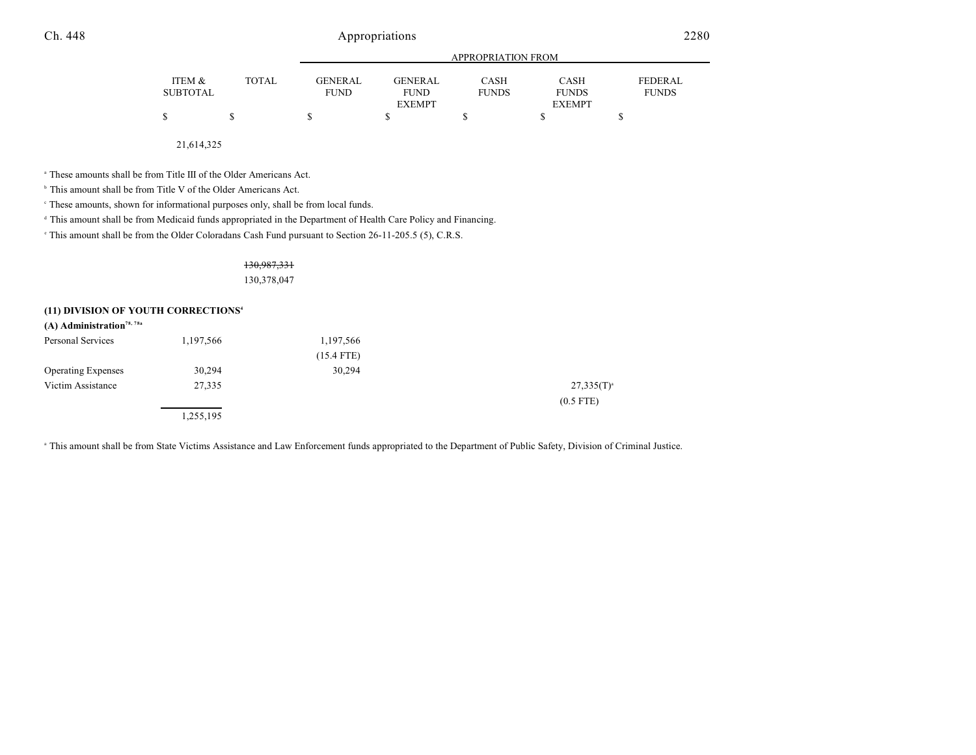|                           |              | APPROPRIATION FROM     |                        |                      |                      |                         |
|---------------------------|--------------|------------------------|------------------------|----------------------|----------------------|-------------------------|
| ITEM &<br><b>SUBTOTAL</b> | <b>TOTAL</b> | GENERAL<br><b>FUND</b> | GENERAL<br><b>FUND</b> | CASH<br><b>FUNDS</b> | CASH<br><b>FUNDS</b> | FEDERAL<br><b>FUNDS</b> |
|                           |              |                        | <b>EXEMPT</b>          |                      | <b>EXEMPT</b>        |                         |
| \$                        |              |                        |                        |                      |                      |                         |

21,614,325

<sup>a</sup> These amounts shall be from Title III of the Older Americans Act.

<sup>b</sup> This amount shall be from Title V of the Older Americans Act.

These amounts, shown for informational purposes only, shall be from local funds. <sup>c</sup>

<sup>d</sup> This amount shall be from Medicaid funds appropriated in the Department of Health Care Policy and Financing.

<sup>e</sup> This amount shall be from the Older Coloradans Cash Fund pursuant to Section 26-11-205.5 (5), C.R.S.

## 130,987,331 130,378,047

#### **(11) DIVISION OF YOUTH CORRECTIONS<sup>4</sup>**

| $(A)$ Administration <sup>78, 78a</sup> |           |              |                 |
|-----------------------------------------|-----------|--------------|-----------------|
| Personal Services                       | 1,197,566 | 1,197,566    |                 |
|                                         |           | $(15.4$ FTE) |                 |
| <b>Operating Expenses</b>               | 30,294    | 30,294       |                 |
| Victim Assistance                       | 27,335    |              | $27,335(T)^{a}$ |
|                                         |           |              | $(0.5$ FTE)     |
|                                         | 1,255,195 |              |                 |

<sup>a</sup> This amount shall be from State Victims Assistance and Law Enforcement funds appropriated to the Department of Public Safety, Division of Criminal Justice.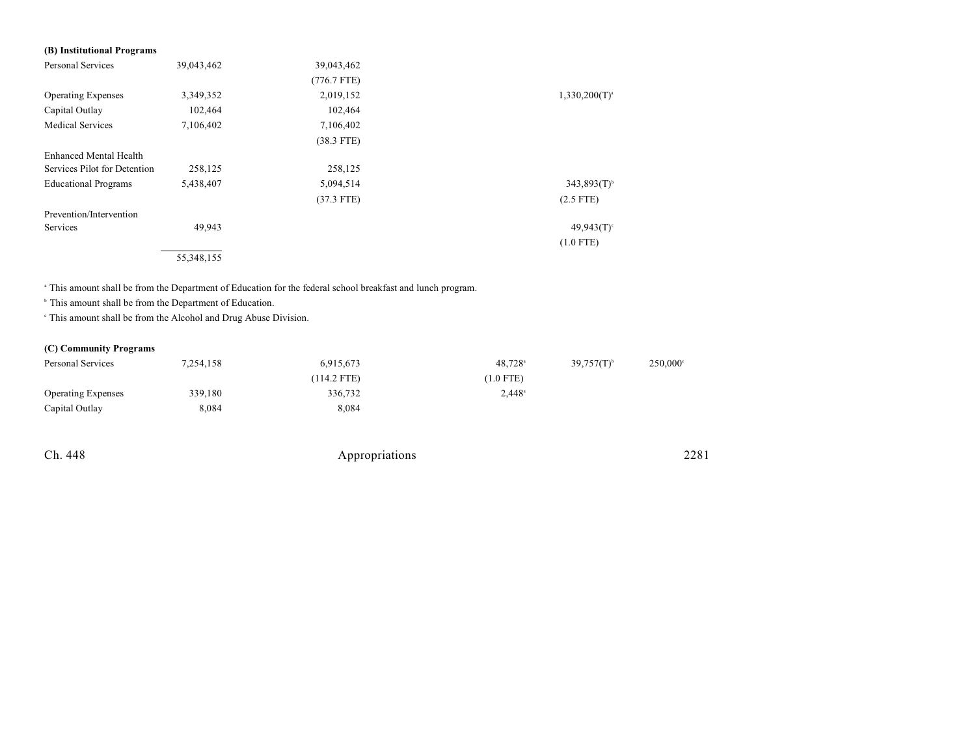| (B) Institutional Programs   |            |               |                    |
|------------------------------|------------|---------------|--------------------|
| Personal Services            | 39,043,462 | 39,043,462    |                    |
|                              |            | $(776.7$ FTE) |                    |
| <b>Operating Expenses</b>    | 3,349,352  | 2,019,152     | $1,330,200(T)^{a}$ |
| Capital Outlay               | 102,464    | 102,464       |                    |
| <b>Medical Services</b>      | 7,106,402  | 7,106,402     |                    |
|                              |            | $(38.3$ FTE)  |                    |
| Enhanced Mental Health       |            |               |                    |
| Services Pilot for Detention | 258,125    | 258,125       |                    |
| <b>Educational Programs</b>  | 5,438,407  | 5,094,514     | $343,893(T)^{6}$   |
|                              |            | $(37.3$ FTE)  | $(2.5$ FTE)        |
| Prevention/Intervention      |            |               |                    |
| Services                     | 49,943     |               | $49,943(T)$ °      |
|                              |            |               | $(1.0$ FTE)        |
|                              | 55,348,155 |               |                    |

<sup>a</sup> This amount shall be from the Department of Education for the federal school breakfast and lunch program.

 $\Phi$ . This amount shall be from the Department of Education.

 $\cdot$  This amount shall be from the Alcohol and Drug Abuse Division.

## **(C) Community Programs**

| Personal Services         | 7,254,158 | 6,915,673   | $48.728$ <sup>a</sup> | $39,757(T)^{b}$ | 250,000° |
|---------------------------|-----------|-------------|-----------------------|-----------------|----------|
|                           |           | (114.2 FTE) | $(1.0$ FTE)           |                 |          |
| <b>Operating Expenses</b> | 339,180   | 336.732     | $2.448^{\circ}$       |                 |          |
| Capital Outlay            | 8,084     | 8.084       |                       |                 |          |

| Ch. 448 | Appropriations | 2281 |
|---------|----------------|------|
|         |                |      |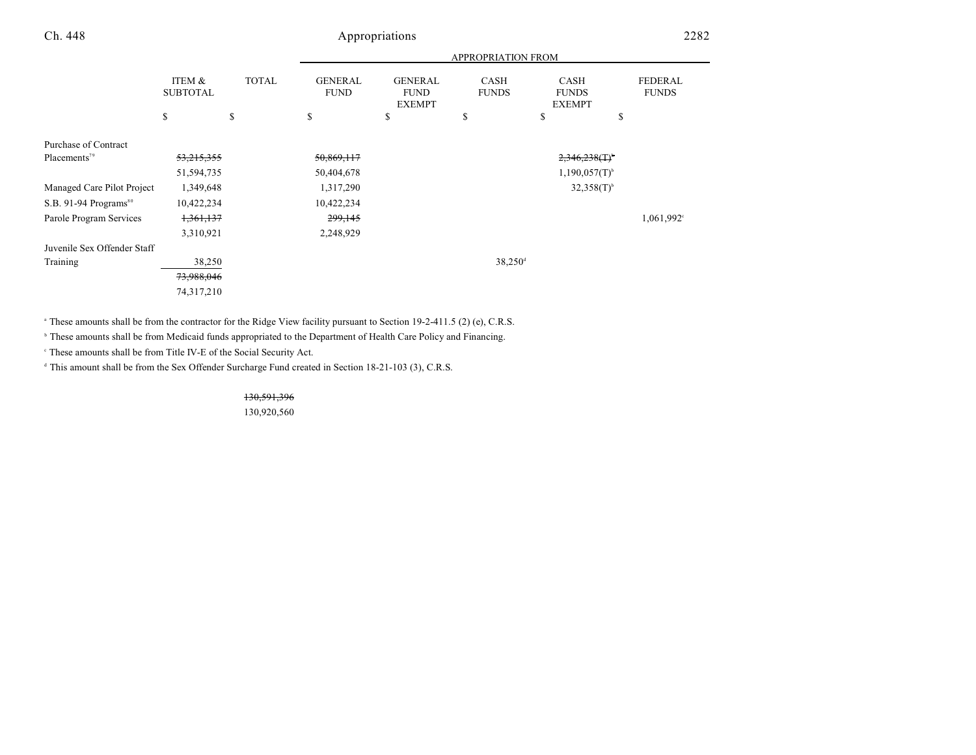|                                   | <b>APPROPRIATION FROM</b> |              |                               |                                                |                             |                                       |                                |
|-----------------------------------|---------------------------|--------------|-------------------------------|------------------------------------------------|-----------------------------|---------------------------------------|--------------------------------|
|                                   | ITEM &<br><b>SUBTOTAL</b> | <b>TOTAL</b> | <b>GENERAL</b><br><b>FUND</b> | <b>GENERAL</b><br><b>FUND</b><br><b>EXEMPT</b> | <b>CASH</b><br><b>FUNDS</b> | CASH<br><b>FUNDS</b><br><b>EXEMPT</b> | <b>FEDERAL</b><br><b>FUNDS</b> |
|                                   | \$                        | \$           | \$                            | \$                                             | \$                          | \$                                    | \$                             |
| Purchase of Contract              |                           |              |                               |                                                |                             |                                       |                                |
| Placements <sup>79</sup>          | 53,215,355                |              | 50,869,117                    |                                                |                             | $2,346,238($ T) <sup>b</sup>          |                                |
|                                   | 51,594,735                |              | 50,404,678                    |                                                |                             | $1,190,057(T)^{b}$                    |                                |
| Managed Care Pilot Project        | 1,349,648                 |              | 1,317,290                     |                                                |                             | $32,358(T)$ <sup>b</sup>              |                                |
| S.B. 91-94 Programs <sup>80</sup> | 10,422,234                |              | 10,422,234                    |                                                |                             |                                       |                                |
| Parole Program Services           | 1,361,137                 |              | 299,145                       |                                                |                             |                                       | 1,061,992 <sup>c</sup>         |
|                                   | 3,310,921                 |              | 2,248,929                     |                                                |                             |                                       |                                |
| Juvenile Sex Offender Staff       |                           |              |                               |                                                |                             |                                       |                                |
| Training                          | 38,250                    |              |                               |                                                | $38,250$ <sup>d</sup>       |                                       |                                |
|                                   | 73,988,046                |              |                               |                                                |                             |                                       |                                |
|                                   | 74,317,210                |              |                               |                                                |                             |                                       |                                |
|                                   |                           |              |                               |                                                |                             |                                       |                                |

<sup>a</sup> These amounts shall be from the contractor for the Ridge View facility pursuant to Section 19-2-411.5 (2) (e), C.R.S.

<sup>b</sup> These amounts shall be from Medicaid funds appropriated to the Department of Health Care Policy and Financing.

<sup>c</sup> These amounts shall be from Title IV-E of the Social Security Act.

 $<sup>d</sup>$  This amount shall be from the Sex Offender Surcharge Fund created in Section 18-21-103 (3), C.R.S.</sup>

130,591,396

130,920,560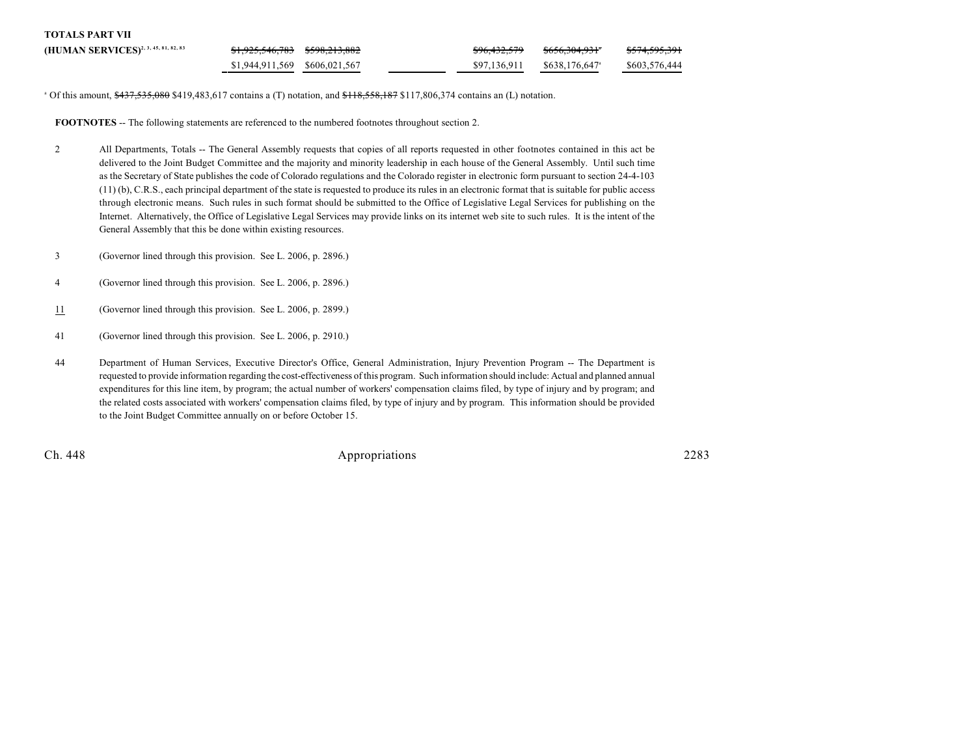| <b>TOTALS PART VII</b>                           |                               |  |              |                            |                          |
|--------------------------------------------------|-------------------------------|--|--------------|----------------------------|--------------------------|
| (HUMAN SERVICES) <sup>2, 3, 45, 81, 82, 83</sup> |                               |  | \$96,432,579 | <del>\$656.304.931</del> * | <del>\$574,595,391</del> |
|                                                  | \$1,944,911,569 \$606,021,567 |  | \$97.136.911 | \$638,176,647 <sup>a</sup> | \$603,576,444            |

<sup>a</sup> Of this amount, \$437,535,080 \$419,483,617 contains a (T) notation, and \$118,558,187 \$117,806,374 contains an (L) notation.

FOOTNOTES -- The following statements are referenced to the numbered footnotes throughout section 2.

- 2 All Departments, Totals -- The General Assembly requests that copies of all reports requested in other footnotes contained in this act be delivered to the Joint Budget Committee and the majority and minority leadership in each house of the General Assembly. Until such time as the Secretary of State publishes the code of Colorado regulations and the Colorado register in electronic form pursuant to section 24-4-103 (11) (b), C.R.S., each principal department of the state is requested to produce its rules in an electronic format that is suitable for public access through electronic means. Such rules in such format should be submitted to the Office of Legislative Legal Services for publishing on the Internet. Alternatively, the Office of Legislative Legal Services may provide links on its internet web site to such rules. It is the intent of the General Assembly that this be done within existing resources.
- 3 (Governor lined through this provision. See L. 2006, p. 2896.)
- 4 (Governor lined through this provision. See L. 2006, p. 2896.)
- 11 (Governor lined through this provision. See L. 2006, p. 2899.)
- 41 (Governor lined through this provision. See L. 2006, p. 2910.)
- 44 Department of Human Services, Executive Director's Office, General Administration, Injury Prevention Program -- The Department is requested to provide information regarding the cost-effectiveness of this program. Such information should include: Actual and planned annual expenditures for this line item, by program; the actual number of workers' compensation claims filed, by type of injury and by program; and the related costs associated with workers' compensation claims filed, by type of injury and by program. This information should be provided to the Joint Budget Committee annually on or before October 15.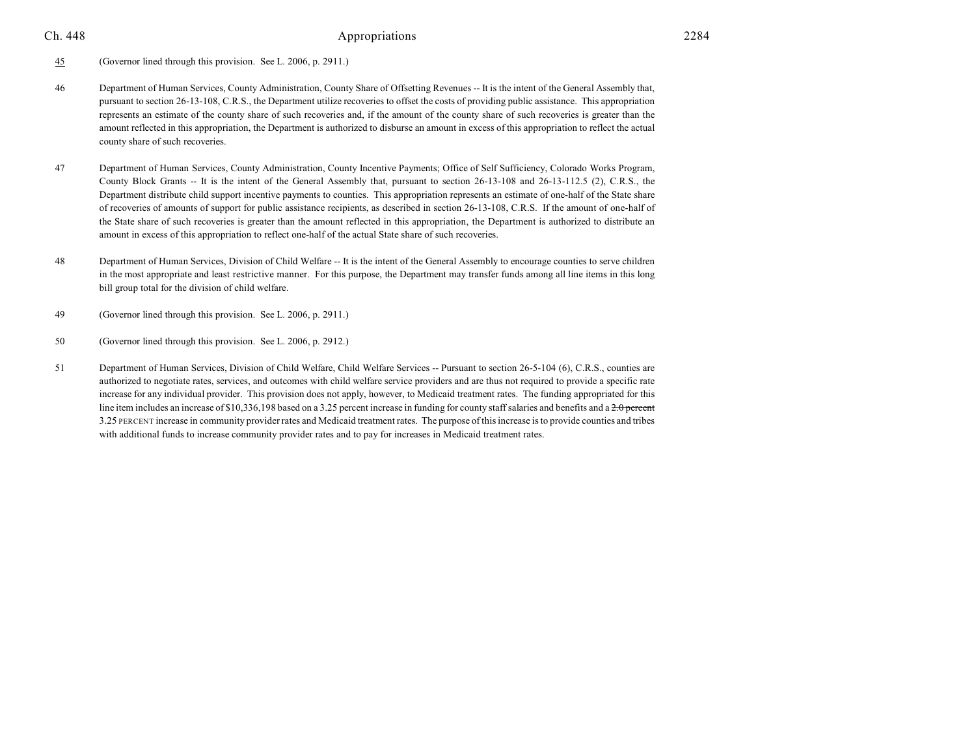45 (Governor lined through this provision. See L. 2006, p. 2911.)

- 46 Department of Human Services, County Administration, County Share of Offsetting Revenues -- It is the intent of the General Assembly that, pursuant to section 26-13-108, C.R.S., the Department utilize recoveries to offset the costs of providing public assistance. This appropriation represents an estimate of the county share of such recoveries and, if the amount of the county share of such recoveries is greater than the amount reflected in this appropriation, the Department is authorized to disburse an amount in excess of this appropriation to reflect the actual county share of such recoveries.
- 47 Department of Human Services, County Administration, County Incentive Payments; Office of Self Sufficiency, Colorado Works Program, County Block Grants -- It is the intent of the General Assembly that, pursuant to section 26-13-108 and 26-13-112.5 (2), C.R.S., the Department distribute child support incentive payments to counties. This appropriation represents an estimate of one-half of the State share of recoveries of amounts of support for public assistance recipients, as described in section 26-13-108, C.R.S. If the amount of one-half of the State share of such recoveries is greater than the amount reflected in this appropriation, the Department is authorized to distribute an amount in excess of this appropriation to reflect one-half of the actual State share of such recoveries.
- 48 Department of Human Services, Division of Child Welfare -- It is the intent of the General Assembly to encourage counties to serve children in the most appropriate and least restrictive manner. For this purpose, the Department may transfer funds among all line items in this long bill group total for the division of child welfare.
- 49 (Governor lined through this provision. See L. 2006, p. 2911.)
- 50 (Governor lined through this provision. See L. 2006, p. 2912.)
- 51 Department of Human Services, Division of Child Welfare, Child Welfare Services -- Pursuant to section 26-5-104 (6), C.R.S., counties are authorized to negotiate rates, services, and outcomes with child welfare service providers and are thus not required to provide a specific rate increase for any individual provider. This provision does not apply, however, to Medicaid treatment rates. The funding appropriated for this line item includes an increase of \$10,336,198 based on a 3.25 percent increase in funding for county staff salaries and benefits and a  $2.0$  percent 3.25 PERCENT increase in community provider rates and Medicaid treatment rates. The purpose of this increase is to provide counties and tribes with additional funds to increase community provider rates and to pay for increases in Medicaid treatment rates.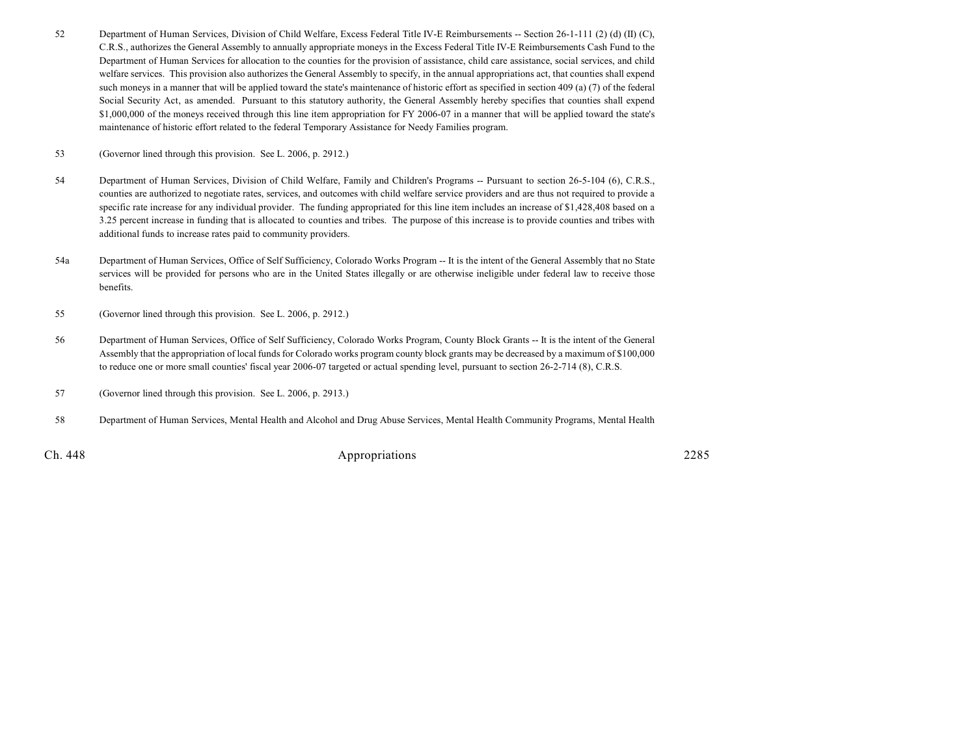- 52 Department of Human Services, Division of Child Welfare, Excess Federal Title IV-E Reimbursements -- Section 26-1-111 (2) (d) (II) (C), C.R.S., authorizes the General Assembly to annually appropriate moneys in the Excess Federal Title IV-E Reimbursements Cash Fund to the Department of Human Services for allocation to the counties for the provision of assistance, child care assistance, social services, and child welfare services. This provision also authorizes the General Assembly to specify, in the annual appropriations act, that counties shall expend such moneys in a manner that will be applied toward the state's maintenance of historic effort as specified in section 409 (a) (7) of the federal Social Security Act, as amended. Pursuant to this statutory authority, the General Assembly hereby specifies that counties shall expend \$1,000,000 of the moneys received through this line item appropriation for FY 2006-07 in a manner that will be applied toward the state's maintenance of historic effort related to the federal Temporary Assistance for Needy Families program.
- 53 (Governor lined through this provision. See L. 2006, p. 2912.)
- 54 Department of Human Services, Division of Child Welfare, Family and Children's Programs -- Pursuant to section 26-5-104 (6), C.R.S., counties are authorized to negotiate rates, services, and outcomes with child welfare service providers and are thus not required to provide a specific rate increase for any individual provider. The funding appropriated for this line item includes an increase of \$1,428,408 based on a 3.25 percent increase in funding that is allocated to counties and tribes. The purpose of this increase is to provide counties and tribes with additional funds to increase rates paid to community providers.
- 54a Department of Human Services, Office of Self Sufficiency, Colorado Works Program -- It is the intent of the General Assembly that no State services will be provided for persons who are in the United States illegally or are otherwise ineligible under federal law to receive those benefits.
- 55 (Governor lined through this provision. See L. 2006, p. 2912.)
- 56 Department of Human Services, Office of Self Sufficiency, Colorado Works Program, County Block Grants -- It is the intent of the General Assembly that the appropriation of local funds for Colorado works program county block grants may be decreased by a maximum of \$100,000 to reduce one or more small counties' fiscal year 2006-07 targeted or actual spending level, pursuant to section 26-2-714 (8), C.R.S.
- 57 (Governor lined through this provision. See L. 2006, p. 2913.)
- 58 Department of Human Services, Mental Health and Alcohol and Drug Abuse Services, Mental Health Community Programs, Mental Health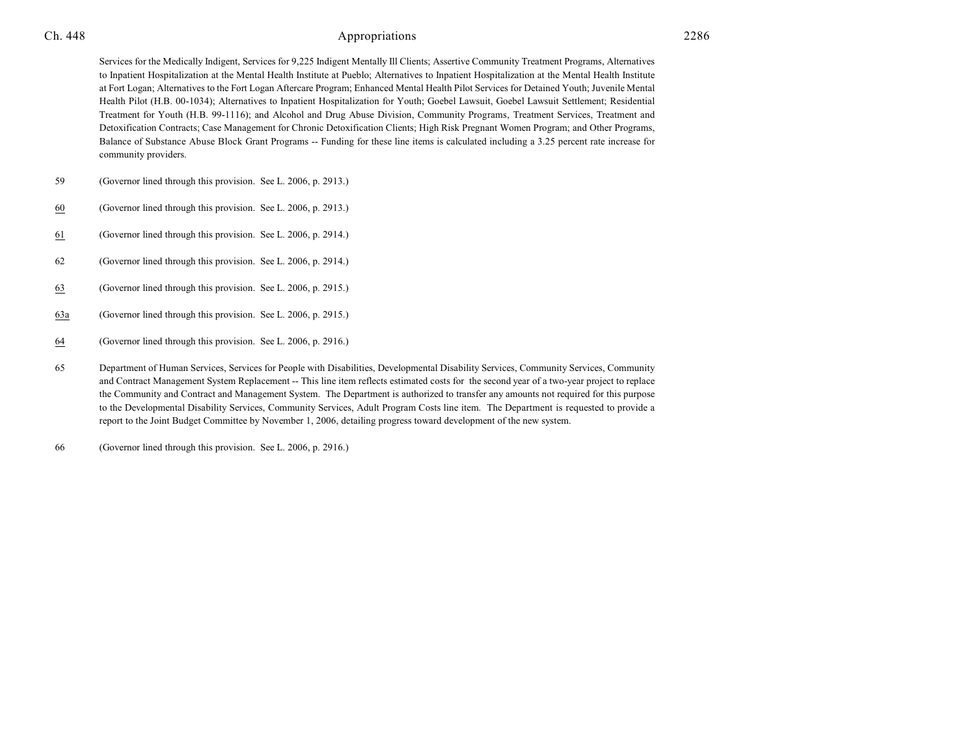Services for the Medically Indigent, Services for 9,225 Indigent Mentally Ill Clients; Assertive Community Treatment Programs, Alternatives to Inpatient Hospitalization at the Mental Health Institute at Pueblo; Alternatives to Inpatient Hospitalization at the Mental Health Institute at Fort Logan; Alternatives to the Fort Logan Aftercare Program; Enhanced Mental Health Pilot Services for Detained Youth; Juvenile Mental Health Pilot (H.B. 00-1034); Alternatives to Inpatient Hospitalization for Youth; Goebel Lawsuit, Goebel Lawsuit Settlement; Residential Treatment for Youth (H.B. 99-1116); and Alcohol and Drug Abuse Division, Community Programs, Treatment Services, Treatment and Detoxification Contracts; Case Management for Chronic Detoxification Clients; High Risk Pregnant Women Program; and Other Programs, Balance of Substance Abuse Block Grant Programs -- Funding for these line items is calculated including a 3.25 percent rate increase for community providers.

- 59 (Governor lined through this provision. See L. 2006, p. 2913.)
- 60 (Governor lined through this provision. See L. 2006, p. 2913.)
- 61 (Governor lined through this provision. See L. 2006, p. 2914.)
- 62 (Governor lined through this provision. See L. 2006, p. 2914.)
- 63 (Governor lined through this provision. See L. 2006, p. 2915.)
- 63a (Governor lined through this provision. See L. 2006, p. 2915.)
- 64 (Governor lined through this provision. See L. 2006, p. 2916.)
- 65 Department of Human Services, Services for People with Disabilities, Developmental Disability Services, Community Services, Community and Contract Management System Replacement -- This line item reflects estimated costs for the second year of a two-year project to replace the Community and Contract and Management System. The Department is authorized to transfer any amounts not required for this purpose to the Developmental Disability Services, Community Services, Adult Program Costs line item. The Department is requested to provide a report to the Joint Budget Committee by November 1, 2006, detailing progress toward development of the new system.
- 66 (Governor lined through this provision. See L. 2006, p. 2916.)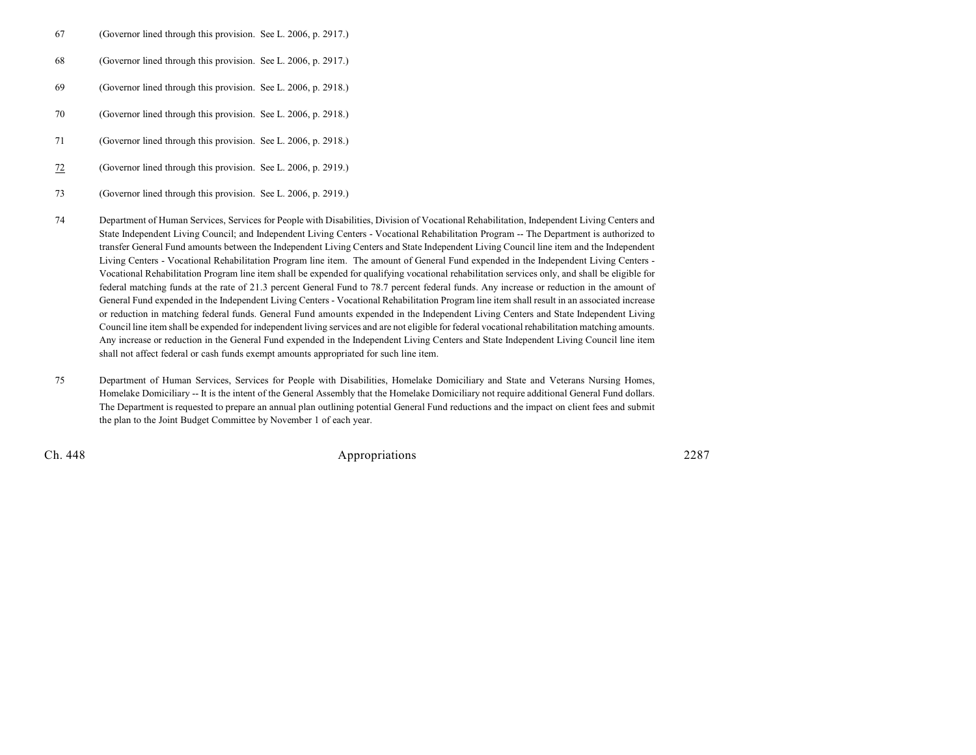- 67 (Governor lined through this provision. See L. 2006, p. 2917.)
- 68 (Governor lined through this provision. See L. 2006, p. 2917.)
- 69 (Governor lined through this provision. See L. 2006, p. 2918.)
- 70 (Governor lined through this provision. See L. 2006, p. 2918.)
- 71 (Governor lined through this provision. See L. 2006, p. 2918.)
- 72 (Governor lined through this provision. See L. 2006, p. 2919.)
- 73 (Governor lined through this provision. See L. 2006, p. 2919.)
- 74 Department of Human Services, Services for People with Disabilities, Division of Vocational Rehabilitation, Independent Living Centers and State Independent Living Council; and Independent Living Centers - Vocational Rehabilitation Program -- The Department is authorized to transfer General Fund amounts between the Independent Living Centers and State Independent Living Council line item and the Independent Living Centers - Vocational Rehabilitation Program line item. The amount of General Fund expended in the Independent Living Centers - Vocational Rehabilitation Program line item shall be expended for qualifying vocational rehabilitation services only, and shall be eligible for federal matching funds at the rate of 21.3 percent General Fund to 78.7 percent federal funds. Any increase or reduction in the amount of General Fund expended in the Independent Living Centers - Vocational Rehabilitation Program line item shall result in an associated increase or reduction in matching federal funds. General Fund amounts expended in the Independent Living Centers and State Independent Living Council line item shall be expended for independent living services and are not eligible for federal vocational rehabilitation matching amounts. Any increase or reduction in the General Fund expended in the Independent Living Centers and State Independent Living Council line item shall not affect federal or cash funds exempt amounts appropriated for such line item.
- 75 Department of Human Services, Services for People with Disabilities, Homelake Domiciliary and State and Veterans Nursing Homes, Homelake Domiciliary -- It is the intent of the General Assembly that the Homelake Domiciliary not require additional General Fund dollars. The Department is requested to prepare an annual plan outlining potential General Fund reductions and the impact on client fees and submit the plan to the Joint Budget Committee by November 1 of each year.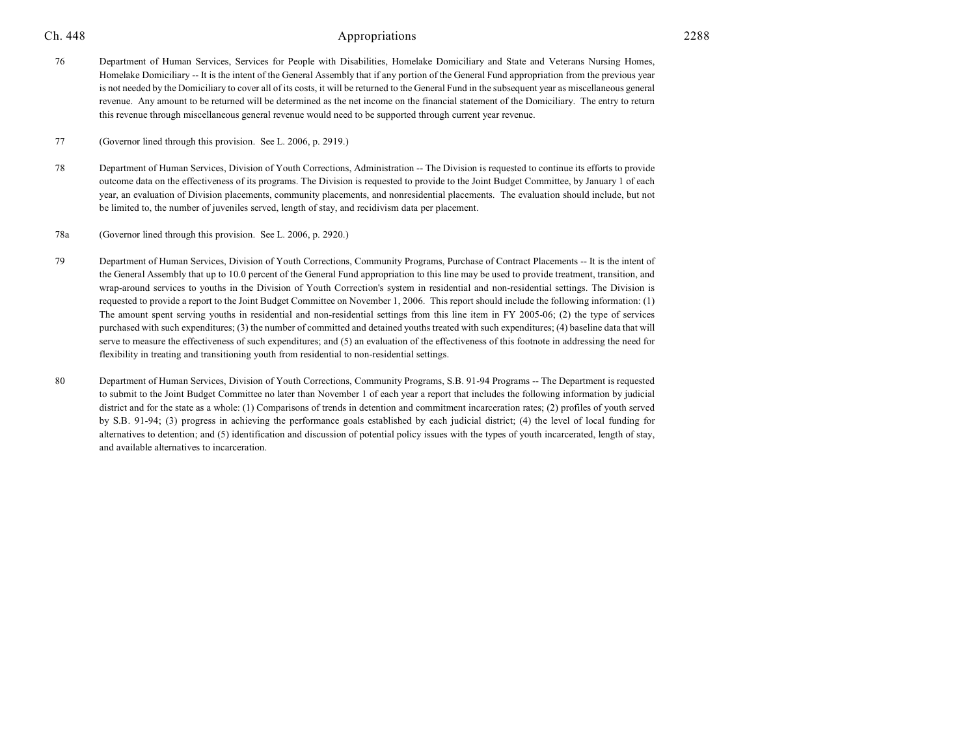76 Department of Human Services, Services for People with Disabilities, Homelake Domiciliary and State and Veterans Nursing Homes, Homelake Domiciliary -- It is the intent of the General Assembly that if any portion of the General Fund appropriation from the previous year is not needed by the Domiciliary to cover all of its costs, it will be returned to the General Fund in the subsequent year as miscellaneous general revenue. Any amount to be returned will be determined as the net income on the financial statement of the Domiciliary. The entry to return this revenue through miscellaneous general revenue would need to be supported through current year revenue.

77 (Governor lined through this provision. See L. 2006, p. 2919.)

78 Department of Human Services, Division of Youth Corrections, Administration -- The Division is requested to continue its efforts to provide outcome data on the effectiveness of its programs. The Division is requested to provide to the Joint Budget Committee, by January 1 of each year, an evaluation of Division placements, community placements, and nonresidential placements. The evaluation should include, but not be limited to, the number of juveniles served, length of stay, and recidivism data per placement.

78a (Governor lined through this provision. See L. 2006, p. 2920.)

- 79 Department of Human Services, Division of Youth Corrections, Community Programs, Purchase of Contract Placements -- It is the intent of the General Assembly that up to 10.0 percent of the General Fund appropriation to this line may be used to provide treatment, transition, and wrap-around services to youths in the Division of Youth Correction's system in residential and non-residential settings. The Division is requested to provide a report to the Joint Budget Committee on November 1, 2006. This report should include the following information: (1) The amount spent serving youths in residential and non-residential settings from this line item in FY 2005-06; (2) the type of services purchased with such expenditures; (3) the number of committed and detained youths treated with such expenditures; (4) baseline data that will serve to measure the effectiveness of such expenditures; and (5) an evaluation of the effectiveness of this footnote in addressing the need for flexibility in treating and transitioning youth from residential to non-residential settings.
- 80 Department of Human Services, Division of Youth Corrections, Community Programs, S.B. 91-94 Programs -- The Department is requested to submit to the Joint Budget Committee no later than November 1 of each year a report that includes the following information by judicial district and for the state as a whole: (1) Comparisons of trends in detention and commitment incarceration rates; (2) profiles of youth served by S.B. 91-94; (3) progress in achieving the performance goals established by each judicial district; (4) the level of local funding for alternatives to detention; and (5) identification and discussion of potential policy issues with the types of youth incarcerated, length of stay, and available alternatives to incarceration.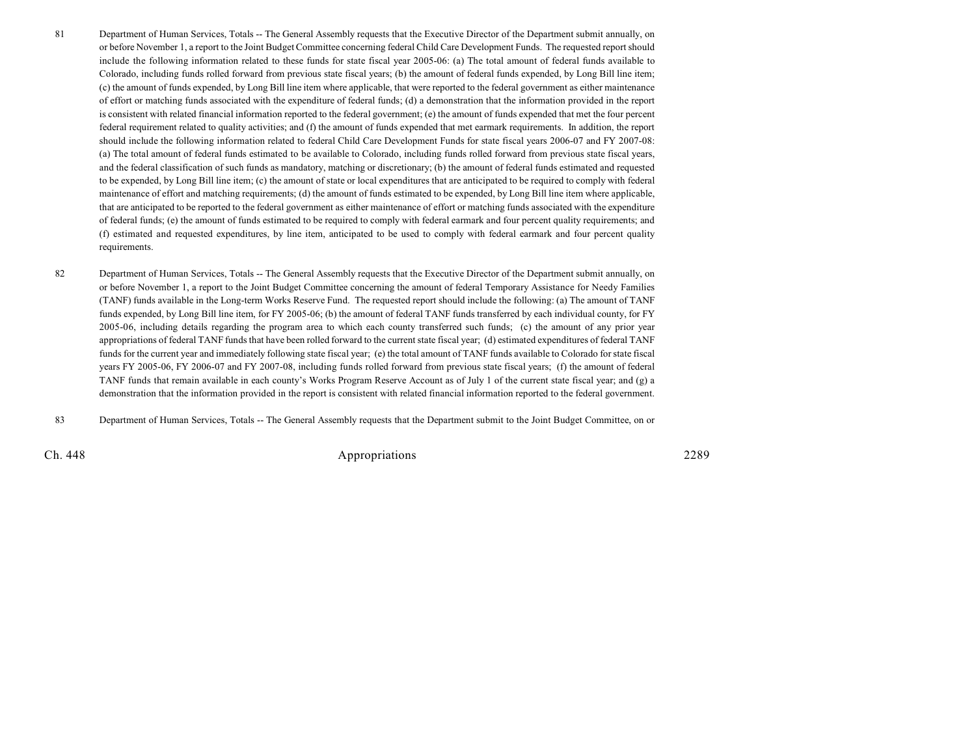- 81 Department of Human Services, Totals -- The General Assembly requests that the Executive Director of the Department submit annually, on or before November 1, a report to the Joint Budget Committee concerning federal Child Care Development Funds. The requested report should include the following information related to these funds for state fiscal year 2005-06: (a) The total amount of federal funds available to Colorado, including funds rolled forward from previous state fiscal years; (b) the amount of federal funds expended, by Long Bill line item; (c) the amount of funds expended, by Long Bill line item where applicable, that were reported to the federal government as either maintenance of effort or matching funds associated with the expenditure of federal funds; (d) a demonstration that the information provided in the report is consistent with related financial information reported to the federal government; (e) the amount of funds expended that met the four percent federal requirement related to quality activities; and (f) the amount of funds expended that met earmark requirements. In addition, the report should include the following information related to federal Child Care Development Funds for state fiscal years 2006-07 and FY 2007-08: (a) The total amount of federal funds estimated to be available to Colorado, including funds rolled forward from previous state fiscal years, and the federal classification of such funds as mandatory, matching or discretionary; (b) the amount of federal funds estimated and requested to be expended, by Long Bill line item; (c) the amount of state or local expenditures that are anticipated to be required to comply with federal maintenance of effort and matching requirements; (d) the amount of funds estimated to be expended, by Long Bill line item where applicable, that are anticipated to be reported to the federal government as either maintenance of effort or matching funds associated with the expenditure of federal funds; (e) the amount of funds estimated to be required to comply with federal earmark and four percent quality requirements; and (f) estimated and requested expenditures, by line item, anticipated to be used to comply with federal earmark and four percent quality requirements.
- 82 Department of Human Services, Totals -- The General Assembly requests that the Executive Director of the Department submit annually, on or before November 1, a report to the Joint Budget Committee concerning the amount of federal Temporary Assistance for Needy Families (TANF) funds available in the Long-term Works Reserve Fund. The requested report should include the following: (a) The amount of TANF funds expended, by Long Bill line item, for FY 2005-06; (b) the amount of federal TANF funds transferred by each individual county, for FY 2005-06, including details regarding the program area to which each county transferred such funds; (c) the amount of any prior year appropriations of federal TANF funds that have been rolled forward to the current state fiscal year; (d) estimated expenditures of federal TANF funds for the current year and immediately following state fiscal year; (e) the total amount of TANF funds available to Colorado for state fiscal years FY 2005-06, FY 2006-07 and FY 2007-08, including funds rolled forward from previous state fiscal years; (f) the amount of federal TANF funds that remain available in each county's Works Program Reserve Account as of July 1 of the current state fiscal year; and (g) a demonstration that the information provided in the report is consistent with related financial information reported to the federal government.
- 83 Department of Human Services, Totals -- The General Assembly requests that the Department submit to the Joint Budget Committee, on or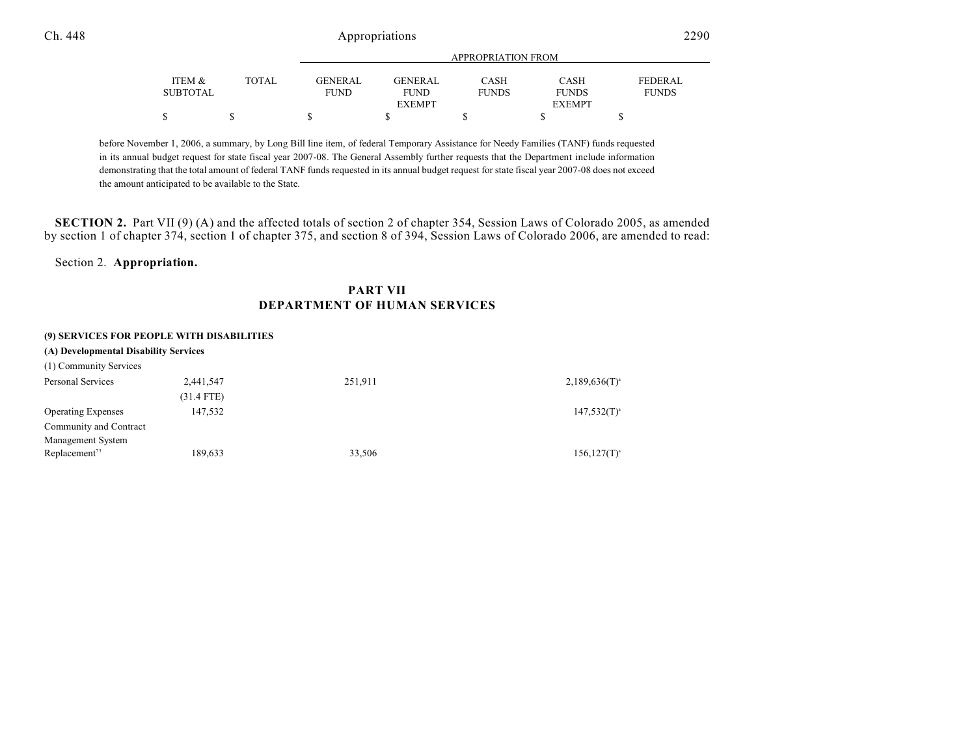|          |              |                |                | APPROPRIATION FROM |               |                |  |
|----------|--------------|----------------|----------------|--------------------|---------------|----------------|--|
|          |              |                |                |                    |               |                |  |
| ITEM &   | <b>TOTAL</b> | <b>GENERAL</b> | <b>GENERAL</b> | CASH               | <b>CASH</b>   | <b>FEDERAL</b> |  |
| SUBTOTAL |              | <b>FUND</b>    | <b>FUND</b>    | <b>FUNDS</b>       | <b>FUNDS</b>  | <b>FUNDS</b>   |  |
|          |              |                | <b>EXEMPT</b>  |                    | <b>EXEMPT</b> |                |  |
| Φ        |              | S              |                |                    |               |                |  |

before November 1, 2006, a summary, by Long Bill line item, of federal Temporary Assistance for Needy Families (TANF) funds requested in its annual budget request for state fiscal year 2007-08. The General Assembly further requests that the Department include information demonstrating that the total amount of federal TANF funds requested in its annual budget request for state fiscal year 2007-08 does not exceed the amount anticipated to be available to the State.

**SECTION 2.** Part VII (9) (A) and the affected totals of section 2 of chapter 354, Session Laws of Colorado 2005, as amended by section 1 of chapter 374, section 1 of chapter 375, and section 8 of 394, Session Laws of Colorado 2006, are amended to read:

Section 2. **Appropriation.**

## **PART VII DEPARTMENT OF HUMAN SERVICES**

#### **(9) SERVICES FOR PEOPLE WITH DISABILITIES**

| (A) Developmental Disability Services |              |         |                    |  |  |  |
|---------------------------------------|--------------|---------|--------------------|--|--|--|
| (1) Community Services                |              |         |                    |  |  |  |
| Personal Services                     | 2,441,547    | 251,911 | $2,189,636(T)^{a}$ |  |  |  |
|                                       | $(31.4$ FTE) |         |                    |  |  |  |
| <b>Operating Expenses</b>             | 147,532      |         | $147,532(T)^{a}$   |  |  |  |
| Community and Contract                |              |         |                    |  |  |  |
| Management System                     |              |         |                    |  |  |  |
| Replacement <sup>73</sup>             | 189,633      | 33,506  | $156, 127(T)^{a}$  |  |  |  |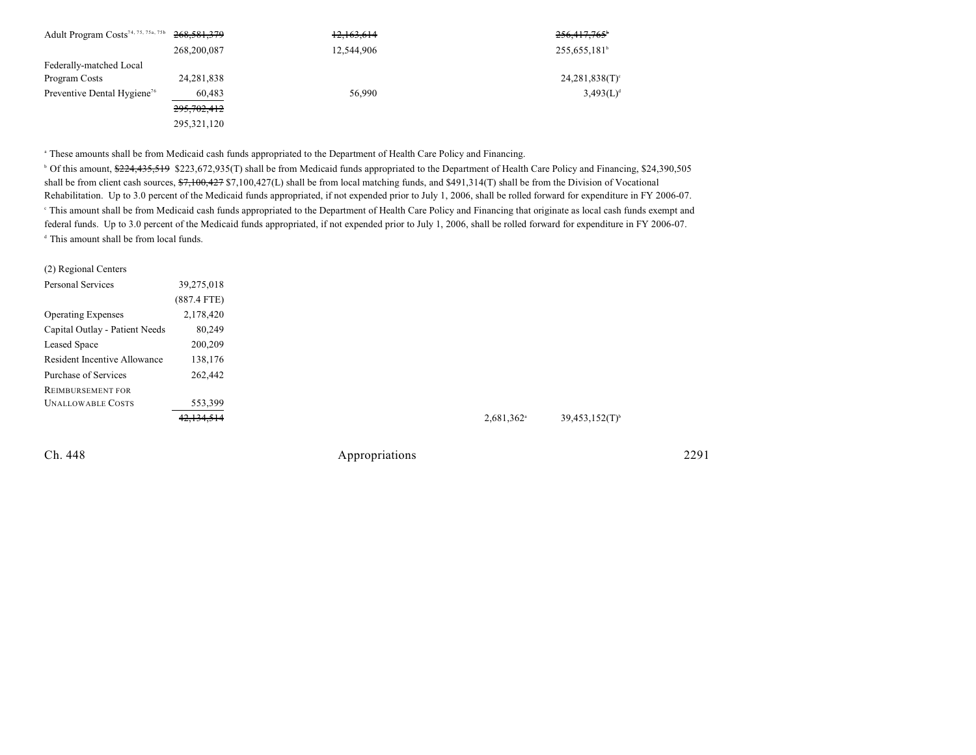| Adult Program Costs <sup>74, 75, 75a, 75b</sup> | 268,581,379   | 12,163,614 | 256,417,765 <sup>b</sup>   |
|-------------------------------------------------|---------------|------------|----------------------------|
|                                                 | 268,200,087   | 12,544,906 | 255, 655, 181 <sup>b</sup> |
| Federally-matched Local                         |               |            |                            |
| Program Costs                                   | 24, 281, 838  |            | $24,281,838(T)$ °          |
| Preventive Dental Hygiene <sup>76</sup>         | 60,483        | 56,990     | $3,493(L)^d$               |
|                                                 | 295, 702, 412 |            |                            |
|                                                 | 295, 321, 120 |            |                            |

<sup>a</sup> These amounts shall be from Medicaid cash funds appropriated to the Department of Health Care Policy and Financing.

<sup>b</sup> Of this amount, \$224,435,519 \$223,672,935(T) shall be from Medicaid funds appropriated to the Department of Health Care Policy and Financing, \$24,390,505 shall be from client cash sources, \$7,100,427 \$7,100,427(L) shall be from local matching funds, and \$491,314(T) shall be from the Division of Vocational Rehabilitation. Up to 3.0 percent of the Medicaid funds appropriated, if not expended prior to July 1, 2006, shall be rolled forward for expenditure in FY 2006-07. <sup>e</sup> This amount shall be from Medicaid cash funds appropriated to the Department of Health Care Policy and Financing that originate as local cash funds exempt and federal funds. Up to 3.0 percent of the Medicaid funds appropriated, if not expended prior to July 1, 2006, shall be rolled forward for expenditure in FY 2006-07.  $d$  This amount shall be from local funds.

| (2) Regional Centers           |               |
|--------------------------------|---------------|
| <b>Personal Services</b>       | 39,275,018    |
|                                | $(887.4$ FTE) |
| <b>Operating Expenses</b>      | 2,178,420     |
| Capital Outlay - Patient Needs | 80,249        |
| Leased Space                   | 200,209       |
| Resident Incentive Allowance   | 138,176       |
| Purchase of Services           | 262,442       |
| <b>REIMBURSEMENT FOR</b>       |               |
| <b>UNALLOWABLE COSTS</b>       | 553,399       |
|                                | 42,134,514    |
|                                |               |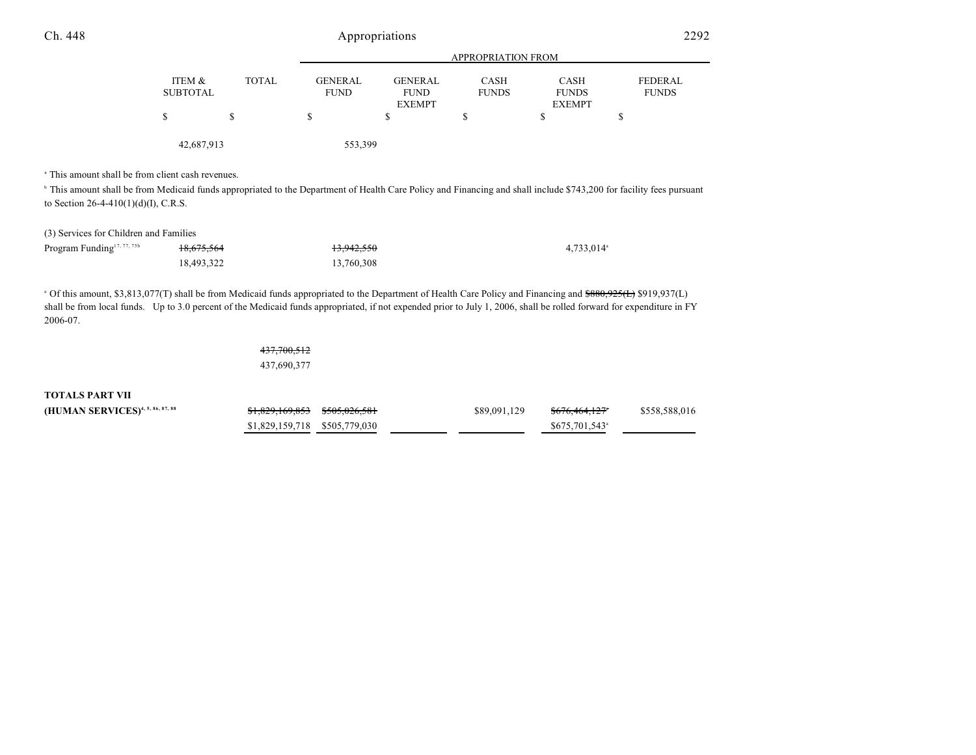|                    |              | APPROPRIATION FROM            |                                                |                      |                                              |                                |  |
|--------------------|--------------|-------------------------------|------------------------------------------------|----------------------|----------------------------------------------|--------------------------------|--|
| ITEM &<br>SUBTOTAL | <b>TOTAL</b> | <b>GENERAL</b><br><b>FUND</b> | <b>GENERAL</b><br><b>FUND</b><br><b>EXEMPT</b> | CASH<br><b>FUNDS</b> | <b>CASH</b><br><b>FUNDS</b><br><b>EXEMPT</b> | <b>FEDERAL</b><br><b>FUNDS</b> |  |
| S                  |              | \$                            |                                                | S                    |                                              |                                |  |
| 42,687,913         |              | 553,399                       |                                                |                      |                                              |                                |  |

<sup>a</sup> This amount shall be from client cash revenues.

<sup>h</sup> This amount shall be from Medicaid funds appropriated to the Department of Health Care Policy and Financing and shall include \$743,200 for facility fees pursuant to Section 26-4-410(1)(d)(I), C.R.S.

#### (3) Services for Children and Families

| Program Funding <sup>17, 77, 75b</sup> | <del>18,675,564</del> | 13.942.550 | $4,733,014$ <sup>a</sup> |
|----------------------------------------|-----------------------|------------|--------------------------|
|                                        | 18.493.322            | 13.760.308 |                          |

<sup>a</sup> Of this amount, \$3,813,077(T) shall be from Medicaid funds appropriated to the Department of Health Care Policy and Financing and  $$880,925(L)$  \$919,937(L) shall be from local funds. Up to 3.0 percent of the Medicaid funds appropriated, if not expended prior to July 1, 2006, shall be rolled forward for expenditure in FY 2006-07.

> 437,700,512 437,690,377

**TOTALS PART VII**

| (HUMAN SERVICES) <sup>4, 5, 86, 87, 88</sup> | \$1,829,169,853 \$505,026,581 |  | \$89,091,129 | <del>\$676,464,127</del> *  | \$558,588,016 |
|----------------------------------------------|-------------------------------|--|--------------|-----------------------------|---------------|
|                                              | \$1,829,159,718 \$505,779,030 |  |              | $$675,701,543$ <sup>a</sup> |               |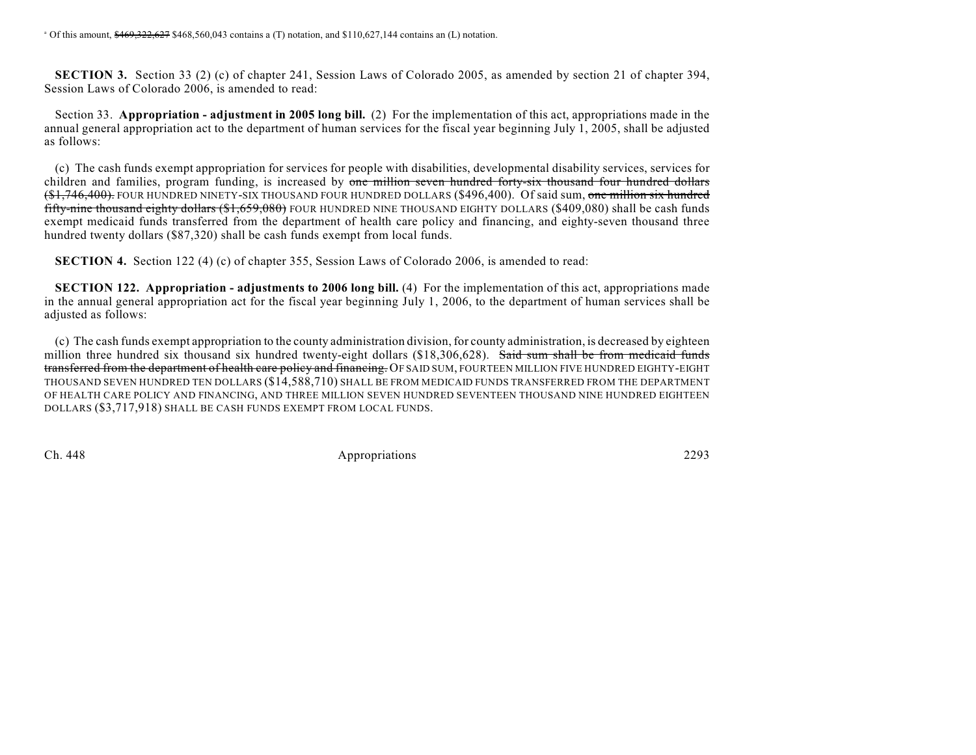**SECTION 3.** Section 33 (2) (c) of chapter 241, Session Laws of Colorado 2005, as amended by section 21 of chapter 394, Session Laws of Colorado 2006, is amended to read:

Section 33. **Appropriation - adjustment in 2005 long bill.** (2) For the implementation of this act, appropriations made in the annual general appropriation act to the department of human services for the fiscal year beginning July 1, 2005, shall be adjusted as follows:

(c) The cash funds exempt appropriation for services for people with disabilities, developmental disability services, services for children and families, program funding, is increased by one million seven hundred forty-six thousand four hundred dollars (\$1,746,400). FOUR HUNDRED NINETY-SIX THOUSAND FOUR HUNDRED DOLLARS (\$496,400). Of said sum, one million six hundred fifty-nine thousand eighty dollars (\$1,659,080) FOUR HUNDRED NINE THOUSAND EIGHTY DOLLARS (\$409,080) shall be cash funds exempt medicaid funds transferred from the department of health care policy and financing, and eighty-seven thousand three hundred twenty dollars (\$87,320) shall be cash funds exempt from local funds.

**SECTION 4.** Section 122 (4) (c) of chapter 355, Session Laws of Colorado 2006, is amended to read:

**SECTION 122. Appropriation - adjustments to 2006 long bill.** (4) For the implementation of this act, appropriations made in the annual general appropriation act for the fiscal year beginning July 1, 2006, to the department of human services shall be adjusted as follows:

(c) The cash funds exempt appropriation to the county administration division, for county administration, is decreased by eighteen million three hundred six thousand six hundred twenty-eight dollars (\$18,306,628). Said sum shall be from medicaid funds transferred from the department of health care policy and financing. OF SAID SUM, FOURTEEN MILLION FIVE HUNDRED EIGHTY-EIGHT THOUSAND SEVEN HUNDRED TEN DOLLARS (\$14,588,710) SHALL BE FROM MEDICAID FUNDS TRANSFERRED FROM THE DEPARTMENT OF HEALTH CARE POLICY AND FINANCING, AND THREE MILLION SEVEN HUNDRED SEVENTEEN THOUSAND NINE HUNDRED EIGHTEEN DOLLARS (\$3,717,918) SHALL BE CASH FUNDS EXEMPT FROM LOCAL FUNDS.